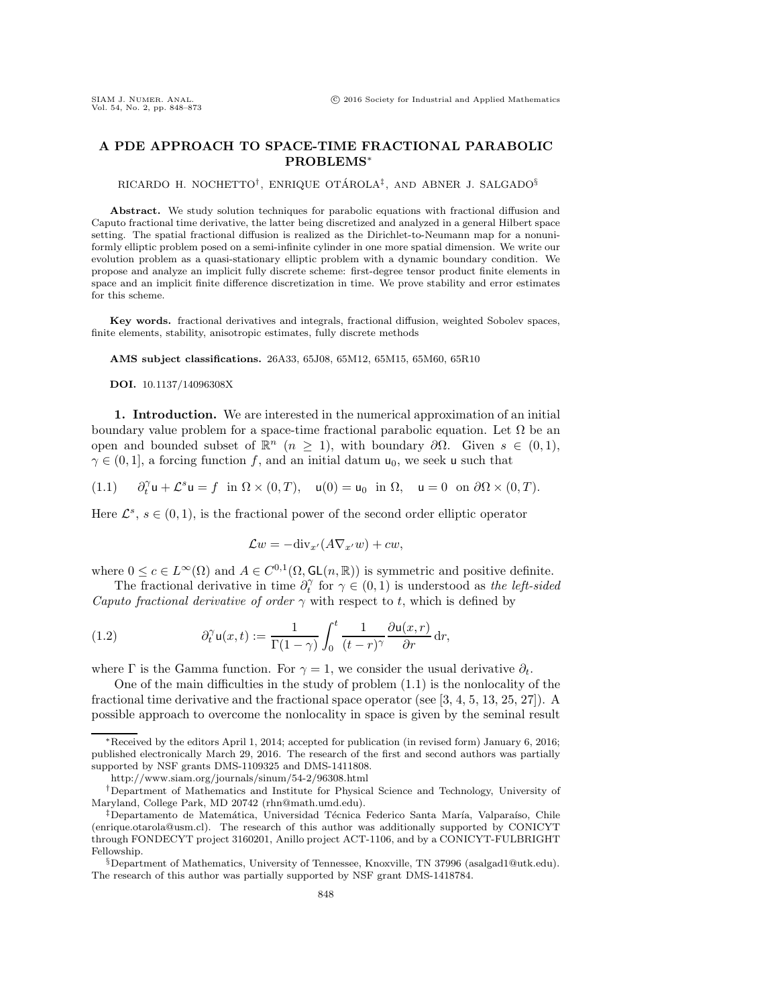# **A PDE APPROACH TO SPACE-TIME FRACTIONAL PARABOLIC PROBLEMS**∗

RICARDO H. NOCHETTO<sup>†</sup>, ENRIQUE OTÁROLA<sup>‡</sup>, AND ABNER J. SALGADO<sup>§</sup>

**Abstract.** We study solution techniques for parabolic equations with fractional diffusion and Caputo fractional time derivative, the latter being discretized and analyzed in a general Hilbert space setting. The spatial fractional diffusion is realized as the Dirichlet-to-Neumann map for a nonuniformly elliptic problem posed on a semi-infinite cylinder in one more spatial dimension. We write our evolution problem as a quasi-stationary elliptic problem with a dynamic boundary condition. We propose and analyze an implicit fully discrete scheme: first-degree tensor product finite elements in space and an implicit finite difference discretization in time. We prove stability and error estimates for this scheme.

**Key words.** fractional derivatives and integrals, fractional diffusion, weighted Sobolev spaces, finite elements, stability, anisotropic estimates, fully discrete methods

**AMS subject classifications.** 26A33, 65J08, 65M12, 65M15, 65M60, 65R10

**DOI.** 10.1137/14096308X

**1. Introduction.** We are interested in the numerical approximation of an initial boundary value problem for a space-time fractional parabolic equation. Let  $\Omega$  be an open and bounded subset of  $\mathbb{R}^n$  ( $n \geq 1$ ), with boundary  $\partial \Omega$ . Given  $s \in (0,1)$ ,  $\gamma \in (0, 1]$ , a forcing function f, and an initial datum  $u_0$ , we seek u such that

<span id="page-0-0"></span> $(1.1)$  $\partial_t^{\gamma} u + \mathcal{L}^s u = f$  in  $\Omega \times (0, T)$ ,  $u(0) = u_0$  in  $\Omega$ ,  $u = 0$  on  $\partial \Omega \times (0, T)$ .

Here  $\mathcal{L}^s$ ,  $s \in (0,1)$ , is the fractional power of the second order elliptic operator

<span id="page-0-1"></span>
$$
\mathcal{L}w = -\text{div}_{x'}(A\nabla_{x'}w) + cw,
$$

where  $0 \leq c \in L^{\infty}(\Omega)$  and  $A \in C^{0,1}(\Omega, \mathsf{GL}(n, \mathbb{R}))$  is symmetric and positive definite.

The fractional derivative in time  $\partial_t^{\gamma}$  for  $\gamma \in (0,1)$  is understood as *the left-sided Caputo fractional derivative of order*  $\gamma$  with respect to t, which is defined by

(1.2) 
$$
\partial_t^{\gamma} \mathsf{u}(x,t) := \frac{1}{\Gamma(1-\gamma)} \int_0^t \frac{1}{(t-r)^{\gamma}} \frac{\partial \mathsf{u}(x,r)}{\partial r} \, \mathrm{d}r,
$$

where Γ is the Gamma function. For  $\gamma = 1$ , we consider the usual derivative  $\partial_t$ .

One of the main difficulties in the study of problem [\(1.1\)](#page-0-0) is the nonlocality of the fractional time derivative and the fractional space operator (see  $[3, 4, 5, 13, 25, 27]$  $[3, 4, 5, 13, 25, 27]$  $[3, 4, 5, 13, 25, 27]$  $[3, 4, 5, 13, 25, 27]$  $[3, 4, 5, 13, 25, 27]$  $[3, 4, 5, 13, 25, 27]$ ). A possible approach to overcome the nonlocality in space is given by the seminal result

<sup>∗</sup>Received by the editors April 1, 2014; accepted for publication (in revised form) January 6, 2016; published electronically March 29, 2016. The research of the first and second authors was partially supported by NSF grants DMS-1109325 and DMS-1411808.

<http://www.siam.org/journals/sinum/54-2/96308.html>

<sup>†</sup>Department of Mathematics and Institute for Physical Science and Technology, University of Maryland, College Park, MD 20742 [\(rhn@math.umd.edu\)](mailto:rhn@math.umd.edu).

<sup>&</sup>lt;sup>‡</sup>Departamento de Matemática, Universidad Técnica Federico Santa María, Valparaíso, Chile [\(enrique.otarola@usm.cl\)](mailto:enrique.otarola@usm.cl). The research of this author was additionally supported by CONICYT through FONDECYT project 3160201, Anillo project ACT-1106, and by a CONICYT-FULBRIGHT Fellowship.

<sup>§</sup>Department of Mathematics, University of Tennessee, Knoxville, TN 37996 [\(asalgad1@utk.edu\)](mailto:asalgad1@utk.edu). The research of this author was partially supported by NSF grant DMS-1418784.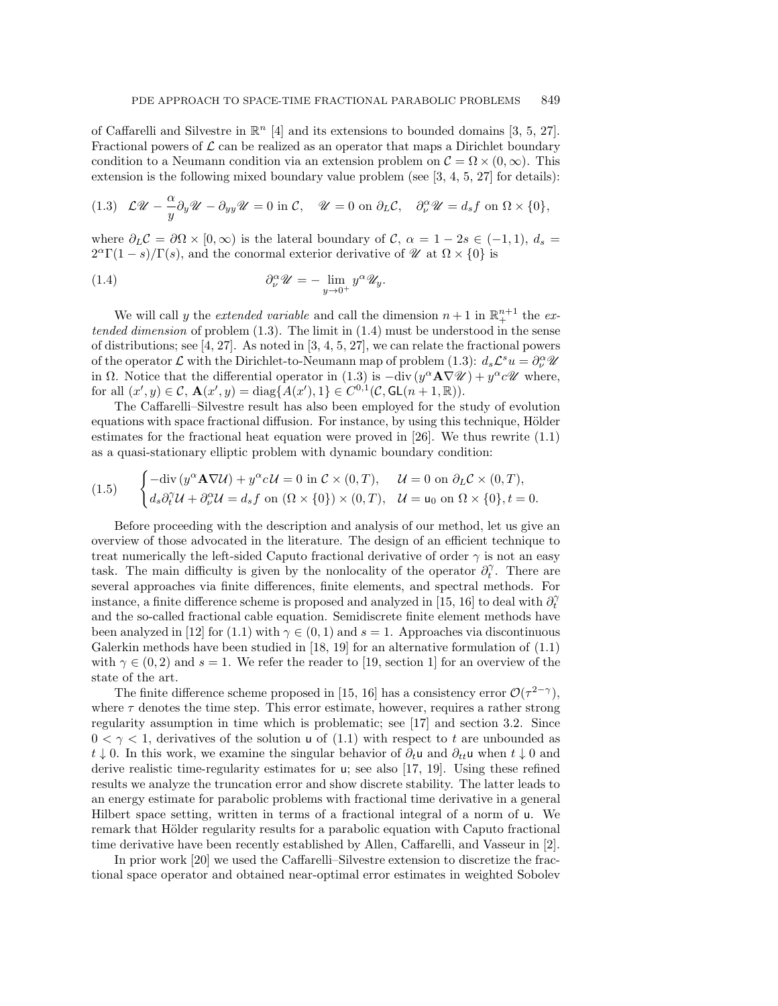of Caffarelli and Silvestre in  $\mathbb{R}^n$  [\[4\]](#page-24-1) and its extensions to bounded domains [\[3,](#page-24-0) [5,](#page-24-2) [27\]](#page-25-1). Fractional powers of  $\mathcal L$  can be realized as an operator that maps a Dirichlet boundary condition to a Neumann condition via an extension problem on  $\mathcal{C} = \Omega \times (0, \infty)$ . This extension is the following mixed boundary value problem (see  $[3, 4, 5, 27]$  $[3, 4, 5, 27]$  $[3, 4, 5, 27]$  $[3, 4, 5, 27]$  for details):

<span id="page-1-0"></span>(1.3) 
$$
\mathcal{L}\mathcal{U} - \frac{\alpha}{y}\partial_y \mathcal{U} - \partial_{yy} \mathcal{U} = 0
$$
 in  $\mathcal{C}$ ,  $\mathcal{U} = 0$  on  $\partial_L \mathcal{C}$ ,  $\partial_\nu^\alpha \mathcal{U} = d_s f$  on  $\Omega \times \{0\}$ ,

where  $\partial_L C = \partial \Omega \times [0, \infty)$  is the lateral boundary of C,  $\alpha = 1 - 2s \in (-1, 1), d_s =$  $2^{\alpha}\Gamma(1-s)/\Gamma(s)$ , and the conormal exterior derivative of  $\mathscr{U}$  at  $\Omega \times \{0\}$  is

<span id="page-1-1"></span>(1.4) 
$$
\partial_{\nu}^{\alpha} \mathscr{U} = -\lim_{y \to 0^{+}} y^{\alpha} \mathscr{U}_{y}.
$$

We will call y the *extended variable* and call the dimension  $n+1$  in  $\mathbb{R}^{n+1}_+$  the *extended dimension* of problem [\(1.3\)](#page-1-0). The limit in [\(1.4\)](#page-1-1) must be understood in the sense of distributions; see [\[4,](#page-24-1) [27\]](#page-25-1). As noted in [\[3,](#page-24-0) [4,](#page-24-1) [5,](#page-24-2) 27], we can relate the fractional powers of the operator  $\mathcal L$  with the Dirichlet-to-Neumann map of problem [\(1.3\)](#page-1-0):  $d_s\mathcal L^s u = \partial_\nu^\alpha \mathcal U$ in  $\Omega$ . Notice that the differential operator in [\(1.3\)](#page-1-0) is  $-\text{div}(y^{\alpha} \mathbf{A} \nabla \mathcal{U}) + y^{\alpha} c \mathcal{U}$  where, for all  $(x', y) \in \mathcal{C}$ ,  $\mathbf{A}(x', y) = \text{diag}\{A(x'), 1\} \in C^{0,1}(\mathcal{C}, GL(n+1, \mathbb{R}))$ .

The Caffarelli–Silvestre result has also been employed for the study of evolution equations with space fractional diffusion. For instance, by using this technique, Hölder estimates for the fractional heat equation were proved in [\[26\]](#page-25-2). We thus rewrite [\(1.1\)](#page-0-0) as a quasi-stationary elliptic problem with dynamic boundary condition:

<span id="page-1-2"></span>(1.5) 
$$
\begin{cases}\n-\text{div}\left(y^{\alpha}\mathbf{A}\nabla\mathcal{U}\right) + y^{\alpha}c\mathcal{U} = 0 \text{ in } \mathcal{C} \times (0,T), & \mathcal{U} = 0 \text{ on } \partial_L \mathcal{C} \times (0,T), \\
d_s \partial_t^{\gamma} \mathcal{U} + \partial_{\nu}^{\alpha} \mathcal{U} = d_s f \text{ on } (\Omega \times \{0\}) \times (0,T), & \mathcal{U} = \mathbf{u}_0 \text{ on } \Omega \times \{0\}, t = 0.\n\end{cases}
$$

Before proceeding with the description and analysis of our method, let us give an overview of those advocated in the literature. The design of an efficient technique to treat numerically the left-sided Caputo fractional derivative of order  $\gamma$  is not an easy task. The main difficulty is given by the nonlocality of the operator  $\partial_t^{\gamma}$ . There are several approaches via finite differences, finite elements, and spectral methods. For instance, a finite difference scheme is proposed and analyzed in [\[15,](#page-24-4) [16\]](#page-24-5) to deal with  $\partial_t^{\gamma}$ and the so-called fractional cable equation. Semidiscrete finite element methods have been analyzed in [\[12\]](#page-24-6) for [\(1.1\)](#page-0-0) with  $\gamma \in (0,1)$  and  $s=1$ . Approaches via discontinuous Galerkin methods have been studied in [\[18,](#page-24-7) [19\]](#page-24-8) for an alternative formulation of [\(1.1\)](#page-0-0) with  $\gamma \in (0, 2)$  and  $s = 1$ . We refer the reader to [\[19,](#page-24-8) section 1] for an overview of the state of the art.

The finite difference scheme proposed in [\[15,](#page-24-4) [16\]](#page-24-5) has a consistency error  $\mathcal{O}(\tau^{2-\gamma})$ , where  $\tau$  denotes the time step. This error estimate, however, requires a rather strong regularity assumption in time which is problematic; see [\[17\]](#page-24-9) and section [3.2.](#page-10-0) Since  $0 < \gamma < 1$ , derivatives of the solution u of [\(1.1\)](#page-0-0) with respect to t are unbounded as t ↓ 0. In this work, we examine the singular behavior of  $\partial_t\mathbf{u}$  and  $\partial_{tt}\mathbf{u}$  when  $t\downarrow 0$  and derive realistic time-regularity estimates for u; see also [\[17,](#page-24-9) [19\]](#page-24-8). Using these refined results we analyze the truncation error and show discrete stability. The latter leads to an energy estimate for parabolic problems with fractional time derivative in a general Hilbert space setting, written in terms of a fractional integral of a norm of u. We remark that Hölder regularity results for a parabolic equation with Caputo fractional time derivative have been recently established by Allen, Caffarelli, and Vasseur in [\[2\]](#page-24-10).

In prior work [\[20\]](#page-24-11) we used the Caffarelli–Silvestre extension to discretize the fractional space operator and obtained near-optimal error estimates in weighted Sobolev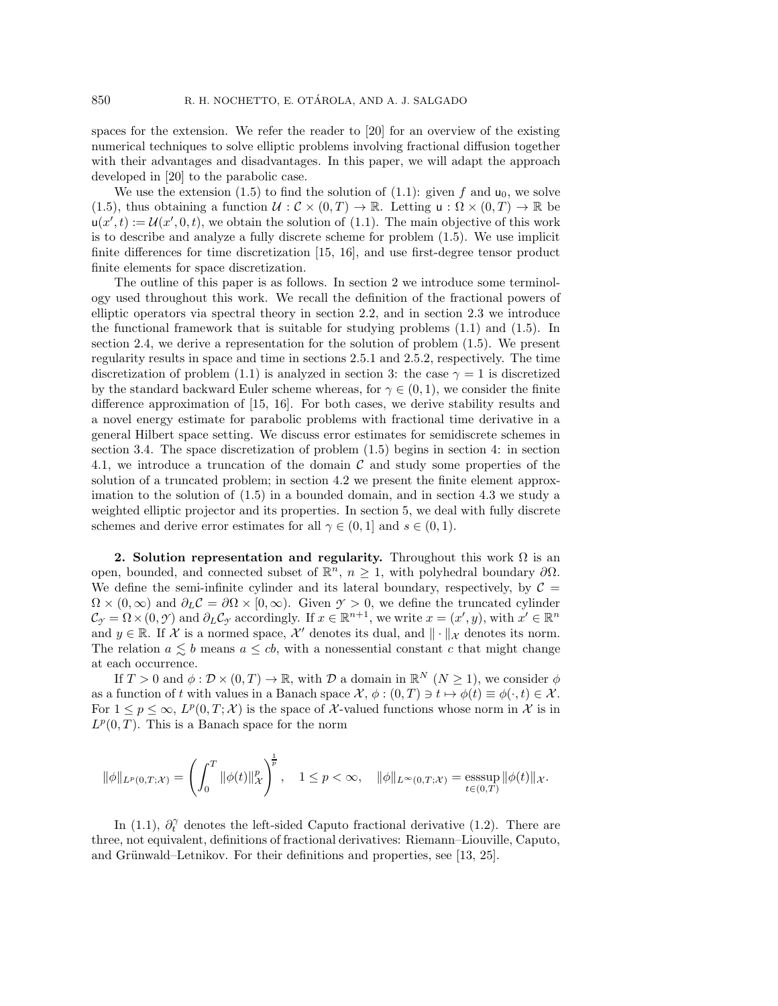spaces for the extension. We refer the reader to [\[20\]](#page-24-11) for an overview of the existing numerical techniques to solve elliptic problems involving fractional diffusion together with their advantages and disadvantages. In this paper, we will adapt the approach developed in [\[20\]](#page-24-11) to the parabolic case.

We use the extension [\(1.5\)](#page-1-2) to find the solution of [\(1.1\)](#page-0-0): given f and  $u_0$ , we solve [\(1.5\)](#page-1-2), thus obtaining a function  $U : \mathcal{C} \times (0,T) \to \mathbb{R}$ . Letting  $u : \Omega \times (0,T) \to \mathbb{R}$  be  $u(x', t) := \mathcal{U}(x', 0, t)$ , we obtain the solution of [\(1.1\)](#page-0-0). The main objective of this work is to describe and analyze a fully discrete scheme for problem [\(1.5\)](#page-1-2). We use implicit finite differences for time discretization [\[15,](#page-24-4) [16\]](#page-24-5), and use first-degree tensor product finite elements for space discretization.

The outline of this paper is as follows. In section [2](#page-2-0) we introduce some terminology used throughout this work. We recall the definition of the fractional powers of elliptic operators via spectral theory in section [2.2,](#page-3-0) and in section [2.3](#page-3-1) we introduce the functional framework that is suitable for studying problems [\(1.1\)](#page-0-0) and [\(1.5\)](#page-1-2). In section [2.4,](#page-4-0) we derive a representation for the solution of problem [\(1.5\)](#page-1-2). We present regularity results in space and time in sections [2.5.1](#page-6-0) and [2.5.2,](#page-8-0) respectively. The time discretization of problem [\(1.1\)](#page-0-0) is analyzed in section [3:](#page-10-1) the case  $\gamma = 1$  is discretized by the standard backward Euler scheme whereas, for  $\gamma \in (0, 1)$ , we consider the finite difference approximation of [\[15,](#page-24-4) [16\]](#page-24-5). For both cases, we derive stability results and a novel energy estimate for parabolic problems with fractional time derivative in a general Hilbert space setting. We discuss error estimates for semidiscrete schemes in section [3.4.](#page-15-0) The space discretization of problem [\(1.5\)](#page-1-2) begins in section [4:](#page-16-0) in section [4.1,](#page-16-1) we introduce a truncation of the domain  $\mathcal C$  and study some properties of the solution of a truncated problem; in section [4.2](#page-19-0) we present the finite element approximation to the solution of [\(1.5\)](#page-1-2) in a bounded domain, and in section [4.3](#page-19-1) we study a weighted elliptic projector and its properties. In section [5,](#page-21-0) we deal with fully discrete schemes and derive error estimates for all  $\gamma \in (0,1]$  and  $s \in (0,1)$ .

<span id="page-2-0"></span>**2. Solution representation and regularity.** Throughout this work  $\Omega$  is an open, bounded, and connected subset of  $\mathbb{R}^n$ ,  $n \geq 1$ , with polyhedral boundary  $\partial\Omega$ . We define the semi-infinite cylinder and its lateral boundary, respectively, by  $\mathcal{C} =$  $\Omega \times (0,\infty)$  and  $\partial_L C = \partial \Omega \times [0,\infty)$ . Given  $\gamma > 0$ , we define the truncated cylinder  $\mathcal{C}_{\gamma} = \Omega \times (0, \gamma)$  and  $\partial_L \mathcal{C}_{\gamma}$  accordingly. If  $x \in \mathbb{R}^{n+1}$ , we write  $x = (x', y)$ , with  $x' \in \mathbb{R}^n$ and  $y \in \mathbb{R}$ . If X is a normed space, X' denotes its dual, and  $\|\cdot\|_{\mathcal{X}}$  denotes its norm. The relation  $a \leq b$  means  $a \leq cb$ , with a nonessential constant c that might change at each occurrence.

If  $T > 0$  and  $\phi : \mathcal{D} \times (0, T) \to \mathbb{R}$ , with  $\mathcal{D}$  a domain in  $\mathbb{R}^N$   $(N > 1)$ , we consider  $\phi$ as a function of t with values in a Banach space  $\mathcal{X}, \phi : (0,T) \ni t \mapsto \phi(t) \equiv \phi(\cdot,t) \in \mathcal{X}$ . For  $1 \leq p \leq \infty$ ,  $L^p(0,T; \mathcal{X})$  is the space of X-valued functions whose norm in X is in  $L^p(0,T)$ . This is a Banach space for the norm

$$
\|\phi\|_{L^p(0,T;\mathcal{X})} = \left(\int_0^T \|\phi(t)\|_{\mathcal{X}}^p\right)^{\frac{1}{p}}, \quad 1 \le p < \infty, \quad \|\phi\|_{L^{\infty}(0,T;\mathcal{X})} = \operatorname*{esssup}_{t \in (0,T)} \|\phi(t)\|_{\mathcal{X}}.
$$

In [\(1.1\)](#page-0-0),  $\partial_t^{\gamma}$  denotes the left-sided Caputo fractional derivative [\(1.2\)](#page-0-1). There are three, not equivalent, definitions of fractional derivatives: Riemann–Liouville, Caputo, and Grünwald–Letnikov. For their definitions and properties, see [\[13,](#page-24-3) [25\]](#page-25-0).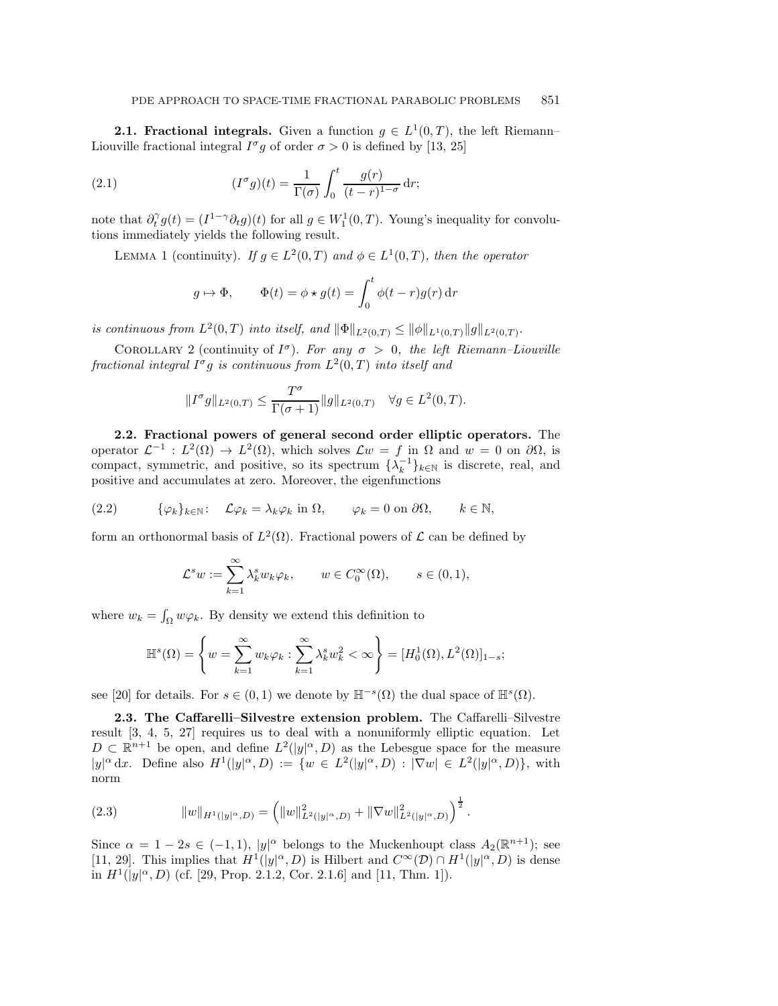**2.1. Fractional integrals.** Given a function  $g \in L^1(0,T)$ , the left Riemann– Liouville fractional integral  $I^{\sigma}g$  of order  $\sigma > 0$  is defined by [\[13,](#page-24-3) [25\]](#page-25-0)

(2.1) 
$$
(I^{\sigma}g)(t) = \frac{1}{\Gamma(\sigma)} \int_0^t \frac{g(r)}{(t-r)^{1-\sigma}} dr;
$$

note that  $\partial_t^{\gamma} g(t) = (I^{1-\gamma} \partial_t g)(t)$  for all  $g \in W_1^1(0,T)$ . Young's inequality for convolutions immediately yields the following result.

LEMMA 1 (continuity). *If*  $g \in L^2(0,T)$  *and*  $\phi \in L^1(0,T)$ *, then the operator* 

<span id="page-3-6"></span><span id="page-3-4"></span>
$$
g \mapsto \Phi
$$
,  $\Phi(t) = \phi \star g(t) = \int_0^t \phi(t - r)g(r) dr$ 

<span id="page-3-5"></span>*is continuous from*  $L^2(0,T)$  *into itself, and*  $\|\Phi\|_{L^2(0,T)} \le \|\phi\|_{L^1(0,T)} \|g\|_{L^2(0,T)}$ .

COROLLARY 2 (continuity of  $I^{\sigma}$ ). *For any*  $\sigma > 0$ , the left Riemann–Liouville *fractional integral*  $I^{\sigma}g$  *is continuous from*  $L^2(0,T)$  *into itself and* 

$$
||I^{\sigma}g||_{L^2(0,T)} \leq \frac{T^{\sigma}}{\Gamma(\sigma+1)}||g||_{L^2(0,T)} \quad \forall g \in L^2(0,T).
$$

<span id="page-3-0"></span>**2.2. Fractional powers of general second order elliptic operators.** The operator  $\mathcal{L}^{-1} : L^2(\Omega) \to L^2(\Omega)$ , which solves  $\mathcal{L}w = f$  in  $\Omega$  and  $w = 0$  on  $\partial\Omega$ , is compact, symmetric, and positive, so its spectrum  $\{\lambda_k^{-1}\}_{k\in\mathbb{N}}$  is discrete, real, and positive and accumulates at zero. Moreover, the eigenfunctions

$$
(2.2) \qquad \{\varphi_k\}_{k\in\mathbb{N}} \colon \mathcal{L}\varphi_k = \lambda_k \varphi_k \text{ in } \Omega, \qquad \varphi_k = 0 \text{ on } \partial\Omega, \qquad k \in \mathbb{N},
$$

form an orthonormal basis of  $L^2(\Omega)$ . Fractional powers of  $\mathcal L$  can be defined by

<span id="page-3-3"></span>
$$
\mathcal{L}^s w := \sum_{k=1}^{\infty} \lambda_k^s w_k \varphi_k, \qquad w \in C_0^{\infty}(\Omega), \qquad s \in (0,1),
$$

where  $w_k = \int_{\Omega} w \varphi_k$ . By density we extend this definition to

$$
\mathbb{H}^s(\Omega) = \left\{ w = \sum_{k=1}^{\infty} w_k \varphi_k : \sum_{k=1}^{\infty} \lambda_k^s w_k^2 < \infty \right\} = [H_0^1(\Omega), L^2(\Omega)]_{1-s};
$$

<span id="page-3-1"></span>see [\[20\]](#page-24-11) for details. For  $s \in (0,1)$  we denote by  $\mathbb{H}^{-s}(\Omega)$  the dual space of  $\mathbb{H}^{s}(\Omega)$ .

**2.3. The Caffarelli–Silvestre extension problem.** The Caffarelli–Silvestre result [\[3,](#page-24-0) [4,](#page-24-1) [5,](#page-24-2) [27\]](#page-25-1) requires us to deal with a nonuniformly elliptic equation. Let  $D \subset \mathbb{R}^{n+1}$  be open, and define  $L^2(|y|^\alpha, D)$  as the Lebesgue space for the measure  $|y|^{\alpha} dx$ . Define also  $H^1(|y|^{\alpha}, D) := \{w \in L^2(|y|^{\alpha}, D) : |\nabla w| \in L^2(|y|^{\alpha}, D)\},\$ with norm

<span id="page-3-2"></span>(2.3) 
$$
||w||_{H^1(|y|^\alpha,D)} = (||w||^2_{L^2(|y|^\alpha,D)} + ||\nabla w||^2_{L^2(|y|^\alpha,D)})^{\frac{1}{2}}.
$$

Since  $\alpha = 1 - 2s \in (-1,1)$ ,  $|y|^{\alpha}$  belongs to the Muckenhoupt class  $A_2(\mathbb{R}^{n+1})$ ; see [\[11,](#page-24-12) [29\]](#page-25-3). This implies that  $H^1(|y|^\alpha, D)$  is Hilbert and  $C^\infty(\mathcal{D}) \cap H^1(|y|^\alpha, D)$  is dense in  $H^1(|y|^\alpha, D)$  (cf. [\[29,](#page-25-3) Prop. 2.1.2, Cor. 2.1.6] and [\[11,](#page-24-12) Thm. 1]).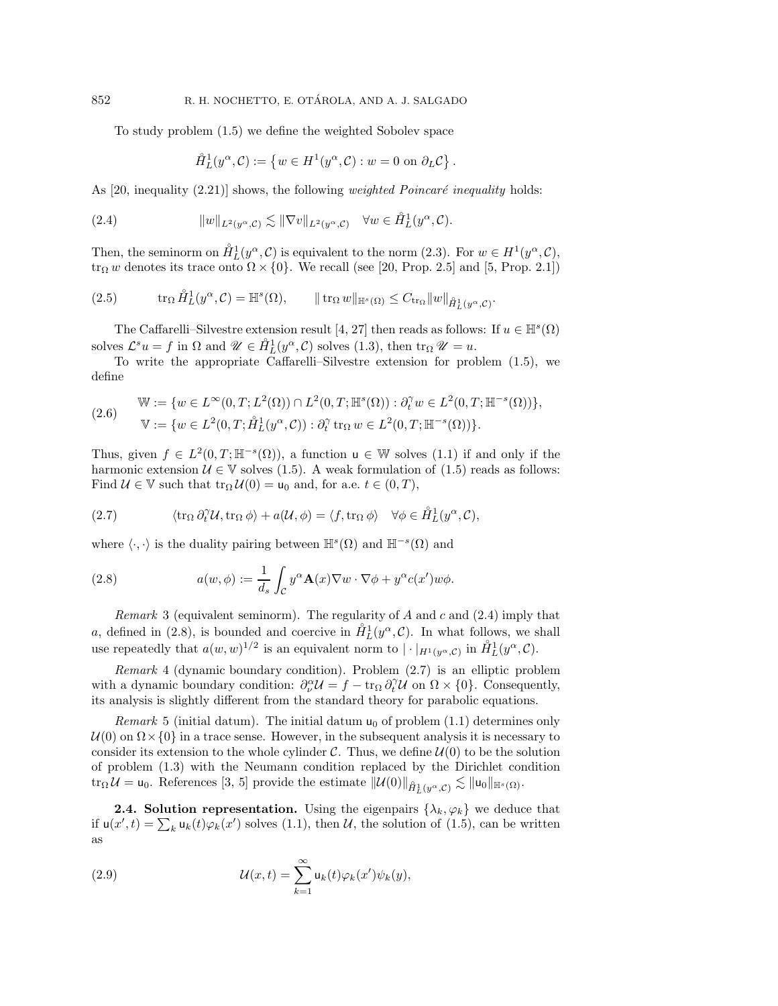To study problem [\(1.5\)](#page-1-2) we define the weighted Sobolev space

<span id="page-4-1"></span>
$$
\mathring{H}_L^1(y^\alpha, C) := \left\{ w \in H^1(y^\alpha, C) : w = 0 \text{ on } \partial_L C \right\}.
$$

As  $[20,$  inequality  $(2.21)$  shows, the following *weighted Poincaré inequality* holds:

(2.4) 
$$
||w||_{L^2(y^{\alpha}, \mathcal{C})} \lesssim ||\nabla v||_{L^2(y^{\alpha}, \mathcal{C})} \quad \forall w \in \hat{H}_L^1(y^{\alpha}, \mathcal{C}).
$$

Then, the seminorm on  $\mathring{H}^1_L(y^\alpha, \mathcal{C})$  is equivalent to the norm  $(2.3)$ . For  $w \in H^1(y^\alpha, \mathcal{C})$ , tr<sub>Ω</sub> w denotes its trace onto  $\Omega \times \{0\}$ . We recall (see [\[20,](#page-24-11) Prop. 2.5] and [\[5,](#page-24-2) Prop. 2.1])

<span id="page-4-6"></span>
$$
(2.5) \t tr_{\Omega} \tilde{H}_L^1(y^{\alpha}, \mathcal{C}) = \mathbb{H}^s(\Omega), \t || tr_{\Omega} w ||_{\mathbb{H}^s(\Omega)} \leq C_{\text{tr}_{\Omega}} ||w||_{\tilde{H}_L^1(y^{\alpha}, \mathcal{C})}.
$$

The Caffarelli–Silvestre extension result [\[4,](#page-24-1) [27\]](#page-25-1) then reads as follows: If  $u \in \mathbb{H}^s(\Omega)$ solves  $\mathcal{L}^s u = f$  in  $\Omega$  and  $\mathcal{U} \in \hat{H}_L^1(y^\alpha, \mathcal{C})$  solves [\(1.3\)](#page-1-0), then  $\text{tr}_\Omega \mathcal{U} = u$ .

To write the appropriate Caffarelli–Silvestre extension for problem [\(1.5\)](#page-1-2), we define

$$
\begin{aligned} \mathbb{W} &:= \{ w \in L^{\infty}(0,T;L^{2}(\Omega)) \cap L^{2}(0,T;\mathbb{H}^{s}(\Omega)) : \partial_{t}^{\gamma} w \in L^{2}(0,T;\mathbb{H}^{-s}(\Omega)) \}, \\ \mathbb{V} &:= \{ w \in L^{2}(0,T;\mathring{H}_{L}^{1}(y^{\alpha},\mathcal{C})) : \partial_{t}^{\gamma} \operatorname{tr}_{\Omega} w \in L^{2}(0,T;\mathbb{H}^{-s}(\Omega)) \}. \end{aligned}
$$

Thus, given  $f \in L^2(0,T;\mathbb{H}^{-s}(\Omega))$ , a function  $u \in \mathbb{W}$  solves [\(1.1\)](#page-0-0) if and only if the harmonic extension  $\mathcal{U} \in \mathbb{V}$  solves [\(1.5\)](#page-1-2). A weak formulation of (1.5) reads as follows: Find  $U \in \mathbb{V}$  such that  $\text{tr}_{\Omega} U(0) = \mathsf{u}_0$  and, for a.e.  $t \in (0, T)$ ,

<span id="page-4-3"></span>(2.7) 
$$
\langle \operatorname{tr}_{\Omega} \partial_t^{\gamma} \mathcal{U}, \operatorname{tr}_{\Omega} \phi \rangle + a(\mathcal{U}, \phi) = \langle f, \operatorname{tr}_{\Omega} \phi \rangle \quad \forall \phi \in \mathring{H}_L^1(y^{\alpha}, \mathcal{C}),
$$

where  $\langle \cdot, \cdot \rangle$  is the duality pairing between  $\mathbb{H}^s(\Omega)$  and  $\mathbb{H}^{-s}(\Omega)$  and

<span id="page-4-2"></span>(2.8) 
$$
a(w, \phi) := \frac{1}{d_s} \int_{\mathcal{C}} y^{\alpha} \mathbf{A}(x) \nabla w \cdot \nabla \phi + y^{\alpha} c(x') w \phi.
$$

<span id="page-4-5"></span>*Remark* 3 (equivalent seminorm). The regularity of A and c and [\(2.4\)](#page-4-1) imply that a, defined in [\(2.8\)](#page-4-2), is bounded and coercive in  $\mathring{H}_L^1(y^\alpha, \mathcal{C})$ . In what follows, we shall use repeatedly that  $a(w, w)^{1/2}$  is an equivalent norm to  $|\cdot|_{H^1(y^\alpha, \mathcal{C})}$  in  $\mathring{H}_L^1(y^\alpha, \mathcal{C})$ .

*Remark* 4 (dynamic boundary condition). Problem [\(2.7\)](#page-4-3) is an elliptic problem with a dynamic boundary condition:  $\partial_{\nu}^{\alpha}U = f - \text{tr}_{\Omega} \partial_{t}^{\gamma}U$  on  $\Omega \times \{0\}$ . Consequently, its analysis is slightly different from the standard theory for parabolic equations.

*Remark* 5 (initial datum). The initial datum  $u_0$  of problem [\(1.1\)](#page-0-0) determines only  $U(0)$  on  $\Omega\times\{0\}$  in a trace sense. However, in the subsequent analysis it is necessary to consider its extension to the whole cylinder  $\mathcal{C}$ . Thus, we define  $\mathcal{U}(0)$  to be the solution of problem [\(1.3\)](#page-1-0) with the Neumann condition replaced by the Dirichlet condition  $\text{tr}_{\Omega} \mathcal{U} = \mathsf{u}_0.$  References [\[3,](#page-24-0) [5\]](#page-24-2) provide the estimate  $\|\mathcal{U}(0)\|_{\hat{H}^1_L(y^{\alpha}, \mathcal{C})} \lesssim \|\mathsf{u}_0\|_{\mathbb{H}^s(\Omega)}$ .

<span id="page-4-0"></span>**2.4. Solution representation.** Using the eigenpairs  $\{\lambda_k, \varphi_k\}$  we deduce that if  $u(x',t) = \sum_k u_k(t)\varphi_k(x')$  solves [\(1.1\)](#page-0-0), then U, the solution of [\(1.5\)](#page-1-2), can be written as

<span id="page-4-4"></span>(2.9) 
$$
\mathcal{U}(x,t) = \sum_{k=1}^{\infty} \mathsf{u}_k(t) \varphi_k(x') \psi_k(y),
$$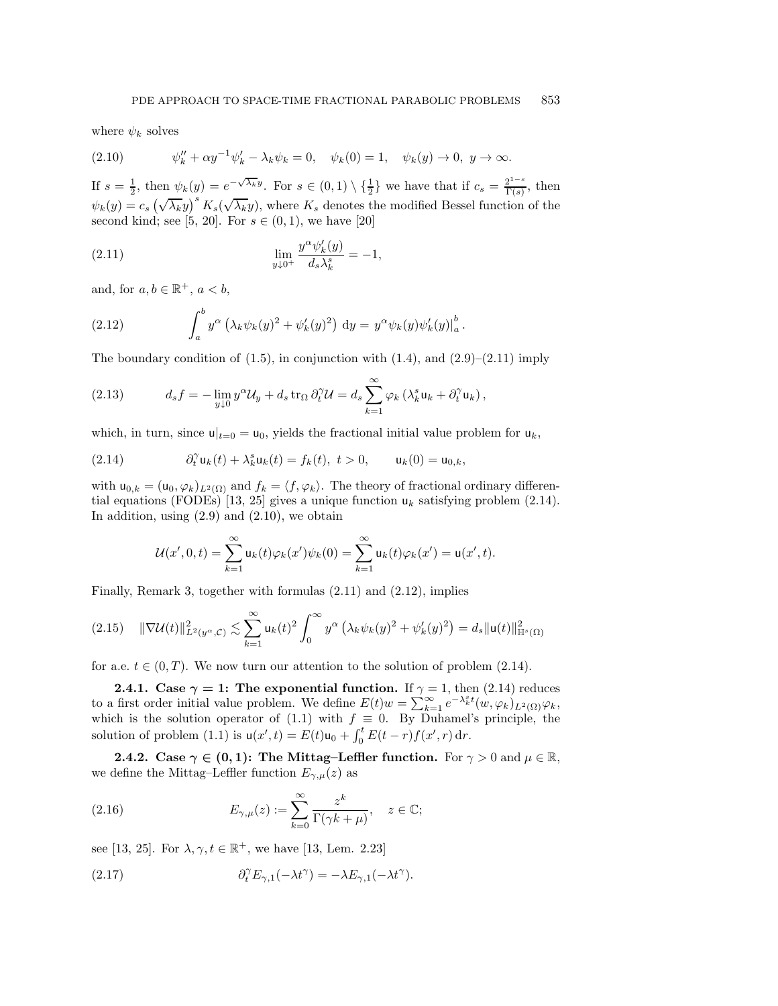where  $\psi_k$  solves

<span id="page-5-2"></span>(2.10) 
$$
\psi_k'' + \alpha y^{-1} \psi_k' - \lambda_k \psi_k = 0, \quad \psi_k(0) = 1, \quad \psi_k(y) \to 0, \ y \to \infty.
$$

If  $s = \frac{1}{2}$ , then  $\psi_k(y) = e^{-\sqrt{\lambda_k}y}$ . For  $s \in (0,1) \setminus \{\frac{1}{2}\}\$ we have that if  $c_s = \frac{2^{1-s}}{\Gamma(s)}$ , then  $\psi_k(y) = c_s \left(\sqrt{\lambda_k}y\right)^s K_s(\sqrt{\lambda_k}y)$ , where  $K_s$  denotes the modified Bessel function of the second kind; see [\[5,](#page-24-2) [20\]](#page-24-11). For  $s \in (0, 1)$ , we have [\[20\]](#page-24-11)

<span id="page-5-0"></span>(2.11) 
$$
\lim_{y \downarrow 0^+} \frac{y^{\alpha} \psi'_k(y)}{d_s \lambda^s_k} = -1,
$$

and, for  $a, b \in \mathbb{R}^+, a < b$ ,

<span id="page-5-3"></span>(2.12) 
$$
\int_a^b y^{\alpha} (\lambda_k \psi_k(y)^2 + \psi'_k(y)^2) dy = y^{\alpha} \psi_k(y) \psi'_k(y)|_a^b.
$$

The boundary condition of  $(1.5)$ , in conjunction with  $(1.4)$ , and  $(2.9)$ – $(2.11)$  imply

<span id="page-5-8"></span>(2.13) 
$$
d_s f = -\lim_{y \downarrow 0} y^{\alpha} \mathcal{U}_y + d_s \operatorname{tr}_{\Omega} \partial_t^{\gamma} \mathcal{U} = d_s \sum_{k=1}^{\infty} \varphi_k \left( \lambda_k^s \mathbf{u}_k + \partial_t^{\gamma} \mathbf{u}_k \right),
$$

which, in turn, since  $u|_{t=0} = u_0$ , yields the fractional initial value problem for  $u_k$ ,

(2.14) 
$$
\partial_t^{\gamma} u_k(t) + \lambda_k^s u_k(t) = f_k(t), \ t > 0, \qquad u_k(0) = u_{0,k},
$$

with  $u_{0,k} = (u_0, \varphi_k)_{L^2(\Omega)}$  and  $f_k = \langle f, \varphi_k \rangle$ . The theory of fractional ordinary differen-tial equations (FODEs) [\[13,](#page-24-3) [25\]](#page-25-0) gives a unique function  $u_k$  satisfying problem [\(2.14\)](#page-5-1). In addition, using  $(2.9)$  and  $(2.10)$ , we obtain

<span id="page-5-1"></span>
$$
\mathcal{U}(x',0,t) = \sum_{k=1}^{\infty} \mathsf{u}_k(t)\varphi_k(x')\psi_k(0) = \sum_{k=1}^{\infty} \mathsf{u}_k(t)\varphi_k(x') = \mathsf{u}(x',t).
$$

Finally, Remark [3,](#page-4-5) together with formulas [\(2.11\)](#page-5-0) and [\(2.12\)](#page-5-3), implies

$$
(2.15) \quad \|\nabla \mathcal{U}(t)\|_{L^2(y^{\alpha}, \mathcal{C})}^2 \lesssim \sum_{k=1}^{\infty} \mathsf{u}_k(t)^2 \int_0^{\infty} y^{\alpha} \left(\lambda_k \psi_k(y)^2 + \psi'_k(y)^2\right) = d_s \|\mathsf{u}(t)\|_{\mathbb{H}^s(\Omega)}^2
$$

<span id="page-5-5"></span>for a.e.  $t \in (0, T)$ . We now turn our attention to the solution of problem [\(2.14\)](#page-5-1).

**2.4.1.** Case  $\gamma = 1$ : The exponential function. If  $\gamma = 1$ , then [\(2.14\)](#page-5-1) reduces to a first order initial value problem. We define  $E(t)w = \sum_{k=1}^{\infty} e^{-\lambda_k^s t} (w, \varphi_k)_{L^2(\Omega)} \varphi_k$ , which is the solution operator of [\(1.1\)](#page-0-0) with  $f \equiv 0$ . By Duhamel's principle, the solution of problem [\(1.1\)](#page-0-0) is  $u(x', t) = E(t)u_0 + \int_0^t E(t - r) f(x', r) dr$ .

<span id="page-5-6"></span>**2.4.2.** Case  $\gamma \in (0,1)$ : The Mittag–Leffler function. For  $\gamma > 0$  and  $\mu \in \mathbb{R}$ , we define the Mittag–Leffler function  $E_{\gamma,\mu}(z)$  as

<span id="page-5-7"></span>(2.16) 
$$
E_{\gamma,\mu}(z) := \sum_{k=0}^{\infty} \frac{z^k}{\Gamma(\gamma k + \mu)}, \quad z \in \mathbb{C};
$$

see [\[13,](#page-24-3) [25\]](#page-25-0). For  $\lambda, \gamma, t \in \mathbb{R}^+$ , we have [13, Lem. 2.23]

<span id="page-5-4"></span>(2.17) 
$$
\partial_t^{\gamma} E_{\gamma,1}(-\lambda t^{\gamma}) = -\lambda E_{\gamma,1}(-\lambda t^{\gamma}).
$$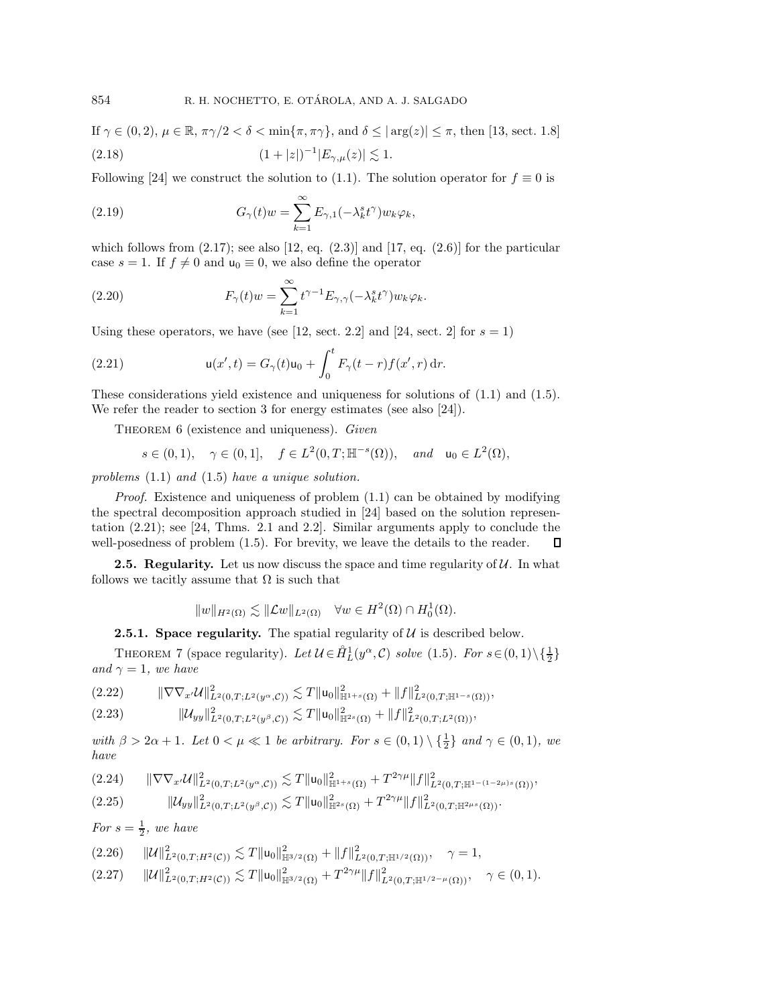<span id="page-6-4"></span>If 
$$
\gamma \in (0, 2)
$$
,  $\mu \in \mathbb{R}$ ,  $\pi \gamma/2 < \delta < \min{\lbrace \pi, \pi \gamma \rbrace}$ , and  $\delta \le |\arg(z)| \le \pi$ , then [13, sect. 1.8]  
(2.18)  $(1+|z|)^{-1}|E_{\gamma,\mu}(z)| \lesssim 1$ .

Following [\[24\]](#page-24-13) we construct the solution to [\(1.1\)](#page-0-0). The solution operator for  $f \equiv 0$  is

(2.19) 
$$
G_{\gamma}(t)w = \sum_{k=1}^{\infty} E_{\gamma,1}(-\lambda_k^s t^{\gamma})w_k \varphi_k,
$$

which follows from  $(2.17)$ ; see also  $[12, eq. (2.3)]$  $[12, eq. (2.3)]$  and  $[17, eq. (2.6)]$  $[17, eq. (2.6)]$  for the particular case  $s = 1$ . If  $f \neq 0$  and  $u_0 \equiv 0$ , we also define the operator

<span id="page-6-10"></span>(2.20) 
$$
F_{\gamma}(t)w = \sum_{k=1}^{\infty} t^{\gamma-1} E_{\gamma,\gamma}(-\lambda_k^s t^{\gamma}) w_k \varphi_k.
$$

Using these operators, we have (see [\[12,](#page-24-6) sect. 2.2] and [\[24,](#page-24-13) sect. 2] for  $s = 1$ ]

(2.21) 
$$
\mathsf{u}(x',t) = G_{\gamma}(t)\mathsf{u}_0 + \int_0^t F_{\gamma}(t-r)f(x',r)\,\mathrm{d}r.
$$

These considerations yield existence and uniqueness for solutions of [\(1.1\)](#page-0-0) and [\(1.5\)](#page-1-2). We refer the reader to section [3](#page-10-1) for energy estimates (see also [\[24\]](#page-24-13)).

THEOREM 6 (existence and uniqueness). *Given* 

<span id="page-6-1"></span>
$$
s\in(0,1),\quad \gamma\in(0,1],\quad f\in L^2(0,T;\mathbb H^{-s}(\Omega)),\quad and\quad \mathsf u_0\in L^2(\Omega),
$$

*problems* [\(1.1\)](#page-0-0) *and* [\(1.5\)](#page-1-2) *have a unique solution.*

*Proof.* Existence and uniqueness of problem  $(1.1)$  can be obtained by modifying the spectral decomposition approach studied in [\[24\]](#page-24-13) based on the solution representation [\(2.21\)](#page-6-1); see [\[24,](#page-24-13) Thms. 2.1 and 2.2]. Similar arguments apply to conclude the well-posedness of problem [\(1.5\)](#page-1-2). For brevity, we leave the details to the reader.  $\Box$ 

**2.5. Regularity.** Let us now discuss the space and time regularity of  $U$ . In what follows we tacitly assume that  $\Omega$  is such that

$$
||w||_{H^2(\Omega)} \lesssim ||\mathcal{L}w||_{L^2(\Omega)} \quad \forall w \in H^2(\Omega) \cap H_0^1(\Omega).
$$

<span id="page-6-0"></span>**2.5.1. Space regularity.** The spatial regularity of  $U$  is described below.

<span id="page-6-9"></span>THEOREM 7 (space regularity). Let  $\mathcal{U} \in \mathring{H}_L^1(y^\alpha, \mathcal{C})$  solve [\(1.5\)](#page-1-2). For  $s \in (0, 1) \setminus \{\frac{1}{2}\}\$ *and*  $\gamma = 1$ *, we have* 

<span id="page-6-2"></span>
$$
(2.22) \t\t\t\t\|\nabla\nabla_{x'}\mathcal{U}\|_{L^{2}(0,T;L^{2}(y^{\alpha},\mathcal{C}))}^{2} \lesssim T\|u_{0}\|_{\mathbb{H}^{1+s}(\Omega)}^{2} + \|f\|_{L^{2}(0,T;\mathbb{H}^{1-s}(\Omega))}^{2},
$$

<span id="page-6-3"></span>
$$
(2.23) \t\t\t ||\mathcal{U}_{yy}||^2_{L^2(0,T;L^2(y^\beta,\mathcal{C}))} \lesssim T||\mathsf{u}_0||^2_{\mathbb{H}^{2s}(\Omega)} + ||f||^2_{L^2(0,T;L^2(\Omega))},
$$

*with*  $\beta > 2\alpha + 1$ *. Let*  $0 < \mu \ll 1$  *be arbitrary. For*  $s \in (0,1) \setminus \{\frac{1}{2}\}\$  *and*  $\gamma \in (0,1)$ *, we have*

<span id="page-6-5"></span>
$$
(2.24) \qquad \|\nabla \nabla_{x'} \mathcal{U}\|_{L^{2}(0,T;L^{2}(y^{\alpha},\mathcal{C}))}^{2} \lesssim T \|u_{0}\|_{\mathbb{H}^{1+s}(\Omega)}^{2} + T^{2\gamma\mu} \|f\|_{L^{2}(0,T;\mathbb{H}^{1-(1-2\mu)s}(\Omega))}^{2},
$$

<span id="page-6-6"></span>
$$
(2.25) \t\t ||\mathcal{U}_{yy}||_{L^{2}(0,T;L^{2}(y^{\beta},\mathcal{C}))}^{2} \lesssim T||\mathbf{u}_{0}||_{\mathbb{H}^{2s}(\Omega)}^{2} + T^{2\gamma\mu}||f||_{L^{2}(0,T;\mathbb{H}^{2\mu_{s}}(\Omega))}^{2}.
$$

*For*  $s = \frac{1}{2}$ *, we have* 

- <span id="page-6-7"></span> $(2.26)$   $\|U\|_{L^{2}(0,T;H^{2}(\mathcal{C}))}^{2} \lesssim T \|u_{0}\|_{\mathbb{H}^{3/2}(\Omega)}^{2} + \|f\|_{L^{2}(0,T;\mathbb{H}^{1/2}(\Omega))}^{2}, \quad \gamma=1,$
- <span id="page-6-8"></span> $(2.27)$   $\|\mathcal{U}\|_{L^{2}(0,T;H^{2}(\mathcal{C}))}^{2} \lesssim T\|\mathsf{u}_{0}\|_{\mathbb{H}^{3/2}(\Omega)}^{2} + T^{2\gamma\mu}\|f\|_{L^{2}(0,T;\mathbb{H}^{1/2-\mu}(\Omega))}^{2}, \quad \gamma \in (0,1).$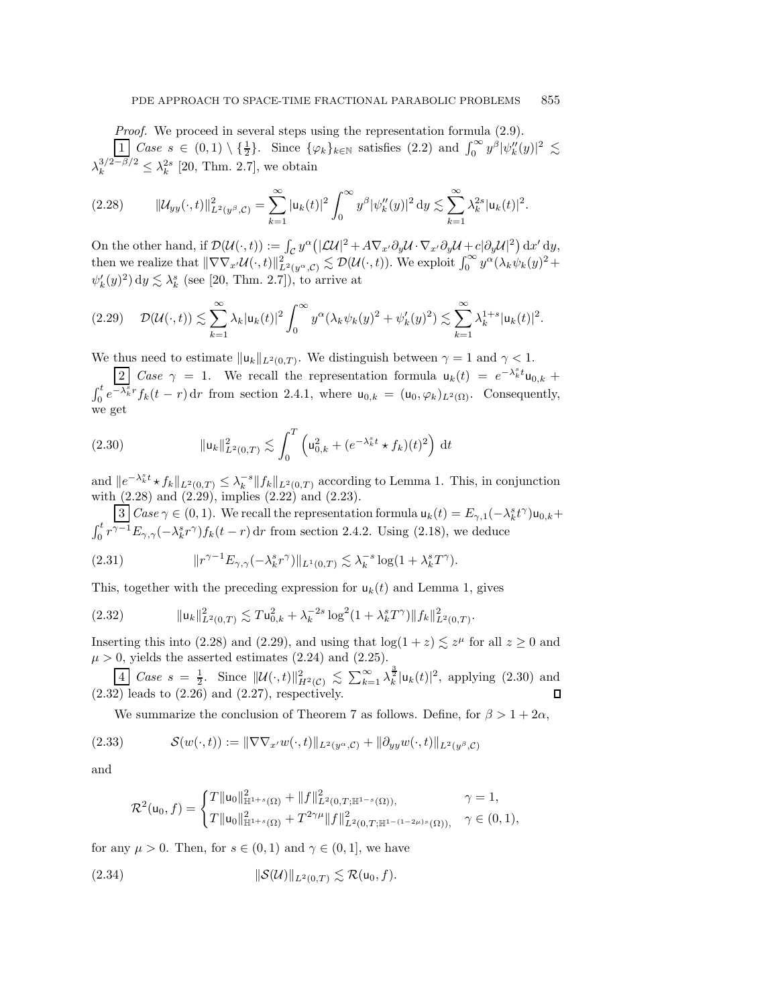*Proof.* We proceed in several steps using the representation formula  $(2.9)$ .  $\frac{1}{2} \text{Case } s \in (0,1) \setminus \{\frac{1}{2}\}.$  Since  $\{\varphi_k\}_{k \in \mathbb{N}}$  satisfies  $(2.2)$  and  $\int_0^\infty y^\beta |\psi_k''(y)|^2 \lesssim$  $\lambda_k^{3/2-\beta/2} \leq \lambda_k^{2s}$  [\[20,](#page-24-11) Thm. 2.7], we obtain

<span id="page-7-0"></span>
$$
(2.28) \t\t ||\mathcal{U}_{yy}(\cdot,t)||_{L^{2}(y^{\beta},\mathcal{C})}^{2} = \sum_{k=1}^{\infty} |u_{k}(t)|^{2} \int_{0}^{\infty} y^{\beta} |\psi_{k}''(y)|^{2} dy \lesssim \sum_{k=1}^{\infty} \lambda_{k}^{2s} |u_{k}(t)|^{2}.
$$

On the other hand, if  $\mathcal{D}(\mathcal{U}(\cdot,t)) := \int_{\mathcal{C}} y^{\alpha} \left( |\mathcal{L} \mathcal{U}|^2 + A \nabla_{x'} \partial_y \mathcal{U} \cdot \nabla_{x'} \partial_y \mathcal{U} + c |\partial_y \mathcal{U}|^2 \right) dx' dy$ then we realize that  $\|\nabla \nabla_{x'} \mathcal{U}(\cdot, t)\|_{L^2(y^{\alpha}, \mathcal{C})}^2 \lesssim \mathcal{D}(\mathcal{U}(\cdot, t))$ . We exploit  $\int_0^{\infty} y^{\alpha} (\lambda_k \psi_k(y)^2 +$  $\psi'_k(y)^2$  dy  $\lesssim \lambda_k^s$  (see [\[20,](#page-24-11) Thm. 2.7]), to arrive at

<span id="page-7-1"></span>
$$
(2.29) \quad \mathcal{D}(\mathcal{U}(\cdot,t)) \lesssim \sum_{k=1}^{\infty} \lambda_k |u_k(t)|^2 \int_0^{\infty} y^{\alpha} (\lambda_k \psi_k(y)^2 + \psi'_k(y)^2) \lesssim \sum_{k=1}^{\infty} \lambda_k^{1+s} |u_k(t)|^2.
$$

We thus need to estimate  $||u_k||_{L^2(0,T)}$ . We distinguish between  $\gamma = 1$  and  $\gamma < 1$ .

2 *Case*  $\gamma = 1$ . We recall the representation formula  $u_k(t) = e^{-\lambda_k^s t} u_{0,k}$  +  $\int_0^t e^{-\lambda_k^s r} f_k(t - r) dr$  from section [2.4.1,](#page-5-5) where  $u_{0,k} = (u_0, \varphi_k)_{L^2(\Omega)}$ . Consequently, we get

<span id="page-7-2"></span>(2.30) 
$$
\|u_k\|_{L^2(0,T)}^2 \lesssim \int_0^T \left(u_{0,k}^2 + (e^{-\lambda_k^s t} \star f_k)(t)^2\right) dt
$$

and  $||e^{-\lambda_k^s t} \star f_k||_{L^2(0,T)} \leq \lambda_k^{-s} ||f_k||_{L^2(0,T)}$  according to Lemma [1.](#page-3-4) This, in conjunction with  $(2.28)$  and  $(2.29)$ , implies  $(2.22)$  and  $(2.23)$ .

3 *Case*  $\gamma \in (0, 1)$ . We recall the representation formula  $u_k(t) = E_{\gamma,1}(-\lambda_k^s t^{\gamma})u_{0,k} +$  $\int_0^t r^{\gamma-1} E_{\gamma,\gamma}(-\lambda_k^s r^{\gamma}) f_k(t-r) dr$  from section [2.4.2.](#page-5-6) Using [\(2.18\)](#page-6-4), we deduce

<span id="page-7-4"></span>(2.31) 
$$
\|r^{\gamma - 1} E_{\gamma, \gamma}(-\lambda_k^s r^{\gamma})\|_{L^1(0,T)} \lesssim \lambda_k^{-s} \log(1 + \lambda_k^s T^{\gamma}).
$$

This, together with the preceding expression for  $u_k(t)$  and Lemma [1,](#page-3-4) gives

<span id="page-7-3"></span>(2.32) 
$$
\|u_k\|_{L^2(0,T)}^2 \lesssim T u_{0,k}^2 + \lambda_k^{-2s} \log^2(1+\lambda_k^s T^{\gamma}) \|f_k\|_{L^2(0,T)}^2.
$$

Inserting this into [\(2.28\)](#page-7-0) and [\(2.29\)](#page-7-1), and using that  $log(1+z) \lesssim z^{\mu}$  for all  $z \geq 0$  and  $\mu > 0$ , yields the asserted estimates [\(2.24\)](#page-6-5) and [\(2.25\)](#page-6-6).

 $\frac{4}{2} \text{Case } s = \frac{1}{2}$ . Since  $\|\mathcal{U}(\cdot,t)\|_{H^2(\mathcal{C})}^2 \lesssim \sum_{k=1}^{\infty} \lambda_k^{\frac{3}{2}} |u_k(t)|^2$ , applying [\(2.30\)](#page-7-2) and  $(2.32)$  leads to  $(2.26)$  and  $(2.27)$ , respectively.

<span id="page-7-5"></span>We summarize the conclusion of Theorem [7](#page-6-9) as follows. Define, for  $\beta > 1+2\alpha$ ,

(2.33) 
$$
\mathcal{S}(w(\cdot,t)) := \|\nabla \nabla_{x'} w(\cdot,t)\|_{L^2(y^{\alpha},\mathcal{C})} + \|\partial_{yy} w(\cdot,t)\|_{L^2(y^{\beta},\mathcal{C})}
$$

and

<span id="page-7-6"></span>
$$
\mathcal{R}^{2}(\mathsf{u}_{0},f) = \begin{cases} T \|\mathsf{u}_{0}\|_{\mathbb{H}^{1+s}(\Omega)}^{2} + \|f\|_{L^{2}(0,T;\mathbb{H}^{1-s}(\Omega))}^{2}, & \gamma = 1, \\ T \|\mathsf{u}_{0}\|_{\mathbb{H}^{1+s}(\Omega)}^{2} + T^{2\gamma\mu} \|f\|_{L^{2}(0,T;\mathbb{H}^{1-(1-2\mu)s}(\Omega))}^{2}, & \gamma \in (0,1), \end{cases}
$$

for any  $\mu > 0$ . Then, for  $s \in (0,1)$  and  $\gamma \in (0,1]$ , we have

(2.34) S(U) <sup>L</sup>2(0,T) -R(u0, f).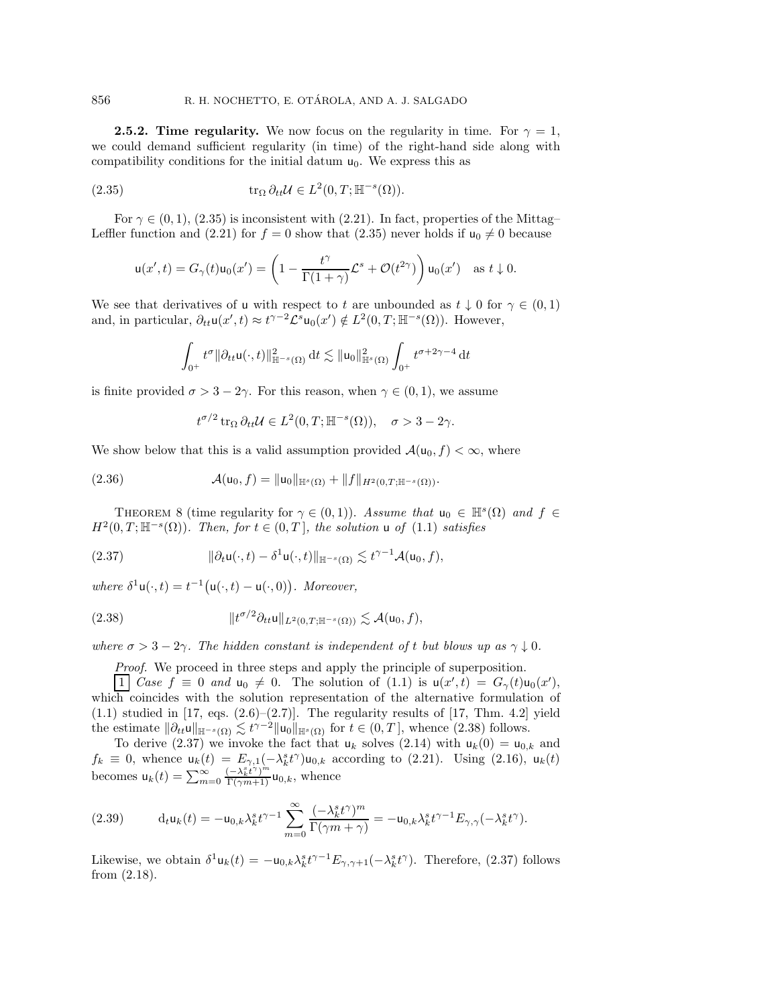<span id="page-8-0"></span>**2.5.2. Time regularity.** We now focus on the regularity in time. For  $\gamma = 1$ , we could demand sufficient regularity (in time) of the right-hand side along with compatibility conditions for the initial datum  $u_0$ . We express this as

(2.35) 
$$
\operatorname{tr}_{\Omega} \partial_{tt} \mathcal{U} \in L^{2}(0,T; \mathbb{H}^{-s}(\Omega)).
$$

For  $\gamma \in (0,1)$ ,  $(2.35)$  is inconsistent with  $(2.21)$ . In fact, properties of the Mittag– Lefter function and [\(2.21\)](#page-6-1) for  $f = 0$  show that [\(2.35\)](#page-8-1) never holds if  $u_0 \neq 0$  because

<span id="page-8-1"></span>
$$
\mathsf{u}(x',t) = G_{\gamma}(t)\mathsf{u}_0(x') = \left(1 - \frac{t^{\gamma}}{\Gamma(1+\gamma)}\mathcal{L}^s + \mathcal{O}(t^{2\gamma})\right)\mathsf{u}_0(x') \quad \text{as } t \downarrow 0.
$$

We see that derivatives of u with respect to t are unbounded as  $t \downarrow 0$  for  $\gamma \in (0,1)$ and, in particular,  $\partial_{tt} \mathsf{u}(x',t) \approx t^{\gamma-2} \mathcal{L}^s \mathsf{u}_0(x') \notin L^2(0,T;\mathbb{H}^{-s}(\Omega))$ . However,

$$
\int_{0^+} t^{\sigma} \|\partial_{tt} \mathsf{u}(\cdot,t)\|_{\mathbb{H}^{-s}(\Omega)}^2 \, \mathrm{d} t \lesssim \|\mathsf{u}_0\|_{\mathbb{H}^{s}(\Omega)}^2 \int_{0^+} t^{\sigma+2\gamma-4} \, \mathrm{d} t
$$

is finite provided  $\sigma > 3 - 2\gamma$ . For this reason, when  $\gamma \in (0, 1)$ , we assume

<span id="page-8-6"></span>
$$
t^{\sigma/2} \operatorname{tr}_{\Omega} \partial_{tt} \mathcal{U} \in L^2(0,T; \mathbb{H}^{-s}(\Omega)), \quad \sigma > 3 - 2\gamma.
$$

We show below that this is a valid assumption provided  $\mathcal{A}(u_0, f) < \infty$ , where

(2.36) 
$$
\mathcal{A}(\mathsf{u}_0,f) = \|\mathsf{u}_0\|_{\mathbb{H}^s(\Omega)} + \|f\|_{H^2(0,T;\mathbb{H}^{-s}(\Omega))}.
$$

<span id="page-8-5"></span>THEOREM 8 (time regularity for  $\gamma \in (0,1)$ ). Assume that  $u_0 \in \mathbb{H}^s(\Omega)$  and  $f \in$  $H^2(0,T;\mathbb{H}^{-s}(\Omega))$ *. Then, for*  $t \in (0,T]$ *, the solution* u *of*  $(1.1)$  *satisfies* 

<span id="page-8-3"></span>(2.37) 
$$
\|\partial_t \mathbf{u}(\cdot,t) - \delta^1 \mathbf{u}(\cdot,t)\|_{\mathbb{H}^{-s}(\Omega)} \lesssim t^{\gamma-1} \mathcal{A}(\mathbf{u}_0,f),
$$

where  $\delta^1\mathsf{u}(\cdot,t) = t^{-1}(\mathsf{u}(\cdot,t) - \mathsf{u}(\cdot,0))$ . Moreover,

$$
(2.38) \t\t\t\t\t||t^{\sigma/2}\partial_{tt}u||_{L^2(0,T;\mathbb{H}^{-s}(\Omega))} \lesssim \mathcal{A}(u_0,f),
$$

*where*  $\sigma > 3 - 2\gamma$ *. The hidden constant is independent of t but blows up as*  $\gamma \downarrow 0$ *.* 

<span id="page-8-2"></span>*Proof.* We proceed in three steps and apply the principle of superposition.

1 *Case*  $f \equiv 0$  *and*  $u_0 \neq 0$ . The solution of [\(1.1\)](#page-0-0) is  $u(x', t) = G_{\gamma}(t)u_0(x')$ , which coincides with the solution representation of the alternative formulation of  $(1.1)$  studied in [\[17,](#page-24-9) eqs.  $(2.6)$ – $(2.7)$ ]. The regularity results of [17, Thm. 4.2] yield the estimate  $\|\partial_{tt}u\|_{\mathbb{H}^{-s}(\Omega)} \lesssim t^{\gamma-2} \|u_0\|_{\mathbb{H}^{s}(\Omega)}$  for  $t \in (0,T]$ , whence  $(2.38)$  follows.

To derive [\(2.37\)](#page-8-3) we invoke the fact that  $u_k$  solves [\(2.14\)](#page-5-1) with  $u_k(0) = u_{0,k}$  and  $f_k \equiv 0$ , whence  $u_k(t) = E_{\gamma,1}(-\lambda_k^s t^\gamma)u_{0,k}$  according to [\(2.21\)](#page-6-1). Using [\(2.16\)](#page-5-7),  $u_k(t)$ becomes  $u_k(t) = \sum_{m=0}^{\infty} \frac{(-\lambda_k^s t^{\gamma})^m}{\Gamma(\gamma m+1)} u_{0,k}$ , whence

<span id="page-8-4"></span>(2.39) 
$$
\mathrm{d}_t \mathbf{u}_k(t) = -\mathbf{u}_{0,k} \lambda_k^s t^{\gamma-1} \sum_{m=0}^{\infty} \frac{(-\lambda_k^s t^{\gamma})^m}{\Gamma(\gamma m + \gamma)} = -\mathbf{u}_{0,k} \lambda_k^s t^{\gamma-1} E_{\gamma,\gamma}(-\lambda_k^s t^{\gamma}).
$$

Likewise, we obtain  $\delta^1 \mathbf{u}_k(t) = -\mathbf{u}_{0,k} \lambda_k^s t^{\gamma-1} E_{\gamma,\gamma+1}(-\lambda_k^s t^{\gamma})$ . Therefore, [\(2.37\)](#page-8-3) follows from [\(2.18\)](#page-6-4).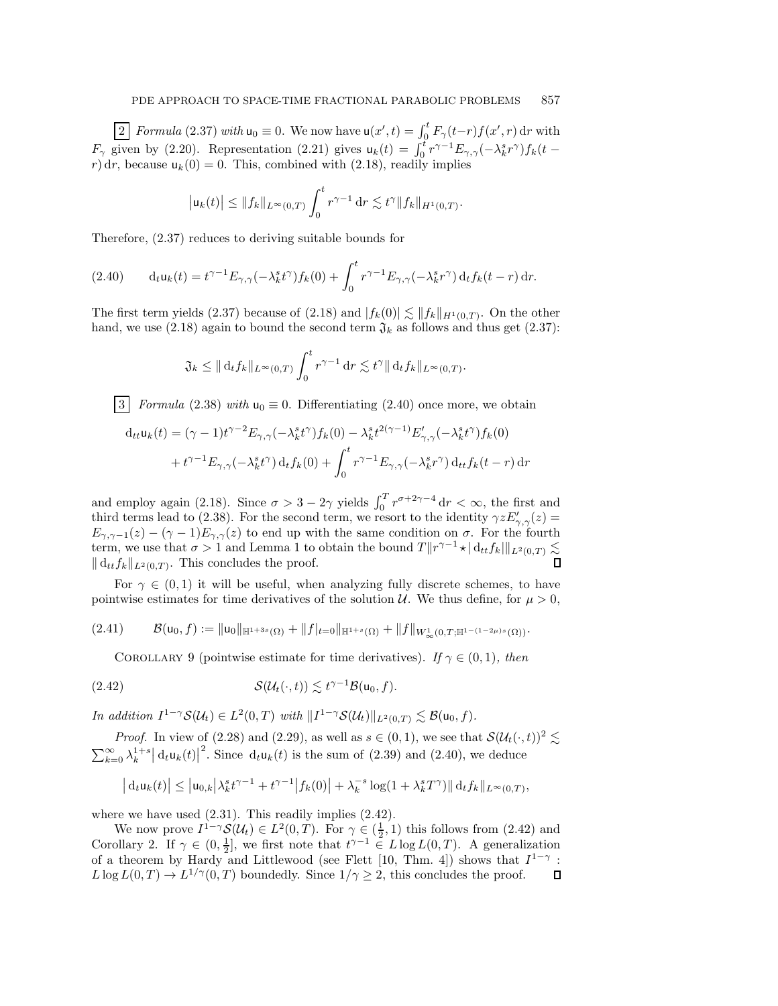2 *Formula* [\(2.37\)](#page-8-3) *with*  $u_0 \equiv 0$ . We now have  $u(x', t) = \int_0^t F_\gamma(t-r) f(x', r) dr$  with  $F_{\gamma}$  given by [\(2.20\)](#page-6-10). Representation [\(2.21\)](#page-6-1) gives  $u_k(t) = \int_0^t r^{\gamma-1} E_{\gamma,\gamma}(-\lambda_k^s r^{\gamma}) f_k(t$ r) dr, because  $u_k(0) = 0$ . This, combined with [\(2.18\)](#page-6-4), readily implies

$$
\left| \mathsf{u}_k(t) \right| \leq \| f_k \|_{L^{\infty}(0,T)} \int_0^t r^{\gamma-1} \, dr \lesssim t^{\gamma} \| f_k \|_{H^1(0,T)}.
$$

Therefore, [\(2.37\)](#page-8-3) reduces to deriving suitable bounds for

<span id="page-9-0"></span>
$$
(2.40) \t\t d_t u_k(t) = t^{\gamma - 1} E_{\gamma, \gamma}(-\lambda_k^s t^{\gamma}) f_k(0) + \int_0^t r^{\gamma - 1} E_{\gamma, \gamma}(-\lambda_k^s r^{\gamma}) d_t f_k(t - r) dr.
$$

The first term yields [\(2.37\)](#page-8-3) because of [\(2.18\)](#page-6-4) and  $|f_k(0)| \lesssim ||f_k||_{H^1(0,T)}$ . On the other hand, we use [\(2.18\)](#page-6-4) again to bound the second term  $\mathfrak{J}_k$  as follows and thus get [\(2.37\)](#page-8-3):

$$
\mathfrak{J}_k \leq \|\mathbf{d}_t f_k\|_{L^\infty(0,T)} \int_0^t r^{\gamma-1} \mathbf{d} r \lesssim t^\gamma \|\mathbf{d}_t f_k\|_{L^\infty(0,T)}.
$$

3 *Formula* [\(2.38\)](#page-8-2) *with*  $u_0 \equiv 0$ . Differentiating [\(2.40\)](#page-9-0) once more, we obtain

$$
d_{tt}u_k(t) = (\gamma - 1)t^{\gamma - 2} E_{\gamma, \gamma}(-\lambda_k^s t^{\gamma}) f_k(0) - \lambda_k^s t^{2(\gamma - 1)} E'_{\gamma, \gamma}(-\lambda_k^s t^{\gamma}) f_k(0)
$$
  
+  $t^{\gamma - 1} E_{\gamma, \gamma}(-\lambda_k^s t^{\gamma}) d_t f_k(0) + \int_0^t r^{\gamma - 1} E_{\gamma, \gamma}(-\lambda_k^s r^{\gamma}) d_{tt} f_k(t - r) dr$ 

and employ again [\(2.18\)](#page-6-4). Since  $\sigma > 3 - 2\gamma$  yields  $\int_0^T r^{\sigma+2\gamma-4} dr < \infty$ , the first and third terms lead to [\(2.38\)](#page-8-2). For the second term, we resort to the identity  $\gamma z E'_{\gamma,\gamma}(z) =$  $E_{\gamma,\gamma-1}(z) - (\gamma - 1)E_{\gamma,\gamma}(z)$  to end up with the same condition on  $\sigma$ . For the fourth term, we use that  $\sigma > 1$  $\sigma > 1$  and Lemma 1 to obtain the bound  $T ||r^{\gamma-1} \star || \mathrm{d}_{tt} f_k||_{L^2(0,T)} \lesssim$  $\|\,d_{tt}f_k\|_{L^2(0,T)}$ . This concludes the proof.

For  $\gamma \in (0,1)$  it will be useful, when analyzing fully discrete schemes, to have pointwise estimates for time derivatives of the solution  $\mathcal{U}$ . We thus define, for  $\mu > 0$ ,

<span id="page-9-2"></span>
$$
(2.41) \qquad \mathcal{B}(u_0,f):=\|u_0\|_{\mathbb{H}^{1+3s}(\Omega)}+\|f|_{t=0}\|_{\mathbb{H}^{1+s}(\Omega)}+\|f\|_{W^1_\infty(0,T;\mathbb{H}^{1-(1-2\mu)s}(\Omega))}.
$$

<span id="page-9-3"></span><span id="page-9-1"></span>COROLLARY 9 (pointwise estimate for time derivatives). *If*  $\gamma \in (0,1)$ *, then* 

(2.42) 
$$
\mathcal{S}(\mathcal{U}_t(\cdot,t)) \lesssim t^{\gamma-1} \mathcal{B}(\mathsf{u}_0,f).
$$

*In addition*  $I^{1-\gamma}S(\mathcal{U}_t) \in L^2(0,T)$  *with*  $||I^{1-\gamma}S(\mathcal{U}_t)||_{L^2(0,T)} \lesssim \mathcal{B}(\mathsf{u}_0,f)$ *.* 

*Proof.* In view of [\(2.28\)](#page-7-0) and [\(2.29\)](#page-7-1), as well as  $s \in (0, 1)$ , we see that  $\mathcal{S}(\mathcal{U}_t(\cdot, t))^2 \lesssim$  $\sum_{k=0}^{\infty} \lambda_k^{1+s} \, du_k(t)$ <sup>2</sup>. Since  $d_t u_k(t)$  is the sum of [\(2.39\)](#page-8-4) and [\(2.40\)](#page-9-0), we deduce

$$
|d_t u_k(t)| \leq |u_{0,k}| \lambda_k^s t^{\gamma-1} + t^{\gamma-1} |f_k(0)| + \lambda_k^{-s} \log(1 + \lambda_k^s T^{\gamma}) || d_t f_k ||_{L^{\infty}(0,T)},
$$

where we have used  $(2.31)$ . This readily implies  $(2.42)$ .

We now prove  $I^{1-\gamma}S(\mathcal{U}_t) \in L^2(0,T)$ . For  $\gamma \in (\frac{1}{2}, 1)$  this follows from  $(2.42)$  and Corollary [2.](#page-3-5) If  $\gamma \in (0, \frac{1}{2}]$ , we first note that  $t^{\gamma - 1} \in L \log L(0, T)$ . A generalization of a theorem by Hardy and Littlewood (see Flett [\[10,](#page-24-14) Thm. 4]) shows that  $I^{1-\gamma}$ :  $L \log L(0, T) \to L^{1/\gamma}(0, T)$  boundedly. Since  $1/\gamma \geq 2$ , this concludes the proof.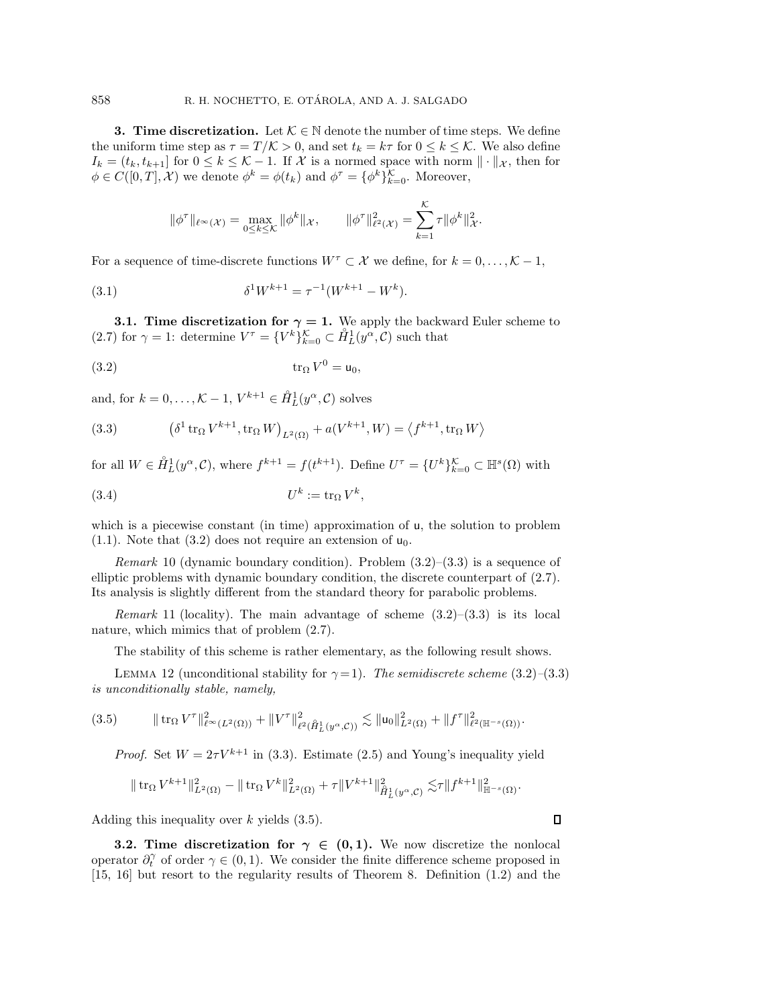<span id="page-10-1"></span>**3. Time discretization.** Let  $K \in \mathbb{N}$  denote the number of time steps. We define the uniform time step as  $\tau = T/\mathcal{K} > 0$ , and set  $t_k = k\tau$  for  $0 \le k \le \mathcal{K}$ . We also define  $I_k = (t_k, t_{k+1}]$  for  $0 \leq k \leq \mathcal{K}-1$ . If X is a normed space with norm  $\|\cdot\|_{\mathcal{X}}$ , then for  $\phi \in C([0, T], \mathcal{X})$  we denote  $\phi^k = \phi(t_k)$  and  $\phi^{\tau} = {\phi^k}_{k=0}^{\mathcal{K}}$ . Moreover,

<span id="page-10-6"></span>
$$
\|\phi^{\tau}\|_{\ell^{\infty}(\mathcal{X})} = \max_{0 \leq k \leq K} \|\phi^k\|_{\mathcal{X}}, \qquad \|\phi^{\tau}\|_{\ell^2(\mathcal{X})}^2 = \sum_{k=1}^K \tau \|\phi^k\|_{\mathcal{X}}^2.
$$

For a sequence of time-discrete functions  $W^{\tau} \subset \mathcal{X}$  we define, for  $k = 0, \ldots, \mathcal{K} - 1$ ,

(3.1) 
$$
\delta^1 W^{k+1} = \tau^{-1} (W^{k+1} - W^k).
$$

<span id="page-10-5"></span>**3.1. Time discretization for**  $\gamma = 1$ . We apply the backward Euler scheme to [\(2.7\)](#page-4-3) for  $\gamma = 1$ : determine  $V^{\tau} = \{V^k\}_{k=0}^{\mathcal{K}} \subset \mathring{H}_L^1(y^{\alpha}, \mathcal{C})$  such that

<span id="page-10-2"></span>
$$
\operatorname{tr}_{\Omega} V^0 = \mathsf{u}_0,
$$

and, for  $k = 0, ..., K - 1, V^{k+1} \in \mathring{H}_L^1(y^\alpha, \mathcal{C})$  solves

<span id="page-10-3"></span>(3.3) 
$$
(\delta^{1} \operatorname{tr}_{\Omega} V^{k+1}, \operatorname{tr}_{\Omega} W)_{L^{2}(\Omega)} + a(V^{k+1}, W) = \langle f^{k+1}, \operatorname{tr}_{\Omega} W \rangle
$$

for all  $W \in \mathring{H}_L^1(y^\alpha, \mathcal{C})$ , where  $f^{k+1} = f(t^{k+1})$ . Define  $U^\tau = \{U^k\}_{k=0}^\mathcal{K} \subset \mathbb{H}^s(\Omega)$  with

(3.4) U<sup>k</sup> := tr<sup>Ω</sup> V <sup>k</sup>,

which is a piecewise constant (in time) approximation of u, the solution to problem  $(1.1)$ . Note that  $(3.2)$  does not require an extension of  $u_0$ .

*Remark* 10 (dynamic boundary condition). Problem [\(3.2\)](#page-10-2)–[\(3.3\)](#page-10-3) is a sequence of elliptic problems with dynamic boundary condition, the discrete counterpart of [\(2.7\)](#page-4-3). Its analysis is slightly different from the standard theory for parabolic problems.

*Remark* 11 (locality). The main advantage of scheme  $(3.2)$ – $(3.3)$  is its local nature, which mimics that of problem [\(2.7\)](#page-4-3).

The stability of this scheme is rather elementary, as the following result shows.

<span id="page-10-7"></span>LEMMA 12 (unconditional stability for  $\gamma = 1$ ). *The semidiscrete scheme* [\(3.2\)](#page-10-2)–[\(3.3\)](#page-10-3) *is unconditionally stable, namely,*

(3.5) tr<sup>Ω</sup> V <sup>τ</sup> <sup>2</sup> <sup>∞</sup>(L2(Ω)) + V <sup>τ</sup> <sup>2</sup> <sup>2</sup>( ◦ H<sup>1</sup> *<sup>L</sup>*(y*α*,C)) - u<sup>0</sup> <sup>2</sup> <sup>L</sup>2(Ω) + f <sup>τ</sup> <sup>2</sup> <sup>2</sup>(H−*s*(Ω)).

<span id="page-10-4"></span>*Proof.* Set  $W = 2\tau V^{k+1}$  in [\(3.3\)](#page-10-3). Estimate [\(2.5\)](#page-4-6) and Young's inequality yield

$$
\|\operatorname{tr}_{\Omega} V^{k+1}\|_{L^2(\Omega)}^2 - \|\operatorname{tr}_{\Omega} V^k\|_{L^2(\Omega)}^2 + \tau \|V^{k+1}\|_{\hat{H}_L^1(y^\alpha, \mathcal{C})}^2 \lesssim \tau \|f^{k+1}\|_{\mathbb{H}^{-s}(\Omega)}^2.
$$

 $\Box$ 

Adding this inequality over  $k$  yields  $(3.5)$ .

<span id="page-10-0"></span>**3.2. Time discretization for**  $\gamma \in (0,1)$ . We now discretize the nonlocal operator  $\partial_t^{\gamma}$  of order  $\gamma \in (0,1)$ . We consider the finite difference scheme proposed in [\[15,](#page-24-4) [16\]](#page-24-5) but resort to the regularity results of Theorem [8.](#page-8-5) Definition [\(1.2\)](#page-0-1) and the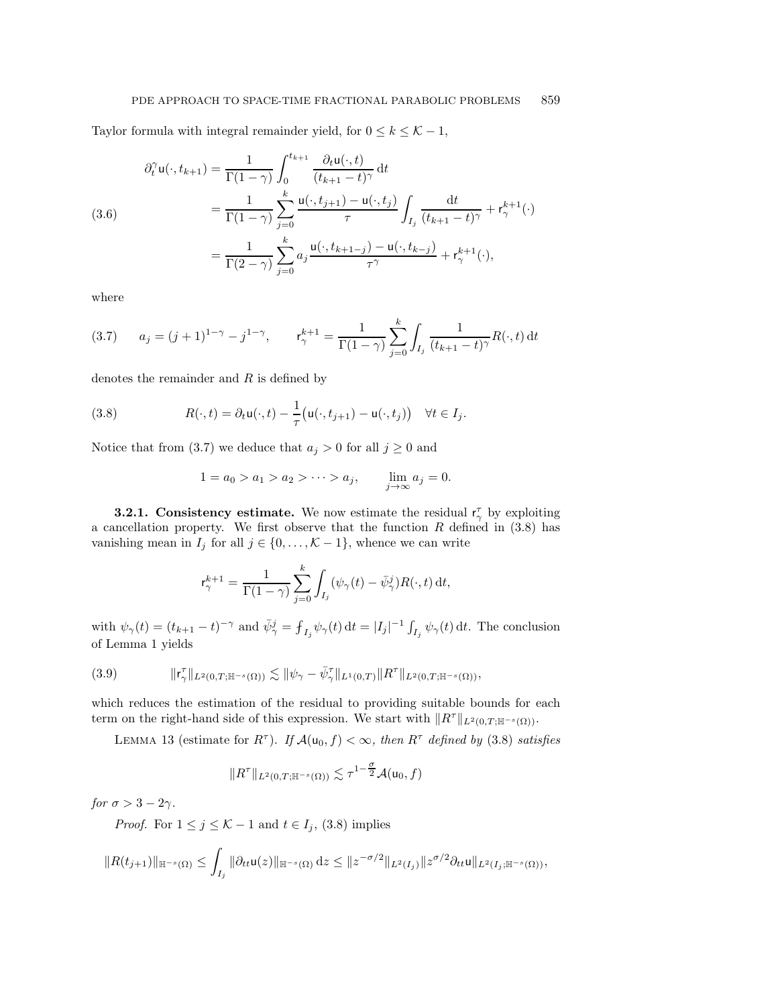Taylor formula with integral remainder yield, for  $0 \le k \le \mathcal{K}-1$ ,

<span id="page-11-4"></span>(3.6)  
\n
$$
\partial_t^{\gamma} \mathbf{u}(\cdot, t_{k+1}) = \frac{1}{\Gamma(1-\gamma)} \int_0^{t_{k+1}} \frac{\partial_t \mathbf{u}(\cdot, t)}{(t_{k+1} - t)^{\gamma}} dt
$$
\n
$$
= \frac{1}{\Gamma(1-\gamma)} \sum_{j=0}^k \frac{\mathbf{u}(\cdot, t_{j+1}) - \mathbf{u}(\cdot, t_j)}{\tau} \int_{I_j} \frac{dt}{(t_{k+1} - t)^{\gamma}} + \mathbf{r}_{\gamma}^{k+1}(\cdot)
$$
\n
$$
= \frac{1}{\Gamma(2-\gamma)} \sum_{j=0}^k a_j \frac{\mathbf{u}(\cdot, t_{k+1-j}) - \mathbf{u}(\cdot, t_{k-j})}{\tau^{\gamma}} + \mathbf{r}_{\gamma}^{k+1}(\cdot),
$$

where

<span id="page-11-0"></span>(3.7) 
$$
a_j = (j+1)^{1-\gamma} - j^{1-\gamma}, \qquad \mathsf{r}_{\gamma}^{k+1} = \frac{1}{\Gamma(1-\gamma)} \sum_{j=0}^{k} \int_{I_j} \frac{1}{(t_{k+1}-t)^{\gamma}} R(\cdot, t) dt
$$

denotes the remainder and R is defined by

(3.8) 
$$
R(\cdot,t) = \partial_t \mathsf{u}(\cdot,t) - \frac{1}{\tau} \big( \mathsf{u}(\cdot,t_{j+1}) - \mathsf{u}(\cdot,t_j) \big) \quad \forall t \in I_j.
$$

Notice that from [\(3.7\)](#page-11-0) we deduce that  $a_j > 0$  for all  $j \geq 0$  and

<span id="page-11-1"></span>
$$
1 = a_0 > a_1 > a_2 > \cdots > a_j
$$
,  $\lim_{j \to \infty} a_j = 0$ .

**3.2.1.** Consistency estimate. We now estimate the residual  $r_{\gamma}^{\tau}$  by exploiting a cancellation property. We first observe that the function  $R$  defined in  $(3.8)$  has vanishing mean in  $I_j$  for all  $j \in \{0, \ldots, K-1\}$ , whence we can write

$$
\mathsf{r}_{\gamma}^{k+1} = \frac{1}{\Gamma(1-\gamma)} \sum_{j=0}^{k} \int_{I_j} (\psi_{\gamma}(t) - \bar{\psi}_{\gamma}^j) R(\cdot, t) \, \mathrm{d}t,
$$

with  $\psi_{\gamma}(t) = (t_{k+1} - t)^{-\gamma}$  and  $\bar{\psi}_{\gamma}^{j} = \int_{I_j} \psi_{\gamma}(t) dt = |I_j|^{-1} \int_{I_j} \psi_{\gamma}(t) dt$ . The conclusion of Lemma [1](#page-3-4) yields

<span id="page-11-2"></span>
$$
(3.9) \t\t\t ||\mathbf{r}^{\tau}_{\gamma}||_{L^{2}(0,T;\mathbb{H}^{-s}(\Omega))} \lesssim ||\psi_{\gamma} - \bar{\psi}^{\tau}_{\gamma}||_{L^{1}(0,T)} ||R^{\tau}||_{L^{2}(0,T;\mathbb{H}^{-s}(\Omega))},
$$

<span id="page-11-3"></span>which reduces the estimation of the residual to providing suitable bounds for each term on the right-hand side of this expression. We start with  $\|R^{\tau}\|_{L^2(0,T;\mathbb{H}^{-s}(\Omega))}$ .

LEMMA 13 (estimate for  $R^{\tau}$ ). *If*  $\mathcal{A}(u_0, f) < \infty$ , then  $R^{\tau}$  defined by [\(3.8\)](#page-11-1) satisfies

$$
\|R^\tau\|_{L^2(0,T;{\mathbb{H}}^{-s}(\Omega))}\lesssim \tau^{1-\tfrac{\sigma}{2}}{\mathcal{A}}({\mathsf{u}}_0,f)
$$

*for*  $\sigma > 3 - 2\gamma$ *.* 

*Proof.* For  $1 \leq j \leq K - 1$  and  $t \in I_j$ , [\(3.8\)](#page-11-1) implies

$$
||R(t_{j+1})||_{\mathbb{H}^{-s}(\Omega)} \leq \int_{I_j} ||\partial_{tt} \mathsf{u}(z)||_{\mathbb{H}^{-s}(\Omega)} \,dz \leq ||z^{-\sigma/2}||_{L^2(I_j)} ||z^{\sigma/2} \partial_{tt} \mathsf{u}||_{L^2(I_j; \mathbb{H}^{-s}(\Omega))},
$$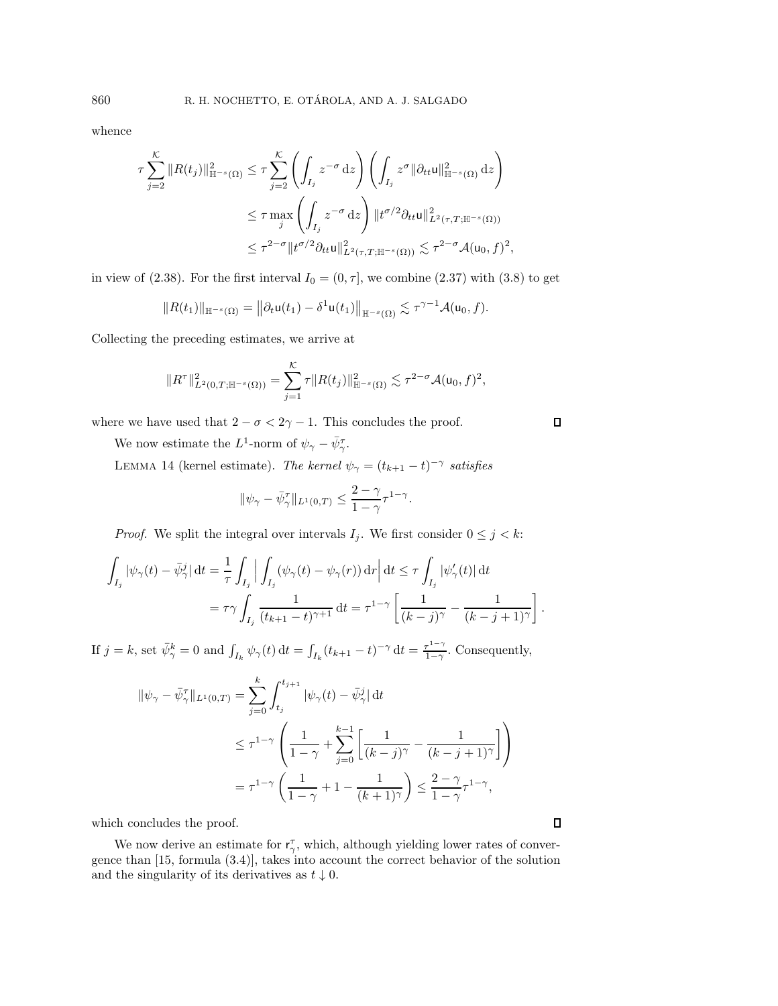whence

$$
\begin{split} \tau \sum_{j=2}^{\mathcal{K}} \|R(t_j)\|_{\mathbb{H}^{-s}(\Omega)}^2 &\leq \tau \sum_{j=2}^{\mathcal{K}} \left( \int_{I_j} z^{-\sigma} \, dz \right) \left( \int_{I_j} z^{\sigma} \|\partial_{tt} u\|_{\mathbb{H}^{-s}(\Omega)}^2 \, dz \right) \\ &\leq \tau \max_{j} \left( \int_{I_j} z^{-\sigma} \, dz \right) \|t^{\sigma/2} \partial_{tt} u\|_{L^2(\tau, T; \mathbb{H}^{-s}(\Omega))}^2 \\ &\leq \tau^{2-\sigma} \|t^{\sigma/2} \partial_{tt} u\|_{L^2(\tau, T; \mathbb{H}^{-s}(\Omega))}^2 \lesssim \tau^{2-\sigma} \mathcal{A}(u_0, f)^2, \end{split}
$$

in view of [\(2.38\)](#page-8-2). For the first interval  $I_0 = (0, \tau]$ , we combine [\(2.37\)](#page-8-3) with [\(3.8\)](#page-11-1) to get

$$
||R(t_1)||_{\mathbb{H}^{-s}(\Omega)}=||\partial_t \mathsf{u}(t_1)-\delta^1 \mathsf{u}(t_1)||_{\mathbb{H}^{-s}(\Omega)}\lesssim \tau^{\gamma-1}\mathcal{A}(\mathsf{u}_0,f).
$$

Collecting the preceding estimates, we arrive at

$$
||R^{\tau}||_{L^{2}(0,T;\mathbb{H}^{-s}(\Omega))}^{2} = \sum_{j=1}^{\mathcal{K}} \tau ||R(t_{j})||_{\mathbb{H}^{-s}(\Omega)}^{2} \lesssim \tau^{2-\sigma} \mathcal{A}(\mathsf{u}_{0},f)^{2},
$$

where we have used that  $2 - \sigma < 2\gamma - 1$ . This concludes the proof.

<span id="page-12-0"></span>We now estimate the L<sup>1</sup>-norm of  $\psi_{\gamma} - \bar{\psi}_{\gamma}^{\tau}$ .

LEMMA 14 (kernel estimate). *The kernel*  $\psi_{\gamma} = (t_{k+1} - t)^{-\gamma}$  *satisfies* 

$$
\|\psi_\gamma - \bar{\psi}^\tau_\gamma\|_{L^1(0,T)} \le \frac{2-\gamma}{1-\gamma} \tau^{1-\gamma}.
$$

*Proof.* We split the integral over intervals  $I_j$ . We first consider  $0 \leq j < k$ :

$$
\int_{I_j} |\psi_\gamma(t) - \bar{\psi}^j_\gamma| dt = \frac{1}{\tau} \int_{I_j} \left| \int_{I_j} (\psi_\gamma(t) - \psi_\gamma(r)) dr \right| dt \le \tau \int_{I_j} |\psi'_\gamma(t)| dt
$$
  
=  $\tau \gamma \int_{I_j} \frac{1}{(t_{k+1} - t)^{\gamma+1}} dt = \tau^{1-\gamma} \left[ \frac{1}{(k-j)^\gamma} - \frac{1}{(k-j+1)^\gamma} \right].$ 

If  $j = k$ , set  $\bar{\psi}_{\gamma}^{k} = 0$  and  $\int_{I_{k}} \psi_{\gamma}(t) dt = \int_{I_{k}} (t_{k+1} - t)^{-\gamma} dt = \frac{\tau^{1-\gamma}}{1-\gamma}$ . Consequently,

$$
\|\psi_{\gamma} - \bar{\psi}_{\gamma}^{\tau}\|_{L^{1}(0,T)} = \sum_{j=0}^{k} \int_{t_{j}}^{t_{j+1}} |\psi_{\gamma}(t) - \bar{\psi}_{\gamma}^{j}| dt
$$
  

$$
\leq \tau^{1-\gamma} \left( \frac{1}{1-\gamma} + \sum_{j=0}^{k-1} \left[ \frac{1}{(k-j)^{\gamma}} - \frac{1}{(k-j+1)^{\gamma}} \right] \right)
$$
  

$$
= \tau^{1-\gamma} \left( \frac{1}{1-\gamma} + 1 - \frac{1}{(k+1)^{\gamma}} \right) \leq \frac{2-\gamma}{1-\gamma} \tau^{1-\gamma},
$$

which concludes the proof.

<span id="page-12-1"></span>We now derive an estimate for  $r_{\gamma}^{\tau}$ , which, although yielding lower rates of convergence than [\[15,](#page-24-4) formula (3.4)], takes into account the correct behavior of the solution and the singularity of its derivatives as  $t \downarrow 0$ .

 $\Box$ 

 $\Box$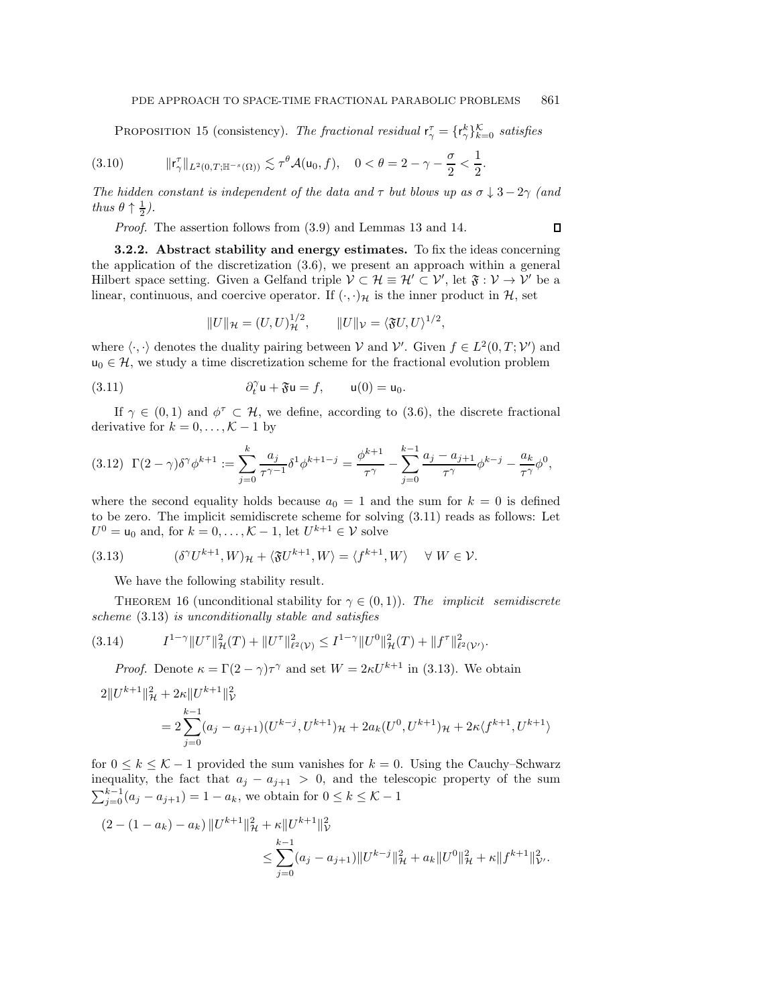$\Box$ 

<span id="page-13-5"></span>PROPOSITION 15 (consistency). *The fractional residual*  $r_{\gamma}^{\tau} = \{r_{\gamma}^{k}\}_{k=0}^{\mathcal{K}}$  *satisfies* 

$$
(3.10) \t\t\t ||\mathsf{r}_{\gamma}^{\tau}||_{L^{2}(0,T;\mathbb{H}^{-s}(\Omega))} \lesssim \tau^{\theta} \mathcal{A}(\mathsf{u}_{0},f), \quad 0 < \theta = 2 - \gamma - \frac{\sigma}{2} < \frac{1}{2}.
$$

*The hidden constant is independent of the data and*  $\tau$  *but blows up as*  $\sigma \downarrow 3 - 2\gamma$  *(and*) *thus*  $\theta \uparrow \frac{1}{2}$ .

*Proof.* The assertion follows from [\(3.9\)](#page-11-2) and Lemmas [13](#page-11-3) and [14.](#page-12-0)

**3.2.2. Abstract stability and energy estimates.** To fix the ideas concerning the application of the discretization [\(3.6\)](#page-11-4), we present an approach within a general Hilbert space setting. Given a Gelfand triple  $\mathcal{V} \subset \mathcal{H} \equiv \mathcal{H}' \subset \mathcal{V}'$ , let  $\mathfrak{F} : \mathcal{V} \to \mathcal{V}'$  be a linear, continuous, and coercive operator. If  $(\cdot, \cdot)_{\mathcal{H}}$  is the inner product in  $\mathcal{H}$ , set

<span id="page-13-0"></span>
$$
||U||_{\mathcal{H}} = (U, U)_{\mathcal{H}}^{1/2}, \qquad ||U||_{\mathcal{V}} = \langle \mathfrak{F}U, U \rangle^{1/2},
$$

where  $\langle \cdot, \cdot \rangle$  denotes the duality pairing between V and V'. Given  $f \in L^2(0,T; \mathcal{V}')$  and  $u_0 \in \mathcal{H}$ , we study a time discretization scheme for the fractional evolution problem

(3.11) 
$$
\partial_t^{\gamma} \mathbf{u} + \mathfrak{F} \mathbf{u} = f, \qquad \mathbf{u}(0) = \mathbf{u}_0.
$$

If  $\gamma \in (0,1)$  and  $\phi^{\tau} \subset \mathcal{H}$ , we define, according to [\(3.6\)](#page-11-4), the discrete fractional derivative for  $k = 0, \ldots, \mathcal{K} - 1$  by

<span id="page-13-3"></span>
$$
(3.12)\ \ \Gamma(2-\gamma)\delta^{\gamma}\phi^{k+1} := \sum_{j=0}^{k} \frac{a_j}{\tau^{\gamma-1}} \delta^1 \phi^{k+1-j} = \frac{\phi^{k+1}}{\tau^{\gamma}} - \sum_{j=0}^{k-1} \frac{a_j - a_{j+1}}{\tau^{\gamma}} \phi^{k-j} - \frac{a_k}{\tau^{\gamma}} \phi^0,
$$

where the second equality holds because  $a_0 = 1$  and the sum for  $k = 0$  is defined to be zero. The implicit semidiscrete scheme for solving [\(3.11\)](#page-13-0) reads as follows: Let  $U^0 = \mathsf{u}_0$  and, for  $k = 0, \ldots, \mathcal{K} - 1$ , let  $U^{k+1} \in \mathcal{V}$  solve

(3.13) 
$$
(\delta^{\gamma}U^{k+1}, W)_{\mathcal{H}} + \langle \mathfrak{F}U^{k+1}, W \rangle = \langle f^{k+1}, W \rangle \quad \forall W \in \mathcal{V}.
$$

<span id="page-13-4"></span><span id="page-13-1"></span>We have the following stability result.

THEOREM 16 (unconditional stability for  $\gamma \in (0,1)$ ). The *implicit semidiscrete scheme* [\(3.13\)](#page-13-1) *is unconditionally stable and satisfies*

$$
(3.14) \tI1-\gamma \|U^{\tau}\|_{\mathcal{H}}^2(T) + \|U^{\tau}\|_{\ell^2(\mathcal{V})}^2 \leq I1-\gamma \|U^0\|_{\mathcal{H}}^2(T) + \|f^{\tau}\|_{\ell^2(\mathcal{V}')}^2.
$$

<span id="page-13-2"></span>*Proof.* Denote  $\kappa = \Gamma(2-\gamma)\tau^{\gamma}$  and set  $W = 2\kappa U^{k+1}$  in [\(3.13\)](#page-13-1). We obtain

$$
2||U^{k+1}||_{\mathcal{H}}^2 + 2\kappa||U^{k+1}||_V^2
$$
  
= 
$$
2\sum_{j=0}^{k-1} (a_j - a_{j+1})(U^{k-j}, U^{k+1})_{\mathcal{H}} + 2a_k(U^0, U^{k+1})_{\mathcal{H}} + 2\kappa \langle f^{k+1}, U^{k+1} \rangle
$$

for  $0 \leq k \leq K-1$  provided the sum vanishes for  $k = 0$ . Using the Cauchy–Schwarz inequality, the fact that  $a_j - a_{j+1} > 0$ , and the telescopic property of the sum  $\sum_{j=0}^{k-1} (a_j - a_{j+1}) = 1 - a_k$ , we obtain for  $0 \le k \le \mathcal{K} - 1$ 

$$
(2 - (1 - a_k) - a_k) ||U^{k+1}||^2_{\mathcal{H}} + \kappa ||U^{k+1}||^2_{\mathcal{V}}\n\leq \sum_{j=0}^{k-1} (a_j - a_{j+1}) ||U^{k-j}||^2_{\mathcal{H}} + a_k ||U^0||^2_{\mathcal{H}} + \kappa ||f^{k+1}||^2_{\mathcal{V}}.
$$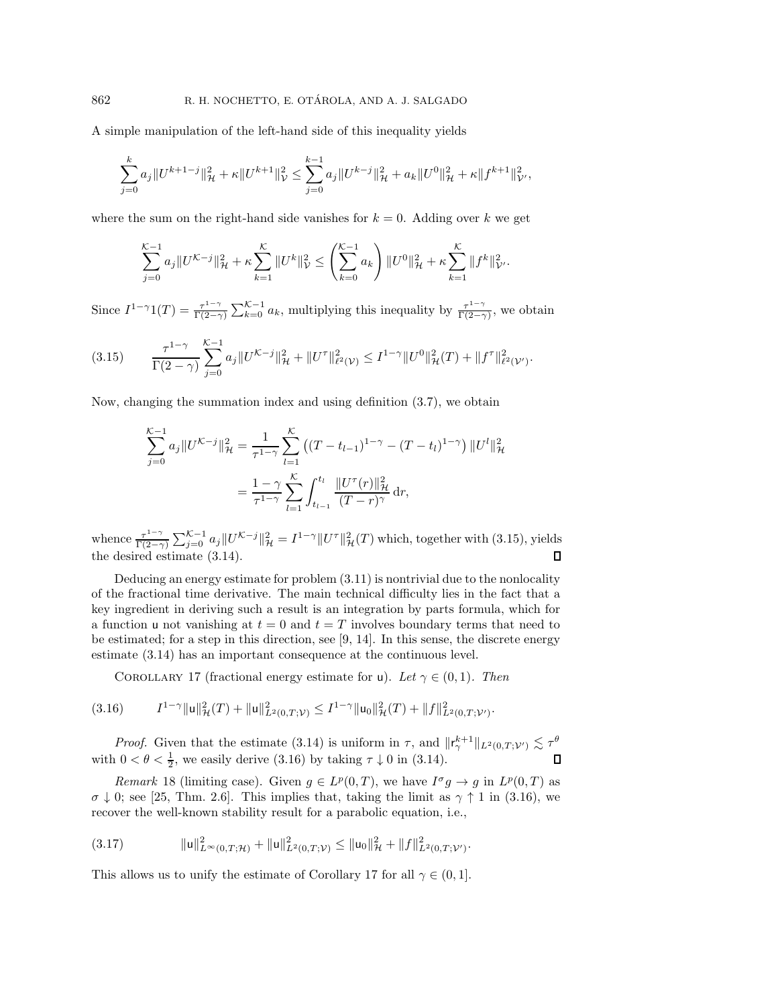A simple manipulation of the left-hand side of this inequality yields

$$
\sum_{j=0}^k a_j \|U^{k+1-j}\|_{\mathcal{H}}^2 + \kappa \|U^{k+1}\|_{\mathcal{V}}^2 \le \sum_{j=0}^{k-1} a_j \|U^{k-j}\|_{\mathcal{H}}^2 + a_k \|U^0\|_{\mathcal{H}}^2 + \kappa \|f^{k+1}\|_{\mathcal{V'}}^2,
$$

where the sum on the right-hand side vanishes for  $k = 0$ . Adding over k we get

$$
\sum_{j=0}^{\mathcal{K}-1} a_j \|U^{\mathcal{K}-j}\|_{\mathcal{H}}^2 + \kappa \sum_{k=1}^{\mathcal{K}} \|U^k\|_{\mathcal{V}}^2 \le \left(\sum_{k=0}^{\mathcal{K}-1} a_k\right) \|U^0\|_{\mathcal{H}}^2 + \kappa \sum_{k=1}^{\mathcal{K}} \|f^k\|_{\mathcal{V}}^2.
$$

Since  $I^{1-\gamma}1(T) = \frac{\tau^{1-\gamma}}{\Gamma(2-\gamma)} \sum_{k=0}^{\mathcal{K}-1} a_k$ , multiplying this inequality by  $\frac{\tau^{1-\gamma}}{\Gamma(2-\gamma)}$ , we obtain

<span id="page-14-0"></span>
$$
(3.15) \qquad \frac{\tau^{1-\gamma}}{\Gamma(2-\gamma)}\sum_{j=0}^{\mathcal{K}-1}a_j\|U^{\mathcal{K}-j}\|_{\mathcal{H}}^2+\|U^{\tau}\|_{\ell^2(\mathcal{V})}^2\leq I^{1-\gamma}\|U^0\|_{\mathcal{H}}^2(T)+\|f^{\tau}\|_{\ell^2(\mathcal{V}')}^2.
$$

Now, changing the summation index and using definition [\(3.7\)](#page-11-0), we obtain

$$
\sum_{j=0}^{K-1} a_j \| U^{K-j} \|_{\mathcal{H}}^2 = \frac{1}{\tau^{1-\gamma}} \sum_{l=1}^{K} \left( (T - t_{l-1})^{1-\gamma} - (T - t_l)^{1-\gamma} \right) \| U^l \|_{\mathcal{H}}^2
$$

$$
= \frac{1-\gamma}{\tau^{1-\gamma}} \sum_{l=1}^{K} \int_{t_{l-1}}^{t_l} \frac{\| U^\tau(r) \|_{\mathcal{H}}^2}{(T - r)^\gamma} dr,
$$

whence  $\frac{\tau^{1-\gamma}}{\Gamma(2-\gamma)}\sum_{j=0}^{\mathcal{K}-1}a_j\|U^{\mathcal{K}-j}\|_{\mathcal{H}}^2=I^{1-\gamma}\|U^{\tau}\|_{\mathcal{H}}^2(T)$  which, together with [\(3.15\)](#page-14-0), yields the desired estimate [\(3.14\)](#page-13-2).

Deducing an energy estimate for problem [\(3.11\)](#page-13-0) is nontrivial due to the nonlocality of the fractional time derivative. The main technical difficulty lies in the fact that a key ingredient in deriving such a result is an integration by parts formula, which for a function u not vanishing at  $t = 0$  and  $t = T$  involves boundary terms that need to be estimated; for a step in this direction, see [\[9,](#page-24-15) [14\]](#page-24-16). In this sense, the discrete energy estimate [\(3.14\)](#page-13-2) has an important consequence at the continuous level.

<span id="page-14-2"></span><span id="page-14-1"></span>COROLLARY 17 (fractional energy estimate for u). *Let*  $\gamma \in (0,1)$ *. Then* 

$$
(3.16) \tI^{1-\gamma} \|u\|_{\mathcal{H}}^2(T) + \|u\|_{L^2(0,T;\mathcal{V})}^2 \leq I^{1-\gamma} \|u_0\|_{\mathcal{H}}^2(T) + \|f\|_{L^2(0,T;\mathcal{V}')}^2.
$$

*Proof.* Given that the estimate [\(3.14\)](#page-13-2) is uniform in  $\tau$ , and  $\|\mathsf{r}_{\gamma}^{k+1}\|_{L^2(0,T;\mathcal{V}')} \lesssim \tau^{\theta}$ with  $0 < \theta < \frac{1}{2}$ , we easily derive [\(3.16\)](#page-14-1) by taking  $\tau \downarrow 0$  in [\(3.14\)](#page-13-2).

<span id="page-14-3"></span>*Remark* 18 (limiting case). Given  $g \in L^p(0,T)$ , we have  $I^{\sigma}g \to g$  in  $L^p(0,T)$  as  $\sigma \downarrow 0$ ; see [\[25,](#page-25-0) Thm. 2.6]. This implies that, taking the limit as  $\gamma \uparrow 1$  in [\(3.16\)](#page-14-1), we recover the well-known stability result for a parabolic equation, i.e.,

<span id="page-14-4"></span>(3.17) u <sup>2</sup> <sup>L</sup>∞(0,T;H) <sup>+</sup> <sup>u</sup> <sup>2</sup> <sup>L</sup>2(0,T;V) <sup>≤</sup>u<sup>0</sup> <sup>2</sup> <sup>H</sup> <sup>+</sup> <sup>f</sup> <sup>2</sup> L2(0,T;V-).

This allows us to unify the estimate of Corollary [17](#page-14-2) for all  $\gamma \in (0, 1]$ .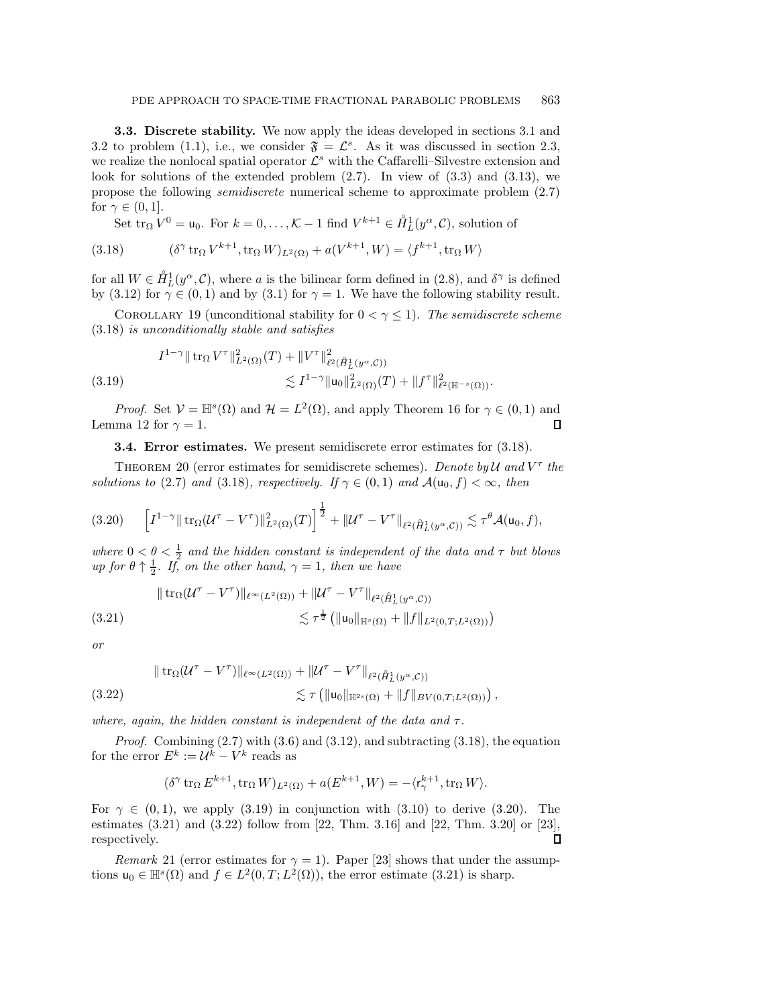**3.3. Discrete stability.** We now apply the ideas developed in sections [3.1](#page-10-5) and [3.2](#page-10-0) to problem [\(1.1\)](#page-0-0), i.e., we consider  $\mathfrak{F} = \mathcal{L}^s$ . As it was discussed in section [2.3,](#page-3-1) we realize the nonlocal spatial operator  $\mathcal{L}^s$  with the Caffarelli–Silvestre extension and look for solutions of the extended problem  $(2.7)$ . In view of  $(3.3)$  and  $(3.13)$ , we propose the following *semidiscrete* numerical scheme to approximate problem [\(2.7\)](#page-4-3) for  $\gamma \in (0,1]$ .

<span id="page-15-1"></span>Set  $\text{tr}_{\Omega} V^0 = \mathsf{u}_0$ . For  $k = 0, \ldots, \mathcal{K} - 1$  find  $V^{k+1} \in \mathring{H}_L^1(y^\alpha, \mathcal{C})$ , solution of

(3.18) 
$$
(\delta^{\gamma} \operatorname{tr}_{\Omega} V^{k+1}, \operatorname{tr}_{\Omega} W)_{L^{2}(\Omega)} + a(V^{k+1}, W) = \langle f^{k+1}, \operatorname{tr}_{\Omega} W \rangle
$$

for all  $W \in \mathring{H}_L^1(y^\alpha, \mathcal{C})$ , where a is the bilinear form defined in [\(2.8\)](#page-4-2), and  $\delta^\gamma$  is defined by [\(3.12\)](#page-13-3) for  $\gamma \in (0,1)$  and by [\(3.1\)](#page-10-6) for  $\gamma = 1$ . We have the following stability result.

COROLLARY 19 (unconditional stability for  $0 < \gamma \leq 1$ ). The semidiscrete scheme [\(3.18\)](#page-15-1) *is unconditionally stable and satisfies*

<span id="page-15-2"></span>
$$
I^{1-\gamma} \| \operatorname{tr}_{\Omega} V^{\tau} \|_{L^{2}(\Omega)}^{2}(T) + \| V^{\tau} \|_{\ell^{2}(\hat{H}_{L}^{1}(y^{\alpha}, \mathcal{C}))}^{2} \leq I^{1-\gamma} \| \mathsf{u}_{0} \|_{L^{2}(\Omega)}^{2}(T) + \| f^{\tau} \|_{\ell^{2}(\mathbb{H}^{-s}(\Omega))}^{2}.
$$
\n(3.19)

<span id="page-15-0"></span>*Proof.* Set  $V = \mathbb{H}^s(\Omega)$  and  $\mathcal{H} = L^2(\Omega)$ , and apply Theorem [16](#page-13-4) for  $\gamma \in (0,1)$  and Lemma [12](#page-10-7) for  $\gamma = 1$ . Л

**3.4. Error estimates.** We present semidiscrete error estimates for [\(3.18\)](#page-15-1).

<span id="page-15-5"></span>THEOREM 20 (error estimates for semidiscrete schemes). *Denote by*  $U$  and  $V^{\tau}$  the *solutions to* [\(2.7\)](#page-4-3) *and* [\(3.18\)](#page-15-1)*, respectively. If*  $\gamma \in (0,1)$  *and*  $\mathcal{A}(\mathsf{u}_0, f) < \infty$ *, then* 

<span id="page-15-3"></span>
$$
(3.20) \qquad \left[I^{1-\gamma} \|\operatorname{tr}_{\Omega}(\mathcal{U}^{\tau} - V^{\tau})\|_{L^{2}(\Omega)}^{2}(T)\right]^{\frac{1}{2}} + \|\mathcal{U}^{\tau} - V^{\tau}\|_{\ell^{2}(\hat{H}_{L}^{1}(y^{\alpha}, \mathcal{C}))} \lesssim \tau^{\theta} \mathcal{A}(\mathsf{u}_{0}, f),
$$

*where*  $0 < \theta < \frac{1}{2}$  *and the hidden constant is independent of the data and*  $\tau$  *but blows up for*  $\theta \uparrow \frac{1}{2}$ *. If, on the other hand,*  $\gamma = 1$ *, then we have* 

<span id="page-15-4"></span>
$$
\| \operatorname{tr}_{\Omega} (\mathcal{U}^{\tau} - V^{\tau}) \|_{\ell^{\infty}(L^2(\Omega))} + \| \mathcal{U}^{\tau} - V^{\tau} \|_{\ell^2(\hat{H}_L^1(y^{\alpha}, \mathcal{C}))}
$$
  

$$
\lesssim \tau^{\frac{1}{2}} \left( \| \mathbf{u}_0 \|_{\mathbb{H}^s(\Omega)} + \| f \|_{L^2(0, T; L^2(\Omega))} \right)
$$

*or*

$$
\| \operatorname{tr}_{\Omega} (\mathcal{U}^{\tau} - V^{\tau}) \|_{\ell^{\infty}(L^2(\Omega))} + \| \mathcal{U}^{\tau} - V^{\tau} \|_{\ell^2(\mathring{H}^1_L(y^{\alpha}, \mathcal{C}))}
$$
  

$$
\lesssim \tau \left( \| \mathbf{u}_0 \|_{\mathbb{H}^{2s}(\Omega)} + \| f \|_{BV(0, T; L^2(\Omega))} \right),
$$

*where, again, the hidden constant is independent of the data and*  $\tau$ .

*Proof.* Combining  $(2.7)$  with  $(3.6)$  and  $(3.12)$ , and subtracting  $(3.18)$ , the equation for the error  $E^k := U^k - V^k$  reads as

$$
(\delta^\gamma\mathop{\rm tr}\nolimits_{\Omega}E^{k+1},\mathop{\rm tr}\nolimits_{\Omega}W)_{L^2(\Omega)}+a(E^{k+1},W)=-\langle {\mathbf r}^{k+1}_\gamma,\mathop{\rm tr}\nolimits_{\Omega}W\rangle.
$$

For  $\gamma \in (0, 1)$ , we apply [\(3.19\)](#page-15-2) in conjunction with [\(3.10\)](#page-13-5) to derive [\(3.20\)](#page-15-3). The estimates (3.21) and (3.22) follow from [\[22,](#page-24-17) Thm. 3.16] and [\[22,](#page-24-17) Thm. 3.20] or [\[23\]](#page-24-18), respectively.  $\Box$ 

*Remark* 21 (error estimates for  $\gamma = 1$ ). Paper [\[23\]](#page-24-18) shows that under the assumptions  $u_0 \in \mathbb{H}^s(\Omega)$  and  $f \in L^2(0,T; L^2(\Omega))$ , the error estimate [\(3.21\)](#page-15-4) is sharp.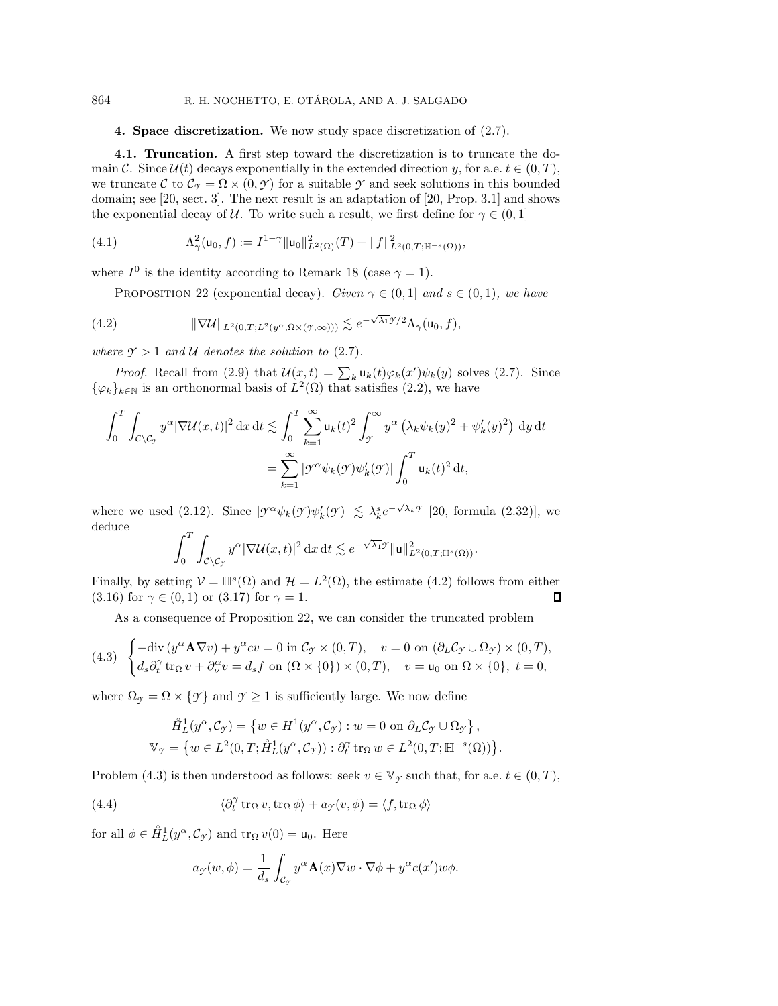### <span id="page-16-0"></span>864 R. H. NOCHETTO, E. OTÁROLA, AND A. J. SALGADO

## **4. Space discretization.** We now study space discretization of [\(2.7\)](#page-4-3).

<span id="page-16-1"></span>**4.1. Truncation.** A first step toward the discretization is to truncate the domain C. Since  $\mathcal{U}(t)$  decays exponentially in the extended direction y, for a.e.  $t \in (0, T)$ , we truncate C to  $\mathcal{C}_{\gamma} = \Omega \times (0, \gamma)$  for a suitable  $\gamma$  and seek solutions in this bounded domain; see [\[20,](#page-24-11) sect. 3]. The next result is an adaptation of [\[20,](#page-24-11) Prop. 3.1] and shows the exponential decay of U. To write such a result, we first define for  $\gamma \in (0,1]$ 

(4.1) 
$$
\Lambda^2_\gamma(\mathsf{u}_0,f) := I^{1-\gamma} \|\mathsf{u}_0\|_{L^2(\Omega)}^2(T) + \|f\|_{L^2(0,T;\mathbb{H}^{-s}(\Omega))}^2,
$$

<span id="page-16-3"></span>where  $I^0$  is the identity according to Remark [18](#page-14-3) (case  $\gamma = 1$ ).

<span id="page-16-5"></span><span id="page-16-2"></span>PROPOSITION 22 (exponential decay). *Given*  $\gamma \in (0, 1]$  *and*  $s \in (0, 1)$ *, we have* 

(4.2) 
$$
\|\nabla \mathcal{U}\|_{L^2(0,T;L^2(y^\alpha,\Omega\times(\mathcal{Y},\infty)))} \lesssim e^{-\sqrt{\lambda_1}\mathcal{Y}/2}\Lambda_\gamma(\mathsf{u}_0,f),
$$

*where*  $\gamma > 1$  *and*  $\mathcal U$  *denotes the solution to* [\(2.7\)](#page-4-3)*.* 

*Proof.* Recall from [\(2.9\)](#page-4-4) that  $\mathcal{U}(x,t) = \sum_k u_k(t) \varphi_k(x') \psi_k(y)$  solves [\(2.7\)](#page-4-3). Since  $\{\varphi_k\}_{k\in\mathbb{N}}$  is an orthonormal basis of  $L^2(\Omega)$  that satisfies [\(2.2\)](#page-3-3), we have

$$
\int_0^T \int_{\mathcal{C} \backslash \mathcal{C}_{\mathcal{I}}} y^{\alpha} |\nabla \mathcal{U}(x,t)|^2 \, dx \, dt \lesssim \int_0^T \sum_{k=1}^\infty \mathsf{u}_k(t)^2 \int_{\mathcal{I}}^\infty y^{\alpha} \left(\lambda_k \psi_k(y)^2 + \psi'_k(y)^2\right) \, dy \, dt
$$

$$
= \sum_{k=1}^\infty |\mathcal{I}^{\alpha} \psi_k(\mathcal{I}) \psi'_k(\mathcal{I})| \int_0^T \mathsf{u}_k(t)^2 \, dt,
$$

where we used [\(2.12\)](#page-5-3). Since  $|\mathcal{V}^{\alpha}\psi_k(\mathcal{Y})\psi'_k(\mathcal{Y})| \lesssim \lambda_k^s e^{-\sqrt{\lambda_k}\mathcal{Y}}$  [\[20,](#page-24-11) formula (2.32)], we deduce

$$
\int_0^T \int_{\mathcal{C} \setminus \mathcal{C}_{\mathcal{I}}} y^{\alpha} |\nabla \mathcal{U}(x,t)|^2 \, \mathrm{d}x \, \mathrm{d}t \lesssim e^{-\sqrt{\lambda_1} \mathcal{I}} \| \mathbf{u} \|_{L^2(0,T;\mathbb{H}^s(\Omega))}^2.
$$

Finally, by setting  $\mathcal{V} = \mathbb{H}^s(\Omega)$  and  $\mathcal{H} = L^2(\Omega)$ , the estimate [\(4.2\)](#page-16-2) follows from either [\(3.16\)](#page-14-1) for  $\gamma \in (0,1)$  or [\(3.17\)](#page-14-4) for  $\gamma = 1$ .  $\Box$ 

As a consequence of Proposition [22,](#page-16-3) we can consider the truncated problem

<span id="page-16-4"></span>
$$
(4.3) \begin{cases} -\operatorname{div}\left(y^{\alpha} \mathbf{A} \nabla v\right) + y^{\alpha} c v = 0 \text{ in } \mathcal{C}_{\mathcal{I}} \times (0, T), & v = 0 \text{ on } \left(\partial_L \mathcal{C}_{\mathcal{I}} \cup \Omega_{\mathcal{I}}\right) \times (0, T), \\ d_s \partial_t^{\gamma} \operatorname{tr}_{\Omega} v + \partial_{\nu}^{\alpha} v = d_s f \text{ on } \left(\Omega \times \{0\}\right) \times (0, T), & v = u_0 \text{ on } \Omega \times \{0\}, \ t = 0, \end{cases}
$$

where  $\Omega_{\gamma} = \Omega \times \{\gamma\}$  and  $\gamma \geq 1$  is sufficiently large. We now define

$$
\tilde{H}_L^1(y^\alpha, \mathcal{C}_{\mathcal{I}}) = \{ w \in H^1(y^\alpha, \mathcal{C}_{\mathcal{I}}) : w = 0 \text{ on } \partial_L \mathcal{C}_{\mathcal{I}} \cup \Omega_{\mathcal{I}} \},
$$
  

$$
\mathbb{V}_{\mathcal{I}} = \{ w \in L^2(0, T; \hat{H}_L^1(y^\alpha, \mathcal{C}_{\mathcal{I}})) : \partial_t^\gamma \operatorname{tr}_\Omega w \in L^2(0, T; \mathbb{H}^{-s}(\Omega)) \}.
$$

Problem [\(4.3\)](#page-16-4) is then understood as follows: seek  $v \in V_{\gamma}$  such that, for a.e.  $t \in (0, T)$ ,

(4.4) 
$$
\langle \partial_t^{\gamma} \operatorname{tr}_{\Omega} v, \operatorname{tr}_{\Omega} \phi \rangle + a_{\mathcal{I}}(v, \phi) = \langle f, \operatorname{tr}_{\Omega} \phi \rangle
$$

<span id="page-16-7"></span>for all  $\phi \in \mathring{H}_L^1(y^\alpha, \mathcal{C}_{\mathcal{I}})$  and  $\text{tr}_\Omega v(0) = \mathsf{u}_0$ . Here

<span id="page-16-6"></span>
$$
a_{\mathcal{F}}(w,\phi) = \frac{1}{d_s} \int_{\mathcal{C}_{\mathcal{F}}} y^{\alpha} \mathbf{A}(x) \nabla w \cdot \nabla \phi + y^{\alpha} c(x') w \phi.
$$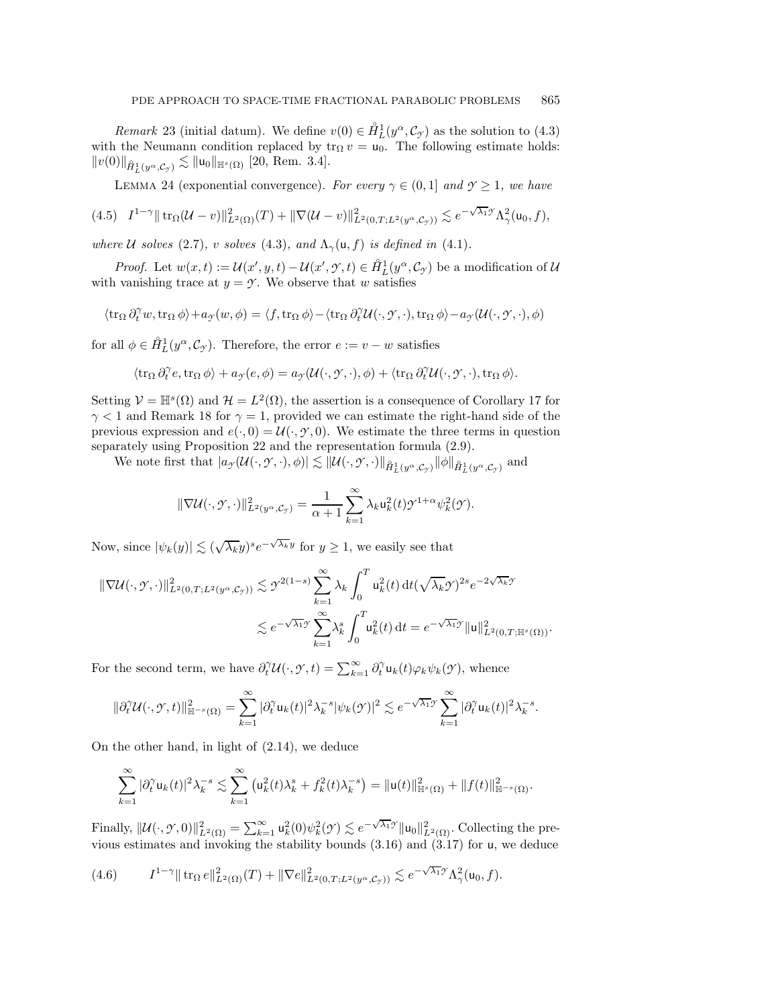*Remark* 23 (initial datum). We define  $v(0) \in \overset{\circ}{H}_{L}^{1}(y^{\alpha}, \mathcal{C}_{\mathcal{I}})$  as the solution to [\(4.3\)](#page-16-4) with the Neumann condition replaced by  $\text{tr}_{\Omega} v = \text{u}_0$ . The following estimate holds:  $||v(0)||_{\hat{H}^1_L(y^{\alpha}, \mathcal{C}_{\gamma})} \lesssim ||\mathsf{u}_0||_{\mathbb{H}^s(\Omega)}$  [\[20,](#page-24-11) Rem. 3.4].

<span id="page-17-1"></span>LEMMA 24 (exponential convergence). *For every*  $\gamma \in (0,1]$  *and*  $\gamma \geq 1$ *, we have* 

$$
(4.5)\quad I^{1-\gamma}\|\mathop{\rm tr}\nolimits_{\Omega}(\mathcal U-v)\|_{L^2(\Omega)}^2(T)+\|\nabla (\mathcal U-v)\|_{L^2(0,T;L^2(y^\alpha,\mathcal C_{\mathcal T}))}^2\lesssim e^{-\sqrt{\lambda_1}\mathcal T}\Lambda_\gamma^2(\mathsf u_0,f),
$$

*where U solves* [\(2.7\)](#page-4-3)*, v solves* [\(4.3\)](#page-16-4)*,* and  $\Lambda_{\gamma}(\mathsf{u},f)$  *is defined in* [\(4.1\)](#page-16-5)*.* 

*Proof.* Let  $w(x,t) := \mathcal{U}(x', y, t) - \mathcal{U}(x', \mathcal{Y}, t) \in \mathring{H}_L^1(y^\alpha, \mathcal{C}_{\mathcal{Y}})$  be a modification of  $\mathcal{U}$ with vanishing trace at  $y = \gamma$ . We observe that w satisfies

$$
\langle \operatorname{tr}_\Omega \partial_t^\gamma w, \operatorname{tr}_\Omega \phi \rangle + a_{\mathcal{T}}(w,\phi) = \langle f, \operatorname{tr}_\Omega \phi \rangle - \langle \operatorname{tr}_\Omega \partial_t^\gamma \mathcal{U}(\cdot,\mathcal{T},\cdot), \operatorname{tr}_\Omega \phi \rangle - a_{\mathcal{T}}(\mathcal{U}(\cdot,\mathcal{T},\cdot),\phi)
$$

for all  $\phi \in \mathring{H}_L^1(y^\alpha, \mathcal{C}_\mathcal{Y})$ . Therefore, the error  $e := v - w$  satisfies

$$
\langle \operatorname{tr}_{\Omega} \partial_t^{\gamma} e, \operatorname{tr}_{\Omega} \phi \rangle + a_{\gamma}(e, \phi) = a_{\gamma}(\mathcal{U}(\cdot, \mathcal{Y}, \cdot), \phi) + \langle \operatorname{tr}_{\Omega} \partial_t^{\gamma} \mathcal{U}(\cdot, \mathcal{Y}, \cdot), \operatorname{tr}_{\Omega} \phi \rangle.
$$

Setting  $\mathcal{V} = \mathbb{H}^s(\Omega)$  and  $\mathcal{H} = L^2(\Omega)$ , the assertion is a consequence of Corollary [17](#page-14-2) for  $\gamma$  < 1 and Remark [18](#page-14-3) for  $\gamma = 1$ , provided we can estimate the right-hand side of the previous expression and  $e(\cdot, 0) = \mathcal{U}(\cdot, \mathcal{Y}, 0)$ . We estimate the three terms in question separately using Proposition [22](#page-16-3) and the representation formula [\(2.9\)](#page-4-4).

 $\mathbb{E}\left[\mathcal{U}(\cdot,\mathcal{Y},\cdot),\phi\right] \lesssim \|\mathcal{U}(\cdot,\mathcal{Y},\cdot)\|_{\mathring{H}^1_L(y^\alpha,\mathcal{C}_{\mathcal{Y}})} \|\phi\|_{\mathring{H}^1_L(y^\alpha,\mathcal{C}_{\mathcal{Y}})} \text{ and }$ 

$$
\|\nabla \mathcal{U}(\cdot,\mathcal{Y},\cdot)\|_{L^2(y^\alpha,\mathcal{C}_{\mathcal{Y}})}^2 = \frac{1}{\alpha+1}\sum_{k=1}^{\infty}\lambda_k \mathsf{u}_k^2(t)\mathcal{Y}^{1+\alpha}\psi_k^2(\mathcal{Y}).
$$

Now, since  $|\psi_k(y)| \lesssim (\sqrt{\lambda_k}y)^s e^{-\sqrt{\lambda_k}y}$  for  $y \geq 1$ , we easily see that

$$
\begin{split} \|\nabla \mathcal{U}(\cdot,\mathcal{Y},\cdot)\|_{L^2(0,T;L^2(y^\alpha,\mathcal{C}_{\mathcal{Y}}))}^2 &\lesssim \mathcal{Y}^{2(1-s)} \sum_{k=1}^\infty \lambda_k \int_0^T \mathsf{u}_k^2(t) \,\mathrm{d} t (\sqrt{\lambda_k} \mathcal{Y})^{2s} e^{-2\sqrt{\lambda_k} \mathcal{Y}} \\ &\lesssim e^{-\sqrt{\lambda_1} \mathcal{Y}} \sum_{k=1}^\infty \lambda_k^s \int_0^T \mathsf{u}_k^2(t) \,\mathrm{d} t = e^{-\sqrt{\lambda_1} \mathcal{Y}} \|\mathsf{u}\|_{L^2(0,T;\mathbb{H}^s(\Omega))}^2. \end{split}
$$

For the second term, we have  $\partial_t^{\gamma} \mathcal{U}(\cdot, \mathcal{Y}, t) = \sum_{k=1}^{\infty} \partial_t^{\gamma} u_k(t) \varphi_k \psi_k(\mathcal{Y}),$  whence

$$
\|\partial_t^{\gamma} \mathcal{U}(\cdot, \gamma, t)\|_{\mathbb{H}^{-s}(\Omega)}^2 = \sum_{k=1}^{\infty} |\partial_t^{\gamma} \mathbf{u}_k(t)|^2 \lambda_k^{-s} |\psi_k(\gamma)|^2 \lesssim e^{-\sqrt{\lambda_1} \gamma} \sum_{k=1}^{\infty} |\partial_t^{\gamma} \mathbf{u}_k(t)|^2 \lambda_k^{-s}.
$$

On the other hand, in light of [\(2.14\)](#page-5-1), we deduce

$$
\sum_{k=1}^{\infty} |\partial_t^{\gamma} \mathsf{u}_k(t)|^2 \lambda_k^{-s} \lesssim \sum_{k=1}^{\infty} \left( \mathsf{u}_k^2(t) \lambda_k^s + f_k^2(t) \lambda_k^{-s} \right) = \|\mathsf{u}(t)\|_{\mathbb{H}^s(\Omega)}^2 + \|f(t)\|_{\mathbb{H}^{-s}(\Omega)}^2.
$$

Finally,  $\|\mathcal{U}(\cdot,\mathcal{Y},0)\|_{L^2(\Omega)}^2 = \sum_{k=1}^{\infty} \mathsf{u}_k^2(0)\psi_k^2(\mathcal{Y}) \lesssim e^{-\sqrt{\lambda_1}\mathcal{Y}} \|\mathsf{u}_0\|_{L^2(\Omega)}^2$ . Collecting the previous estimates and invoking the stability bounds [\(3.16\)](#page-14-1) and [\(3.17\)](#page-14-4) for u, we deduce

<span id="page-17-0"></span>
$$
(4.6) \tI^{1-\gamma} \| \operatorname{tr}_{\Omega} e \|_{L^2(\Omega)}^2(T) + \| \nabla e \|_{L^2(0,T;L^2(y^{\alpha}, \mathcal{C}_{\gamma}))}^2 \lesssim e^{-\sqrt{\lambda_1} \mathcal{Y}} \Lambda_{\gamma}^2(\mathsf{u}_0, f).
$$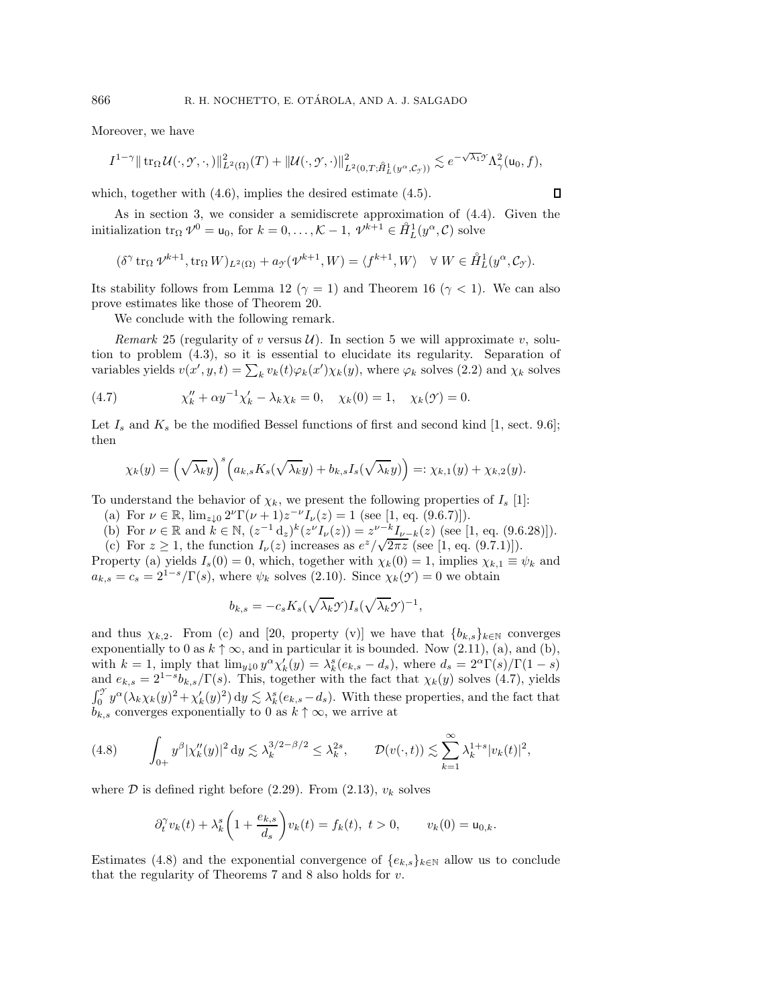Moreover, we have

$$
I^{1-\gamma} \|\operatorname{tr}_{\Omega} \mathcal{U}(\cdot,\mathcal{Y},\cdot,\cdot)\|_{L^2(\Omega)}^2(T) + \| \mathcal{U}(\cdot,\mathcal{Y},\cdot)\|_{L^2(0,T;\hat{H}_L^1(y^{\alpha},\mathcal{C}_{\mathcal{Y}}))}^2 \lesssim e^{-\sqrt{\lambda_1}\mathcal{Y}} \Lambda_\gamma^2(\mathsf{u}_0,f),
$$

 $\Box$ 

which, together with  $(4.6)$ , implies the desired estimate  $(4.5)$ .

As in section [3,](#page-10-1) we consider a semidiscrete approximation of [\(4.4\)](#page-16-6). Given the initialization  $\text{tr}_{\Omega} \mathcal{V}^0 = \mathsf{u}_0$ , for  $k = 0, \ldots, \mathcal{K} - 1$ ,  $\mathcal{V}^{k+1} \in \mathring{H}_L^1(y^\alpha, \mathcal{C})$  solve

$$
(\delta^{\gamma} \operatorname{tr}_{\Omega} \mathcal{V}^{k+1}, \operatorname{tr}_{\Omega} W)_{L^2(\Omega)} + a_{\gamma}(\mathcal{V}^{k+1}, W) = \langle f^{k+1}, W \rangle \quad \forall \ W \in \mathring{H}_L^1(y^{\alpha}, \mathcal{C}_{\gamma}).
$$

Its stability follows from Lemma [12](#page-10-7) ( $\gamma = 1$ ) and Theorem [16](#page-13-4) ( $\gamma < 1$ ). We can also prove estimates like those of Theorem [20.](#page-15-5)

We conclude with the following remark.

<span id="page-18-5"></span>*Remark* 25 (regularity of v versus  $\mathcal{U}$ ). In section [5](#page-21-0) we will approximate v, solution to problem [\(4.3\)](#page-16-4), so it is essential to elucidate its regularity. Separation of variables yields  $v(x', y, t) = \sum_k v_k(t) \varphi_k(x') \chi_k(y)$ , where  $\varphi_k$  solves [\(2.2\)](#page-3-3) and  $\chi_k$  solves

(4.7) 
$$
\chi''_k + \alpha y^{-1} \chi'_k - \lambda_k \chi_k = 0, \quad \chi_k(0) = 1, \quad \chi_k(\mathcal{Y}) = 0.
$$

Let  $I_s$  and  $K_s$  be the modified Bessel functions of first and second kind [\[1,](#page-24-19) sect. 9.6]; then

<span id="page-18-3"></span>
$$
\chi_k(y) = \left(\sqrt{\lambda_k}y\right)^s \left(a_{k,s}K_s(\sqrt{\lambda_k}y) + b_{k,s}I_s(\sqrt{\lambda_k}y)\right) =: \chi_{k,1}(y) + \chi_{k,2}(y).
$$

<span id="page-18-0"></span>To understand the behavior of  $\chi_k$ , we present the following properties of  $I_s$  [\[1\]](#page-24-19):

- <span id="page-18-2"></span>(a) For  $\nu \in \mathbb{R}$ ,  $\lim_{z \downarrow 0} 2^{\nu} \Gamma(\nu + 1) z^{-\nu} I_{\nu}(z) = 1$  (see [\[1,](#page-24-19) eq. (9.6.7)]).
- <span id="page-18-1"></span>(b) For  $\nu \in \mathbb{R}$  and  $k \in \mathbb{N}$ ,  $(z^{-1} d_z)^k (z^{\nu} I_{\nu}(z)) = z^{\nu - k} I_{\nu - k}(z)$  (see [\[1,](#page-24-19) eq. (9.6.28)]). (b) For  $\nu \in \mathbb{R}$  and  $\kappa \in \mathbb{N}$ ,  $(z - a_z)^{n}(z - a_{\nu}(z)) = z - a_{\nu}(z)$  (see [\[1,](#page-24-19) eq. (9.0, 0)]<br>(c) For  $z \ge 1$ , the function  $I_{\nu}(z)$  increases as  $e^{z}/\sqrt{2\pi z}$  (see [1, eq. (9.7.1)]).

Property [\(a\)](#page-18-0) yields  $I_s(0) = 0$ , which, together with  $\chi_k(0) = 1$ , implies  $\chi_{k,1} \equiv \psi_k$  and  $a_{k,s} = c_s = 2^{1-s} / \Gamma(s)$ , where  $\psi_k$  solves [\(2.10\)](#page-5-2). Since  $\chi_k(\mathcal{Y}) = 0$  we obtain

$$
b_{k,s} = -c_s K_s(\sqrt{\lambda_k} \mathcal{I}) I_s(\sqrt{\lambda_k} \mathcal{I})^{-1},
$$

and thus  $\chi_{k,2}$ . From [\(c\)](#page-18-1) and [\[20,](#page-24-11) property (v)] we have that  ${b_{k,s}}_{k\in\mathbb{N}}$  converges exponentially to 0 as  $k \uparrow \infty$ , and in particular it is bounded. Now [\(2.11\)](#page-5-0), [\(a\)](#page-18-0), and [\(b\)](#page-18-2), with  $k = 1$ , imply that  $\lim_{y \downarrow 0} y^{\alpha} \chi'_k(y) = \lambda_k^s (e_{k,s} - d_s)$ , where  $d_s = 2^{\alpha} \Gamma(s) / \Gamma(1 - s)$ and  $e_{k,s} = 2^{1-s}b_{k,s}/\Gamma(s)$ . This, together with the fact that  $\chi_k(y)$  solves [\(4.7\)](#page-18-3), yields  $\int_0^{\mathcal{I}} y^{\alpha} (\lambda_k \chi_k(y))^2 + \chi'_k(y)^2 dy \lesssim \lambda_k^s (e_{k,s} - d_s)$ . With these properties, and the fact that  $b_{k,s}$  converges exponentially to 0 as  $k \uparrow \infty$ , we arrive at

<span id="page-18-4"></span>
$$
(4.8) \qquad \int_{0+} y^{\beta} |\chi_k''(y)|^2 dy \lesssim \lambda_k^{3/2-\beta/2} \leq \lambda_k^{2s}, \qquad \mathcal{D}(v(\cdot,t)) \lesssim \sum_{k=1}^{\infty} \lambda_k^{1+s} |v_k(t)|^2,
$$

where  $D$  is defined right before [\(2.29\)](#page-7-1). From [\(2.13\)](#page-5-8),  $v_k$  solves

$$
\partial_t^{\gamma} v_k(t) + \lambda_k^s \left( 1 + \frac{e_{k,s}}{d_s} \right) v_k(t) = f_k(t), \ t > 0, \qquad v_k(0) = \mathbf{u}_{0,k}.
$$

Estimates [\(4.8\)](#page-18-4) and the exponential convergence of  ${e_k}_k$ <sub>k∈N</sub> allow us to conclude that the regularity of Theorems [7](#page-6-9) and [8](#page-8-5) also holds for  $v$ .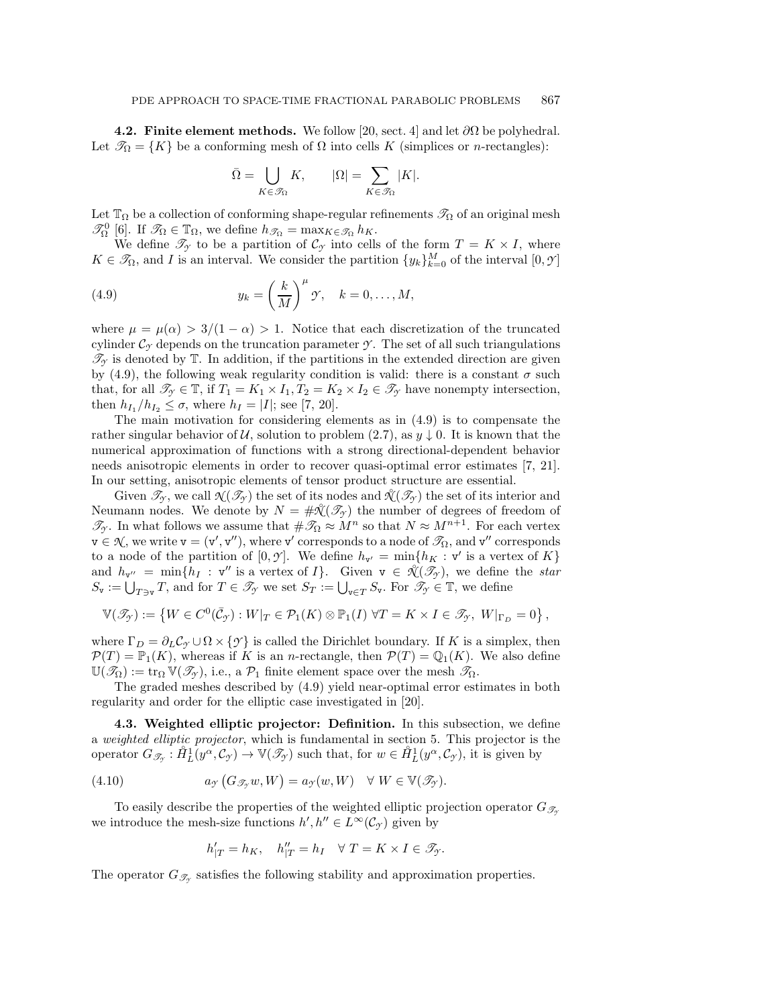<span id="page-19-0"></span>**4.2. Finite element methods.** We follow [\[20,](#page-24-11) sect. 4] and let  $\partial\Omega$  be polyhedral. Let  $\mathcal{T}_{\Omega} = \{K\}$  be a conforming mesh of  $\Omega$  into cells K (simplices or *n*-rectangles):

<span id="page-19-2"></span>
$$
\bar{\Omega}=\bigcup_{K\in \mathscr{T}_\Omega}K,\qquad |\Omega|=\sum_{K\in \mathscr{T}_\Omega}|K|.
$$

Let  $\mathbb{T}_{\Omega}$  be a collection of conforming shape-regular refinements  $\mathscr{T}_{\Omega}$  of an original mesh  $\mathscr{T}_{\Omega}^0$  [\[6\]](#page-24-20). If  $\mathscr{T}_{\Omega} \in \mathbb{T}_{\Omega}$ , we define  $h_{\mathscr{T}_{\Omega}} = \max_{K \in \mathscr{T}_{\Omega}} h_K$ .

We define  $\mathscr{T}_{\gamma}$  to be a partition of  $\mathcal{C}_{\gamma}$  into cells of the form  $T = K \times I$ , where  $K \in \mathcal{I}_{\Omega}$ , and *I* is an interval. We consider the partition  $\{y_k\}_{k=0}^M$  of the interval  $[0, \mathcal{Y}]$ 

(4.9) 
$$
y_k = \left(\frac{k}{M}\right)^{\mu} \mathcal{Y}, \quad k = 0, \dots, M,
$$

where  $\mu = \mu(\alpha) > 3/(1 - \alpha) > 1$ . Notice that each discretization of the truncated cylinder  $\mathcal{C}_{\gamma}$  depends on the truncation parameter  $\gamma$ . The set of all such triangulations  $\mathcal{T}_y$  is denoted by  $\mathbb{T}$ . In addition, if the partitions in the extended direction are given by [\(4.9\)](#page-19-2), the following weak regularity condition is valid: there is a constant  $\sigma$  such that, for all  $\mathcal{T}_{\gamma} \in \mathbb{T}$ , if  $T_1 = K_1 \times I_1$ ,  $T_2 = K_2 \times I_2 \in \mathcal{T}_{\gamma}$  have nonempty intersection, then  $h_{I_1}/h_{I_2} \leq \sigma$ , where  $h_I = |I|$ ; see [\[7,](#page-24-21) [20\]](#page-24-11).

The main motivation for considering elements as in [\(4.9\)](#page-19-2) is to compensate the rather singular behavior of U, solution to problem [\(2.7\)](#page-4-3), as  $y \downarrow 0$ . It is known that the numerical approximation of functions with a strong directional-dependent behavior needs anisotropic elements in order to recover quasi-optimal error estimates [\[7,](#page-24-21) [21\]](#page-24-22). In our setting, anisotropic elements of tensor product structure are essential.

Given  $\mathcal{T}_{\gamma}$ , we call  $\mathcal{N}(\mathcal{I}_{\gamma})$  the set of its nodes and  $\mathcal{N}(\mathcal{I}_{\gamma})$  the set of its interior and Neumann nodes. We denote by  $N = #\mathcal{X}(\mathcal{I}_\mathcal{I})$  the number of degrees of freedom of  $\mathcal{T}_{\gamma}$ . In what follows we assume that  $\#\mathcal{T}_{\Omega} \approx M^{n}$  so that  $N \approx M^{n+1}$ . For each vertex  $\mathsf{v}\in\mathcal{N},$  we write  $\mathsf{v}=(\mathsf{v}',\mathsf{v}''),$  where  $\mathsf{v}'$  corresponds to a node of  $\mathscr{T}_\Omega$ , and  $\mathsf{v}''$  corresponds to a node of the partition of  $[0, \mathcal{Y}]$ . We define  $h_{\mathbf{v}'} = \min\{h_K : \mathbf{v}'$  is a vertex of K $\}$ and  $h_{\mathbf{v}''} = \min\{h_I : \mathbf{v}''$  is a vertex of  $I\}$ . Given  $\mathbf{v} \in \mathcal{K}(\mathcal{I}_\mathcal{I})$ , we define the *star*  $S_{\mathbf{v}} := \bigcup_{T \ni \mathbf{v}} T$ , and for  $T \in \mathscr{T}_{\gamma}$  we set  $S_T := \bigcup_{\mathbf{v} \in T} S_{\mathbf{v}}$ . For  $\mathscr{T}_{\gamma} \in \mathbb{T}$ , we define

$$
\mathbb{V}(\mathscr{T}_{\mathcal{Y}}) := \left\{ W \in C^{0}(\bar{\mathcal{C}}_{\mathcal{Y}}) : W|_{T} \in \mathcal{P}_{1}(K) \otimes \mathbb{P}_{1}(I) \; \forall T = K \times I \in \mathscr{T}_{\mathcal{Y}}, \; W|_{\Gamma_{D}} = 0 \right\},\,
$$

where  $\Gamma_D = \partial_L C_\gamma \cup \Omega \times \{\gamma\}$  is called the Dirichlet boundary. If K is a simplex, then  $\mathcal{P}(T) = \mathbb{P}_1(K)$ , whereas if K is an *n*-rectangle, then  $\mathcal{P}(T) = \mathbb{Q}_1(K)$ . We also define  $\mathbb{U}(\mathscr{T}_{\Omega}) := \text{tr}_{\Omega} \mathbb{V}(\mathscr{T}_{\gamma}),$  i.e., a  $\mathcal{P}_1$  finite element space over the mesh  $\mathscr{T}_{\Omega}$ .

The graded meshes described by [\(4.9\)](#page-19-2) yield near-optimal error estimates in both regularity and order for the elliptic case investigated in [\[20\]](#page-24-11).

<span id="page-19-1"></span>**4.3. Weighted elliptic projector: Definition.** In this subsection, we define a *weighted elliptic projector*, which is fundamental in section [5.](#page-21-0) This projector is the operator  $G_{\mathscr{T}_{\mathscr{T}}}: \mathring{H}_L^1(y^{\alpha}, \mathcal{C}_{\mathscr{T}}) \to \mathbb{V}(\mathscr{T}_{\mathscr{T}})$  such that, for  $w \in \mathring{H}_L^1(y^{\alpha}, \mathcal{C}_{\mathscr{T}})$ , it is given by

(4.10) 
$$
a_{\mathcal{I}}(G_{\mathcal{I}_{\mathcal{I}}}w,W)=a_{\mathcal{I}}(w,W)\quad \forall W\in\mathbb{V}(\mathcal{I}_{\mathcal{I}}).
$$

To easily describe the properties of the weighted elliptic projection operator  $G_{\mathscr{T}_{\gamma}}$ we introduce the mesh-size functions  $h', h'' \in L^{\infty}(\mathcal{C}_{\mathcal{I}})$  given by

<span id="page-19-3"></span>
$$
h'_{|T} = h_K, \quad h''_{|T} = h_I \quad \forall \ T = K \times I \in \mathcal{I}_{\mathcal{Y}}.
$$

The operator  $G_{\mathcal{I}_{\gamma}}$  satisfies the following stability and approximation properties.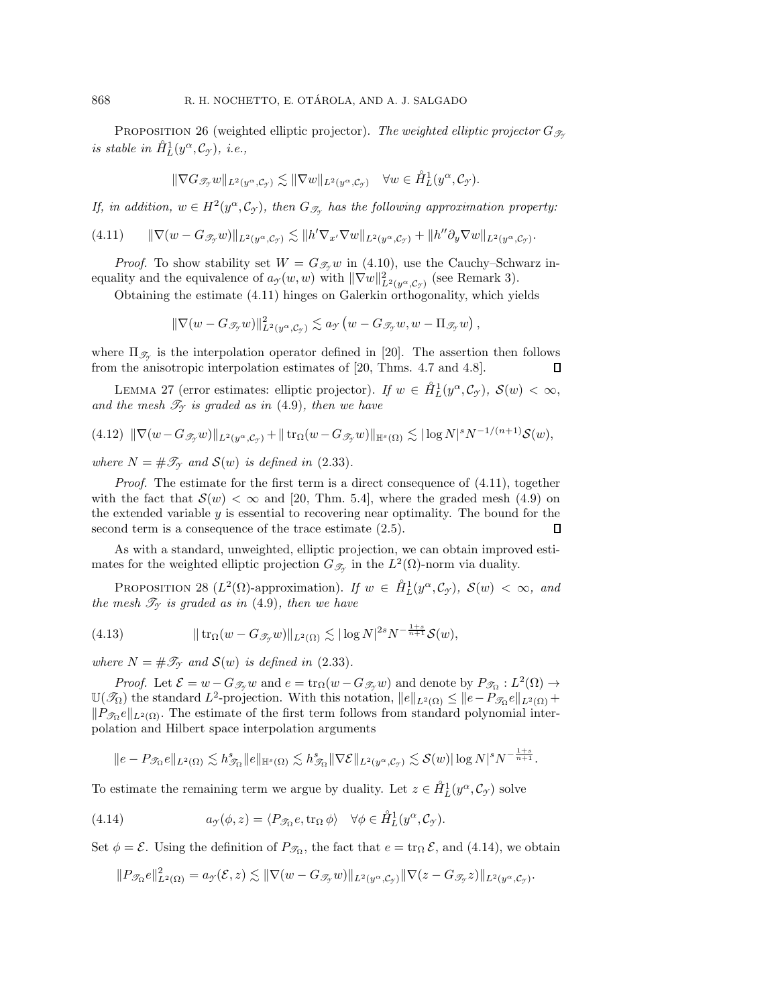PROPOSITION 26 (weighted elliptic projector). The weighted elliptic projector  $G_{\mathscr{T}_{\gamma}}$  $\int$ *is stable in*  $\hat{H}_L^1(y^\alpha, \mathcal{C}_\mathcal{Y})$ *, i.e.,* 

$$
\|\nabla G_{\mathscr{T}_{\mathcal{F}}} w\|_{L^2(y^{\alpha}, \mathcal{C}_{\mathcal{F}})} \lesssim \|\nabla w\|_{L^2(y^{\alpha}, \mathcal{C}_{\mathcal{F}})} \quad \forall w \in \mathring{H}_L^1(y^{\alpha}, \mathcal{C}_{\mathcal{F}}).
$$

*If, in addition,*  $w \in H^2(y^\alpha, \mathcal{C}_\gamma)$ *, then*  $G_{\mathcal{I}_\gamma}$  *has the following approximation property:* 

<span id="page-20-0"></span>
$$
(4.11) \qquad \|\nabla(w - G_{\mathscr{T}_{\mathcal{Y}}}w)\|_{L^2(y^{\alpha}, \mathcal{C}_{\mathcal{Y}})} \lesssim \|h'\nabla_{x'}\nabla w\|_{L^2(y^{\alpha}, \mathcal{C}_{\mathcal{Y}})} + \|h''\partial_y\nabla w\|_{L^2(y^{\alpha}, \mathcal{C}_{\mathcal{Y}})}.
$$

*Proof.* To show stability set  $W = G_{\mathcal{F}_Y}w$  in [\(4.10\)](#page-19-3), use the Cauchy–Schwarz inequality and the equivalence of  $a_y(w, w)$  with  $\|\nabla w\|_{L^2(y^\alpha, \mathcal{C}_{\mathcal{Y}})}^2$  (see Remark [3\)](#page-4-5).

Obtaining the estimate [\(4.11\)](#page-20-0) hinges on Galerkin orthogonality, which yields

$$
\|\nabla (w - G_{\mathscr{T}_{\mathcal{Y}}} w)\|_{L^2(y^{\alpha}, \mathcal{C}_{\mathcal{Y}})}^2 \lesssim a_{\mathcal{Y}}(w - G_{\mathscr{T}_{\mathcal{Y}}} w, w - \Pi_{\mathscr{T}_{\mathcal{Y}}} w),
$$

where  $\Pi_{\mathscr{T}_{\gamma}}$  is the interpolation operator defined in [\[20\]](#page-24-11). The assertion then follows from the anisotropic interpolation estimates of [\[20,](#page-24-11) Thms. 4.7 and 4.8].  $\Box$ 

<span id="page-20-2"></span>LEMMA 27 (error estimates: elliptic projector). *If*  $w \in \hat{H}_L^1(y^\alpha, \mathcal{C}_{\mathcal{Y}})$ ,  $\mathcal{S}(w) < \infty$ , and the mesh  $\mathcal{T}_{\gamma}$  *is graded as in* [\(4.9\)](#page-19-2)*, then we have* 

<span id="page-20-4"></span>
$$
(4.12) \|\nabla(w - G_{\mathscr{T}_{\mathcal{Y}}}w)\|_{L^2(y^{\alpha}, \mathcal{C}_{\mathcal{Y}})} + \|\operatorname{tr}_{\Omega}(w - G_{\mathscr{T}_{\mathcal{Y}}}w)\|_{\mathbb{H}^s(\Omega)} \lesssim |\log N|^s N^{-1/(n+1)}\mathcal{S}(w),
$$

*where*  $N = #\mathcal{T}_{\gamma}$  *and*  $\mathcal{S}(w)$  *is defined in* [\(2.33\)](#page-7-5)*.* 

*Proof.* The estimate for the first term is a direct consequence of  $(4.11)$ , together with the fact that  $\mathcal{S}(w) < \infty$  and [\[20,](#page-24-11) Thm. 5.4], where the graded mesh [\(4.9\)](#page-19-2) on the extended variable y is essential to recovering near optimality. The bound for the second term is a consequence of the trace estimate  $(2.5)$ .  $\Box$ 

<span id="page-20-5"></span>As with a standard, unweighted, elliptic projection, we can obtain improved estimates for the weighted elliptic projection  $G_{\mathscr{T}_{\mathscr{I}}}$  in the  $L^2(\Omega)$ -norm via duality.

PROPOSITION 28 ( $L^2(\Omega)$ -approximation). *If*  $w \in \hat{H}_L^1(y^\alpha, \mathcal{C}_{\mathcal{I}})$ ,  $\mathcal{S}(w) < \infty$ , and *the mesh*  $\mathcal{T}_{\gamma}$  *is graded as in* [\(4.9\)](#page-19-2)*, then we have* 

<span id="page-20-3"></span>(4.13) 
$$
\|\operatorname{tr}_{\Omega}(w - G_{\mathscr{T}_{\mathcal{F}}}w)\|_{L^{2}(\Omega)} \lesssim |\log N|^{2s} N^{-\frac{1+s}{n+1}} \mathcal{S}(w),
$$

*where*  $N = #\mathcal{T}_{\gamma}$  *and*  $\mathcal{S}(w)$  *is defined in* [\(2.33\)](#page-7-5)*.* 

*Proof.* Let  $\mathcal{E} = w - G_{\mathcal{F}_{\mathcal{F}}} w$  and  $e = \text{tr}_{\Omega}(w - G_{\mathcal{F}_{\mathcal{F}}} w)$  and denote by  $P_{\mathcal{F}_{\Omega}} : L^2(\Omega) \to$  $\mathbb{U}(\mathscr{T}_{\Omega})$  the standard L<sup>2</sup>-projection. With this notation,  $||e||_{L^2(\Omega)} \leq ||e-P_{\mathscr{T}_{\Omega}}e||_{L^2(\Omega)} +$  $||P_{\mathcal{D}_0}e||_{L^2(\Omega)}$ . The estimate of the first term follows from standard polynomial interpolation and Hilbert space interpolation arguments

$$
||e - P_{\mathcal{F}_{\Omega}}e||_{L^{2}(\Omega)} \lesssim h_{\mathcal{F}_{\Omega}}^{s}||e||_{\mathbb{H}^{s}(\Omega)} \lesssim h_{\mathcal{F}_{\Omega}}^{s}||\nabla \mathcal{E}||_{L^{2}(y^{\alpha}, \mathcal{C}_{\mathcal{I}})} \lesssim \mathcal{S}(w)|\log N|^{s}N^{-\frac{1+s}{n+1}}.
$$

To estimate the remaining term we argue by duality. Let  $z \in \mathring{H}_L^1(y^\alpha, \mathcal{C}_{\mathcal{I}})$  solve

(4.14) 
$$
a_{\mathcal{I}}(\phi, z) = \langle P_{\mathcal{I}_{\Omega}}e, \operatorname{tr}_{\Omega} \phi \rangle \quad \forall \phi \in \mathring{H}_L^1(y^{\alpha}, \mathcal{C}_{\mathcal{I}}).
$$

Set  $\phi = \mathcal{E}$ . Using the definition of  $P_{\mathcal{I}_{\Omega}}$ , the fact that  $e = \text{tr}_{\Omega} \mathcal{E}$ , and [\(4.14\)](#page-20-1), we obtain

<span id="page-20-1"></span>
$$
||P_{\mathscr{T}_{\Omega}}e||_{L^2(\Omega)}^2 = a_{\mathscr{T}}(\mathcal{E},z) \lesssim ||\nabla(w - G_{\mathscr{T}_{\mathscr{T}}}w)||_{L^2(y^{\alpha},\mathcal{C}_{\mathscr{T}})} ||\nabla(z - G_{\mathscr{T}_{\mathscr{T}}}z)||_{L^2(y^{\alpha},\mathcal{C}_{\mathscr{T}})}.
$$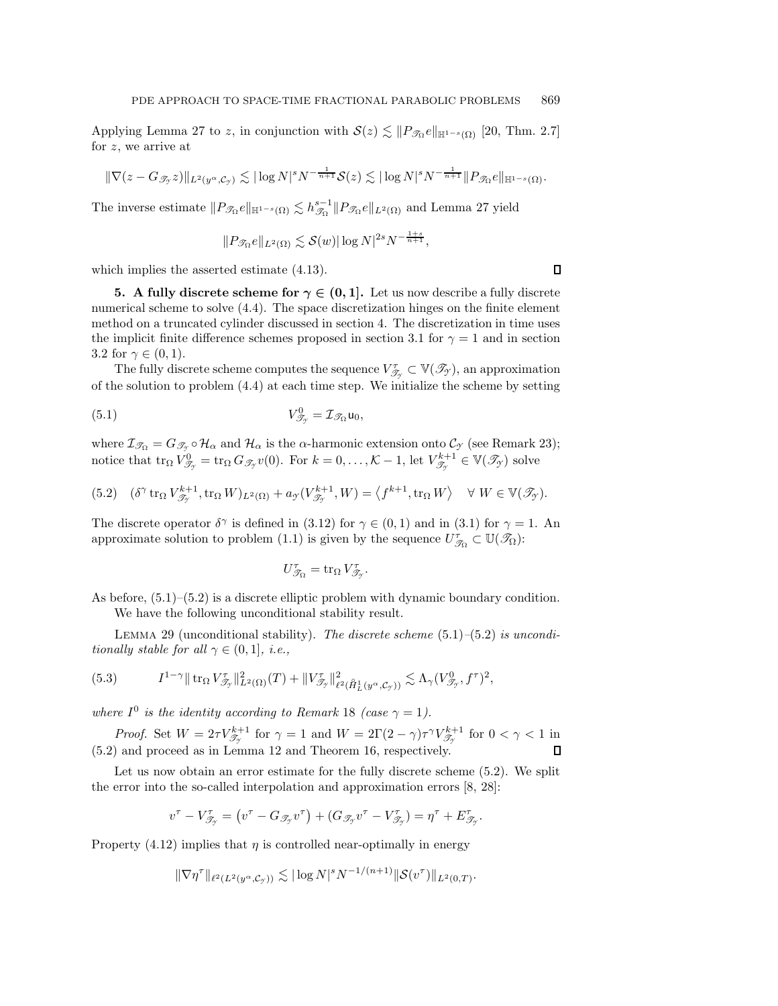Applying Lemma [27](#page-20-2) to z, in conjunction with  $\mathcal{S}(z) \lesssim \|P_{\mathcal{I}\Omega}e\|_{\mathbb{H}^{1-s}(\Omega)}$  [\[20,](#page-24-11) Thm. 2.7] for z, we arrive at

$$
\|\nabla(z - G_{\mathscr{T}_{\mathcal{T}}}z)\|_{L^2(y^{\alpha}, \mathcal{C}_{\mathcal{T}})} \lesssim |\log N|^s N^{-\frac{1}{n+1}}\mathcal{S}(z) \lesssim |\log N|^s N^{-\frac{1}{n+1}}\|P_{\mathscr{T}_{\Omega}}e\|_{\mathbb{H}^{1-s}(\Omega)}.
$$

The inverse estimate  $||P_{\mathscr{T}_{\Omega}}e||_{\mathbb{H}^{1-s}(\Omega)} \lesssim h_{\mathscr{T}_{\Omega}}^{s-1}||P_{\mathscr{T}_{\Omega}}e||_{L^2(\Omega)}$  and Lemma [27](#page-20-2) yield

$$
||P_{\mathscr{T}_{\Omega}}e||_{L^2(\Omega)} \lesssim \mathcal{S}(w)|\log N|^{2s}N^{-\frac{1+s}{n+1}},
$$

<span id="page-21-0"></span>which implies the asserted estimate [\(4.13\)](#page-20-3).

**5.** A fully discrete scheme for  $\gamma \in (0,1]$ . Let us now describe a fully discrete numerical scheme to solve [\(4.4\)](#page-16-6). The space discretization hinges on the finite element method on a truncated cylinder discussed in section [4.](#page-16-0) The discretization in time uses the implicit finite difference schemes proposed in section [3.1](#page-10-5) for  $\gamma = 1$  and in section [3.2](#page-10-0) for  $\gamma \in (0,1)$ .

The fully discrete scheme computes the sequence  $V_{\mathcal{T}_{\gamma}}^{\tau} \subset \mathbb{V}(\mathcal{T}_{\gamma})$ , an approximation of the solution to problem [\(4.4\)](#page-16-6) at each time step. We initialize the scheme by setting

(5.1) 
$$
V_{\mathcal{T}_{\mathcal{I}}}^{0} = \mathcal{I}_{\mathcal{T}_{\Omega}} \mathsf{u}_{0},
$$

where  $\mathcal{I}_{\mathscr{T}_{\Omega}} = G_{\mathscr{T}_{\mathscr{T}}} \circ \mathcal{H}_{\alpha}$  and  $\mathcal{H}_{\alpha}$  is the  $\alpha$ -harmonic extension onto  $\mathcal{C}_{\mathscr{T}}$  (see Remark [23\)](#page-16-7); notice that  $\text{tr}_{\Omega} V_{\mathscr{T}_{\mathcal{T}}}^0 = \text{tr}_{\Omega} G_{\mathscr{T}_{\mathcal{T}}} v(0)$ . For  $k = 0, \ldots, \mathcal{K} - 1$ , let  $V_{\mathscr{T}_{\mathcal{T}}}^{k+1} \in \mathbb{V}(\mathscr{T}_{\mathcal{T}})$  solve

<span id="page-21-2"></span>(5.2) 
$$
(\delta^{\gamma} \operatorname{tr}_{\Omega} V^{k+1}_{\mathscr{T}_{\mathcal{T}}} , \operatorname{tr}_{\Omega} W)_{L^2(\Omega)} + a_{\mathcal{T}}(V^{k+1}_{\mathscr{T}_{\mathcal{T}}} , W) = \langle f^{k+1}, \operatorname{tr}_{\Omega} W \rangle \quad \forall W \in \mathbb{V}(\mathscr{T}_{\mathcal{T}}).
$$

The discrete operator  $\delta^{\gamma}$  is defined in [\(3.12\)](#page-13-3) for  $\gamma \in (0,1)$  and in [\(3.1\)](#page-10-6) for  $\gamma = 1$ . An approximate solution to problem [\(1.1\)](#page-0-0) is given by the sequence  $U_{\mathcal{T}_{\Omega}}^{\tau} \subset \mathbb{U}(\mathcal{T}_{\Omega})$ :

<span id="page-21-1"></span>
$$
U_{\mathcal{T}_{\Omega}}^{\tau} = \operatorname{tr}_{\Omega} V_{\mathcal{T}_{\gamma}}^{\tau}.
$$

As before,  $(5.1)$ – $(5.2)$  is a discrete elliptic problem with dynamic boundary condition. We have the following unconditional stability result.

Lemma 29 (unconditional stability). *The discrete scheme* [\(5.1\)](#page-21-1)*–*[\(5.2\)](#page-21-2) *is unconditionally stable for all*  $\gamma \in (0, 1]$ *, i.e.,* 

<span id="page-21-3"></span>
$$
(5.3) \tI^{1-\gamma} \| \operatorname{tr}_{\Omega} V_{\mathscr{T}_{\gamma}}^{\tau} \|_{L^2(\Omega)}^2(T) + \| V_{\mathscr{T}_{\gamma}}^{\tau} \|_{\ell^2(\hat{H}_L^1(y^{\alpha}, \mathcal{C}_{\gamma}))}^2 \lesssim \Lambda_{\gamma} (V_{\mathscr{T}_{\gamma}}^0, f^{\tau})^2,
$$

*where*  $I^0$  *is the identity according to Remark* [18](#page-14-3) *(case*  $\gamma = 1$ *).* 

*Proof.* Set  $W = 2\tau V_{\mathcal{T}_\gamma}^{k+1}$  for  $\gamma = 1$  and  $W = 2\Gamma(2-\gamma)\tau^{\gamma}V_{\mathcal{T}_\gamma}^{k+1}$  for  $0 < \gamma < 1$  in [\(5.2\)](#page-21-2) and proceed as in Lemma [12](#page-10-7) and Theorem [16,](#page-13-4) respectively.

Let us now obtain an error estimate for the fully discrete scheme  $(5.2)$ . We split the error into the so-called interpolation and approximation errors [\[8,](#page-24-23) [28\]](#page-25-4):

$$
v^{\tau} - V^{\tau}_{\mathscr{T}_{\mathcal{T}}} = (v^{\tau} - G_{\mathscr{T}_{\mathcal{T}}}v^{\tau}) + (G_{\mathscr{T}_{\mathcal{T}}}v^{\tau} - V^{\tau}_{\mathscr{T}_{\mathcal{T}}}) = \eta^{\tau} + E^{\tau}_{\mathscr{T}_{\mathcal{T}}}.
$$

Property [\(4.12\)](#page-20-4) implies that  $\eta$  is controlled near-optimally in energy

$$
\|\nabla \eta^{\tau}\|_{\ell^2(L^2(y^{\alpha}, \mathcal{C}_{\mathcal{F}}))} \lesssim |\log N|^s N^{-1/(n+1)} \|\mathcal{S}(v^{\tau})\|_{L^2(0,T)}.
$$

 $\Box$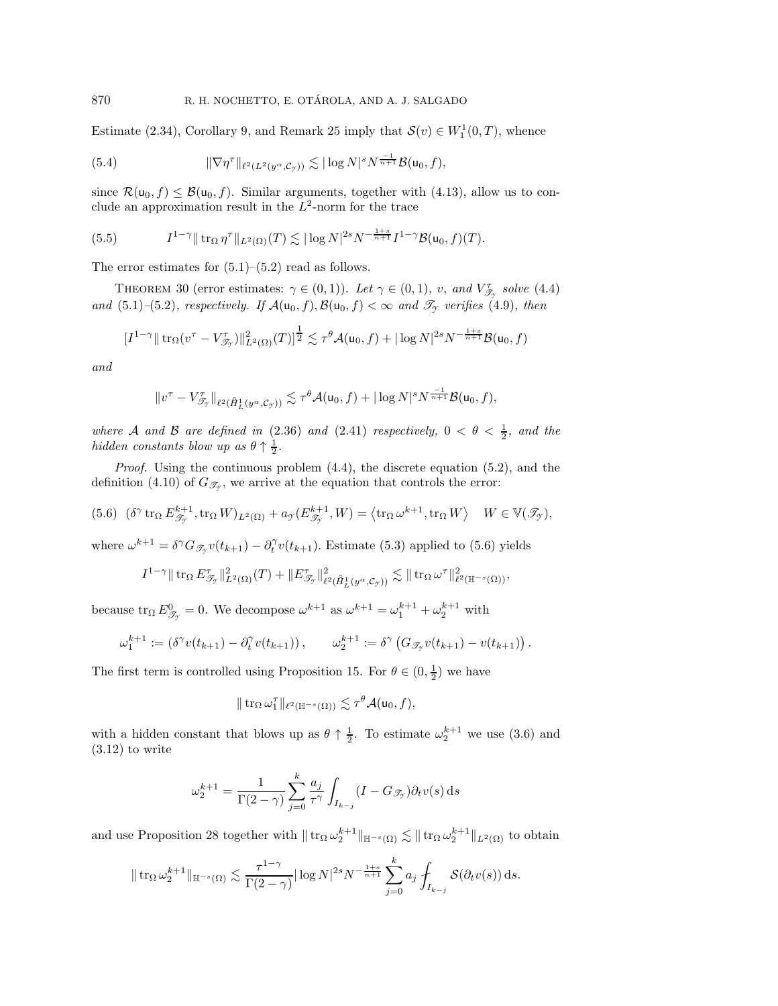Estimate [\(2.34\)](#page-7-6), Corollary [9,](#page-9-2) and Remark [25](#page-18-5) imply that  $\mathcal{S}(v) \in W_1^1(0,T)$ , whence

<span id="page-22-1"></span>(5.4) 
$$
\|\nabla \eta^{\tau}\|_{\ell^2(L^2(y^{\alpha}, \mathcal{C}_{\mathcal{Y}}))} \lesssim |\log N|^s N^{\frac{-1}{n+1}} \mathcal{B}(\mathsf{u}_0, f),
$$

since  $\mathcal{R}(u_0, f) \leq \mathcal{B}(u_0, f)$ . Similar arguments, together with [\(4.13\)](#page-20-3), allow us to conclude an approximation result in the  $L^2$ -norm for the trace

<span id="page-22-2"></span>(5.5) 
$$
I^{1-\gamma} \| \operatorname{tr}_{\Omega} \eta^{\tau} \|_{L^{2}(\Omega)}(T) \lesssim |\log N|^{2s} N^{-\frac{1+s}{n+1}} I^{1-\gamma} \mathcal{B}(\mathsf{u}_{0},f)(T).
$$

<span id="page-22-3"></span>The error estimates for  $(5.1)$ – $(5.2)$  read as follows.

THEOREM 30 (error estimates:  $\gamma \in (0,1)$ ). Let  $\gamma \in (0,1)$ , v, and  $V_{\mathscr{T}_{\gamma}}^{\tau}$  solve [\(4.4\)](#page-16-6) *and* [\(5.1\)](#page-21-1)–[\(5.2\)](#page-21-2)*, respectively. If*  $\mathcal{A}(\mathsf{u}_0, f), \mathcal{B}(\mathsf{u}_0, f) < \infty$  *and*  $\mathcal{T}_{\mathcal{I}}$  *verifies* [\(4.9\)](#page-19-2)*, then* 

$$
[I^{1-\gamma} \|\operatorname{tr}_{\Omega}(v^{\tau} - V_{\mathcal{T}_{\gamma}}^{\tau})\|_{L^{2}(\Omega)}^{2}(T)]^{\frac{1}{2}} \lesssim \tau^{\theta} \mathcal{A}(\mathsf{u}_{0},f) + |\log N|^{2s} N^{-\frac{1+s}{n+1}} \mathcal{B}(\mathsf{u}_{0},f)
$$

*and*

$$
||v^{\tau}-V_{\mathscr{T}_{\mathcal{I}}}\mathbb{I}_{\ell^2(\hat{H}_L^1(y^{\alpha},\mathcal{C}_{\mathcal{I}}))} \lesssim \tau^{\theta} \mathcal{A}(\mathsf{u}_0,f) + |\log N|^s N^{\frac{-1}{n+1}} \mathcal{B}(\mathsf{u}_0,f),
$$

*where* A *and* B are defined in  $(2.36)$  *and*  $(2.41)$  *respectively,*  $0 < \theta < \frac{1}{2}$ *, and the hidden constants blow up as*  $\theta \uparrow \frac{1}{2}$ .

*Proof.* Using the continuous problem [\(4.4\)](#page-16-6), the discrete equation [\(5.2\)](#page-21-2), and the definition [\(4.10\)](#page-19-3) of  $G_{\mathscr{T}_{\gamma}}$ , we arrive at the equation that controls the error:

<span id="page-22-0"></span>(5.6) 
$$
(\delta^{\gamma} \operatorname{tr}_{\Omega} E^{k+1}_{\mathscr{T}_{\gamma}}, \operatorname{tr}_{\Omega} W)_{L^2(\Omega)} + a_{\gamma}(E^{k+1}_{\mathscr{T}_{\gamma}}, W) = \langle \operatorname{tr}_{\Omega} \omega^{k+1}, \operatorname{tr}_{\Omega} W \rangle \quad W \in \mathbb{V}(\mathscr{T}_{\gamma}),
$$

where  $\omega^{k+1} = \delta^\gamma G_{\mathscr{T}_{\mathscr{T}}} v(t_{k+1}) - \partial_t^\gamma v(t_{k+1})$ . Estimate [\(5.3\)](#page-21-3) applied to [\(5.6\)](#page-22-0) yields

$$
I^{1-\gamma}\|\mathop{\rm tr}\nolimits_{\Omega}E^\tau_{\mathscr{T}_{\mathscr{T}}}\|^2_{L^2(\Omega)}(T)+\|E^\tau_{\mathscr{T}_{\mathscr{T}}}\|^2_{\ell^2(\mathring{H}^1_L(y^\alpha,{\mathcal C}_{\mathscr{T}}))}\lesssim \|\mathop{\rm tr}\nolimits_{\Omega}\omega^\tau\|^2_{\ell^2(\mathbb{H}^{-s}(\Omega))},
$$

because  $\text{tr}_{\Omega} E_{\mathscr{T}_{\gamma}}^0 = 0$ . We decompose  $\omega^{k+1}$  as  $\omega^{k+1} = \omega_1^{k+1} + \omega_2^{k+1}$  with

$$
\omega_1^{k+1} := \left(\delta^{\gamma}v(t_{k+1}) - \partial_t^{\gamma}v(t_{k+1})\right), \qquad \omega_2^{k+1} := \delta^{\gamma}\left(G_{\mathscr{T}_{\gamma}}v(t_{k+1}) - v(t_{k+1})\right).
$$

The first term is controlled using Proposition [15.](#page-12-1) For  $\theta \in (0, \frac{1}{2})$  we have

$$
\|\operatorname{tr}_\Omega \omega_1^\tau\|_{\ell^2(\mathbb{H}^{-s}(\Omega))} \lesssim \tau^\theta \mathcal{A}(\mathsf{u}_0,f),
$$

with a hidden constant that blows up as  $\theta \uparrow \frac{1}{2}$ . To estimate  $\omega_2^{k+1}$  we use [\(3.6\)](#page-11-4) and  $(3.12)$  to write

$$
\omega_2^{k+1} = \frac{1}{\Gamma(2-\gamma)} \sum_{j=0}^k \frac{a_j}{\tau^{\gamma}} \int_{I_{k-j}} (I - G_{\mathcal{I}_{\gamma}}) \partial_t v(s) \, ds
$$

and use Proposition [28](#page-20-5) together with  $|| \text{ tr}_{\Omega} \omega_2^{k+1} ||_{\mathbb{H}^{-s}(\Omega)} \lesssim || \text{ tr}_{\Omega} \omega_2^{k+1} ||_{L^2(\Omega)}$  to obtain

$$
\|\operatorname{tr}_{\Omega}\omega_2^{k+1}\|_{\mathbb{H}^{-s}(\Omega)} \lesssim \frac{\tau^{1-\gamma}}{\Gamma(2-\gamma)}|\log N|^{2s}N^{-\frac{1+s}{n+1}}\sum_{j=0}^k a_j \int_{I_{k-j}} \mathcal{S}(\partial_t v(s))\,\mathrm{d}s.
$$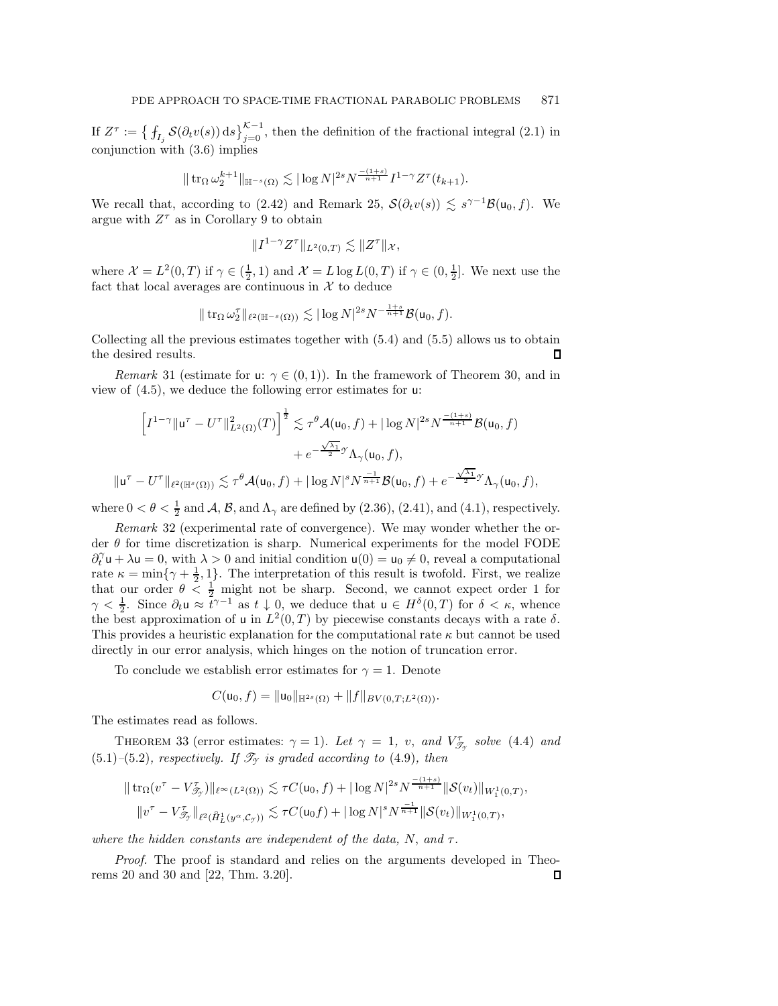If  $Z^{\tau} := \left\{ \int_{I_j} \mathcal{S}(\partial_t v(s)) ds \right\}_{j=0}^{K-1}$ , then the definition of the fractional integral [\(2.1\)](#page-3-6) in conjunction with [\(3.6\)](#page-11-4) implies

$$
\|\operatorname{tr}_{\Omega}\omega_2^{k+1}\|_{\mathbb{H}^{-s}(\Omega)} \lesssim |\log N|^{2s} N^{\frac{-(1+s)}{n+1}} I^{1-\gamma} Z^{\tau}(t_{k+1}).
$$

We recall that, according to [\(2.42\)](#page-9-1) and Remark [25,](#page-18-5)  $\mathcal{S}(\partial_t v(s)) \lesssim s^{\gamma-1} \mathcal{B}(u_0, f)$ . We argue with  $Z^\tau$  as in Corollary [9](#page-9-2) to obtain

$$
||I^{1-\gamma}Z^{\tau}||_{L^2(0,T)} \lesssim ||Z^{\tau}||_{\mathcal{X}},
$$

where  $\mathcal{X} = L^2(0,T)$  if  $\gamma \in (\frac{1}{2}, 1)$  and  $\mathcal{X} = L \log L(0,T)$  if  $\gamma \in (0, \frac{1}{2}]$ . We next use the fact that local averages are continuous in  $X$  to deduce

$$
\|\operatorname{tr}_{\Omega}\omega_2^{\tau}\|_{\ell^2(\mathbb{H}^{-s}(\Omega))}\lesssim |\log N|^{2s}N^{-\frac{1+s}{n+1}}\mathcal{B}(\mathsf{u}_0,f).
$$

Collecting all the previous estimates together with [\(5.4\)](#page-22-1) and [\(5.5\)](#page-22-2) allows us to obtain the desired results. П

*Remark* 31 (estimate for u:  $\gamma \in (0,1)$ ). In the framework of Theorem [30,](#page-22-3) and in view of [\(4.5\)](#page-17-1), we deduce the following error estimates for u:

$$
\left[I^{1-\gamma} \| \mathbf{u}^{\tau} - U^{\tau} \|_{L^2(\Omega)}^2(T)\right]^{\frac{1}{2}} \lesssim \tau^{\theta} \mathcal{A}(\mathbf{u}_0, f) + |\log N|^{2s} N^{\frac{-(1+s)}{n+1}} \mathcal{B}(\mathbf{u}_0, f)
$$

$$
+ e^{-\frac{\sqrt{\lambda_1}}{2}} \gamma \Lambda_{\gamma}(\mathbf{u}_0, f),
$$

$$
\|\mathbf{u}^{\tau} - U^{\tau} \|_{\ell^2(\mathbb{H}^s(\Omega))} \lesssim \tau^{\theta} \mathcal{A}(\mathbf{u}_0, f) + |\log N|^{s} N^{\frac{-1}{n+1}} \mathcal{B}(\mathbf{u}_0, f) + e^{-\frac{\sqrt{\lambda_1}}{2}} \gamma \Lambda_{\gamma}(\mathbf{u}_0, f),
$$

where  $0 < \theta < \frac{1}{2}$  and  $\mathcal{A}, \mathcal{B},$  and  $\Lambda_{\gamma}$  are defined by [\(2.36\)](#page-8-6), [\(2.41\)](#page-9-3), and [\(4.1\)](#page-16-5), respectively.

*Remark* 32 (experimental rate of convergence). We may wonder whether the order  $\theta$  for time discretization is sharp. Numerical experiments for the model FODE  $\partial_t^{\gamma} \mathbf{u} + \lambda \mathbf{u} = 0$ , with  $\lambda > 0$  and initial condition  $\mathbf{u}(0) = \mathbf{u}_0 \neq 0$ , reveal a computational rate  $\kappa = \min\{\gamma + \frac{1}{2}, 1\}$ . The interpretation of this result is twofold. First, we realize that our order  $\theta < \frac{1}{2}$  might not be sharp. Second, we cannot expect order 1 for  $\gamma < \frac{1}{2}$ . Since  $\partial_t \mathbf{u} \approx \overline{t}^{\gamma-1}$  as  $t \downarrow 0$ , we deduce that  $\mathbf{u} \in H^{\delta}(0,T)$  for  $\delta < \kappa$ , whence the best approximation of u in  $L^2(0,T)$  by piecewise constants decays with a rate  $\delta$ . This provides a heuristic explanation for the computational rate  $\kappa$  but cannot be used directly in our error analysis, which hinges on the notion of truncation error.

To conclude we establish error estimates for  $\gamma = 1$ . Denote

$$
C(\mathsf{u}_0,f)=\|\mathsf{u}_0\|_{\mathbb{H}^{2s}(\Omega)}+\|f\|_{BV(0,T;L^2(\Omega))}.
$$

The estimates read as follows.

THEOREM 33 (error estimates:  $\gamma = 1$ ). Let  $\gamma = 1$ , v, and  $V_{\mathscr{T}_{\gamma}}^{\tau}$  solve [\(4.4\)](#page-16-6) and [\(5.1\)](#page-21-1)–[\(5.2\)](#page-21-2)*, respectively. If*  $\mathcal{T}_{\gamma}$  *is graded according to* (4.9*), then* 

$$
\|\operatorname{tr}_{\Omega}(v^{\tau} - V_{\mathcal{J}_{\mathcal{Y}}})\|_{\ell^{\infty}(L^{2}(\Omega))} \lesssim \tau C(\mathsf{u}_{0}, f) + |\log N|^{2s} N^{\frac{-(1+s)}{n+1}} \|\mathcal{S}(v_{t})\|_{W_{1}^{1}(0,T)},
$$
  

$$
\|v^{\tau} - V_{\mathcal{J}_{\mathcal{Y}}}\|_{\ell^{2}(\dot{H}_{L}^{1}(y^{\alpha}, \mathcal{C}_{\mathcal{Y}}))} \lesssim \tau C(\mathsf{u}_{0}f) + |\log N|^{s} N^{\frac{-1}{n+1}} \|\mathcal{S}(v_{t})\|_{W_{1}^{1}(0,T)},
$$

*where the hidden constants are independent of the data,* N, *and* τ*.*

*Proof.* The proof is standard and relies on the arguments developed in Theorems [20](#page-15-5) and [30](#page-22-3) and [\[22,](#page-24-17) Thm. 3.20].Л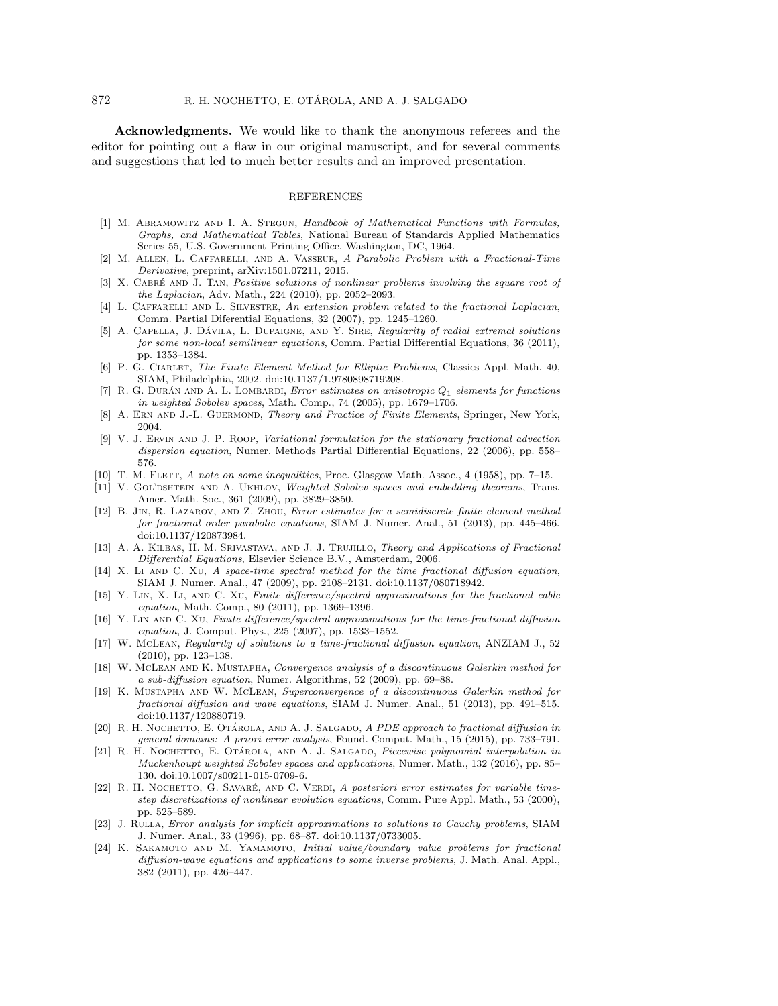**Acknowledgments.** We would like to thank the anonymous referees and the editor for pointing out a flaw in our original manuscript, and for several comments and suggestions that led to much better results and an improved presentation.

#### REFERENCES

- <span id="page-24-19"></span>[1] M. ABRAMOWITZ AND I. A. STEGUN, Handbook of Mathematical Functions with Formulas, Graphs, and Mathematical Tables, National Bureau of Standards Applied Mathematics Series 55, U.S. Government Printing Office, Washington, DC, 1964.
- <span id="page-24-10"></span>[2] M. Allen, L. Caffarelli, and A. Vasseur, A Parabolic Problem with a Fractional-Time Derivative, preprint, [arXiv:1501.07211,](http://arxiv.org/abs/1501.07211) 2015.
- <span id="page-24-0"></span>[3] X. CABRÉ AND J. TAN, Positive solutions of nonlinear problems involving the square root of the Laplacian, Adv. Math., 224 (2010), pp. 2052–2093.
- <span id="page-24-1"></span>[4] L. CAFFARELLI AND L. SILVESTRE, An extension problem related to the fractional Laplacian, Comm. Partial Diferential Equations, 32 (2007), pp. 1245–1260.
- <span id="page-24-2"></span>[5] A. CAPELLA, J. DÁVILA, L. DUPAIGNE, AND Y. SIRE, Regularity of radial extremal solutions for some non-local semilinear equations, Comm. Partial Differential Equations, 36 (2011), pp. 1353–1384.
- <span id="page-24-20"></span>[6] P. G. CIARLET, The Finite Element Method for Elliptic Problems, Classics Appl. Math. 40, SIAM, Philadelphia, 2002. [doi:10.1137/1.9780898719208.](http://dx.doi.org/10.1137/1.9780898719208)
- <span id="page-24-21"></span>[7] R. G. DURÁN AND A. L. LOMBARDI, *Error estimates on anisotropic Q<sub>1</sub> elements for functions* in weighted Sobolev spaces, Math. Comp., 74 (2005), pp. 1679–1706.
- <span id="page-24-23"></span>[8] A. ERN AND J.-L. GUERMOND, Theory and Practice of Finite Elements, Springer, New York, 2004.
- <span id="page-24-15"></span>[9] V. J. Ervin and J. P. Roop, Variational formulation for the stationary fractional advection dispersion equation, Numer. Methods Partial Differential Equations, 22 (2006), pp. 558– 576.
- <span id="page-24-14"></span><span id="page-24-12"></span>[10] T. M. FLETT, A note on some inequalities, Proc. Glasgow Math. Assoc., 4 (1958), pp. 7-15.
- [11] V. GOL'DSHTEIN AND A. UKHLOV, Weighted Sobolev spaces and embedding theorems, Trans. Amer. Math. Soc., 361 (2009), pp. 3829–3850.
- <span id="page-24-6"></span>[12] B. Jin, R. Lazarov, and Z. Zhou, Error estimates for a semidiscrete finite element method for fractional order parabolic equations, SIAM J. Numer. Anal., 51 (2013), pp. 445–466. [doi:10.1137/120873984.](http://epubs.siam.org/doi/abs/10.1137/120873984)
- <span id="page-24-3"></span>[13] A. A. KILBAS, H. M. SRIVASTAVA, AND J. J. TRUJILLO, Theory and Applications of Fractional Differential Equations, Elsevier Science B.V., Amsterdam, 2006.
- <span id="page-24-16"></span>[14] X. Li AND C. XU, A space-time spectral method for the time fractional diffusion equation, SIAM J. Numer. Anal., 47 (2009), pp. 2108–2131. [doi:10.1137/080718942.](http://epubs.siam.org/doi/abs/10.1137/080718942)
- <span id="page-24-4"></span>[15] Y. Lin, X. Li, and C. Xu, Finite difference/spectral approximations for the fractional cable equation, Math. Comp., 80 (2011), pp. 1369–1396.
- <span id="page-24-5"></span>[16] Y. Lin and C. Xu, Finite difference/spectral approximations for the time-fractional diffusion equation, J. Comput. Phys., 225 (2007), pp. 1533–1552.
- <span id="page-24-9"></span>[17] W. McLean, Regularity of solutions to a time-fractional diffusion equation, ANZIAM J., 52 (2010), pp. 123–138.
- <span id="page-24-7"></span>[18] W. McLean and K. Mustapha, Convergence analysis of a discontinuous Galerkin method for a sub-diffusion equation, Numer. Algorithms, 52 (2009), pp. 69–88.
- <span id="page-24-8"></span>[19] K. Mustapha and W. McLean, Superconvergence of a discontinuous Galerkin method for fractional diffusion and wave equations, SIAM J. Numer. Anal., 51 (2013), pp. 491–515. [doi:10.1137/120880719.](http://epubs.siam.org/doi/abs/10.1137/120880719)
- <span id="page-24-11"></span>[20] R. H. NOCHETTO, E. OTÁROLA, AND A. J. SALGADO, A PDE approach to fractional diffusion in general domains: A priori error analysis, Found. Comput. Math., 15 (2015), pp. 733–791.
- <span id="page-24-22"></span>[21] R. H. NOCHETTO, E. OTÁROLA, AND A. J. SALGADO, Piecewise polynomial interpolation in Muckenhoupt weighted Sobolev spaces and applications, Numer. Math., 132 (2016), pp. 85– 130. [doi:10.1007/s00211-015-0709-6.](http://dx.doi.org/10.1007/s00211-015-0709-6)
- <span id="page-24-17"></span>[22] R. H. NOCHETTO, G. SAVARÉ, AND C. VERDI, A posteriori error estimates for variable timestep discretizations of nonlinear evolution equations, Comm. Pure Appl. Math., 53 (2000), pp. 525–589.
- <span id="page-24-18"></span>[23] J. Rulla, Error analysis for implicit approximations to solutions to Cauchy problems, SIAM J. Numer. Anal., 33 (1996), pp. 68–87. [doi:10.1137/0733005.](http://epubs.siam.org/doi/abs/10.1137/0733005)
- <span id="page-24-13"></span>[24] K. Sakamoto and M. Yamamoto, Initial value/boundary value problems for fractional diffusion-wave equations and applications to some inverse problems, J. Math. Anal. Appl., 382 (2011), pp. 426–447.